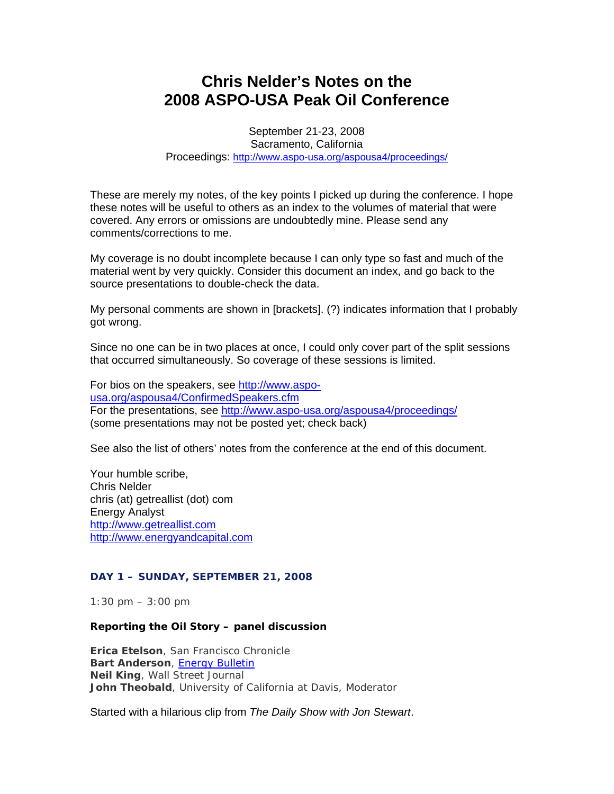# **Chris Nelder's Notes on the 2008 ASPO-USA Peak Oil Conference**

September 21-23, 2008 Sacramento, California Proceedings: http://www.aspo-usa.org/aspousa4/proceedings/

These are merely my notes, of the key points I picked up during the conference. I hope these notes will be useful to others as an index to the volumes of material that were covered. Any errors or omissions are undoubtedly mine. Please send any comments/corrections to me.

My coverage is no doubt incomplete because I can only type so fast and much of the material went by very quickly. Consider this document an index, and go back to the source presentations to double-check the data.

My personal comments are shown in [brackets]. (?) indicates information that I probably got wrong.

Since no one can be in two places at once, I could only cover part of the split sessions that occurred simultaneously. So coverage of these sessions is limited.

For bios on the speakers, see http://www.aspousa.org/aspousa4/ConfirmedSpeakers.cfm For the presentations, see http://www.aspo-usa.org/aspousa4/proceedings/ (some presentations may not be posted yet; check back)

See also the list of others' notes from the conference at the end of this document.

Your humble scribe, Chris Nelder chris (at) getreallist (dot) com Energy Analyst http://www.getreallist.com http://www.energyandcapital.com

# **DAY 1 – SUNDAY, SEPTEMBER 21, 2008**

*1:30 pm – 3:00 pm*

#### *Reporting the Oil Story –* **panel discussion**

**Erica Etelson**, San Francisco Chronicle **Bart Anderson**, Energy Bulletin **Neil King**, Wall Street Journal **John Theobald**, University of California at Davis, Moderator

Started with a hilarious clip from *The Daily Show with Jon Stewart*.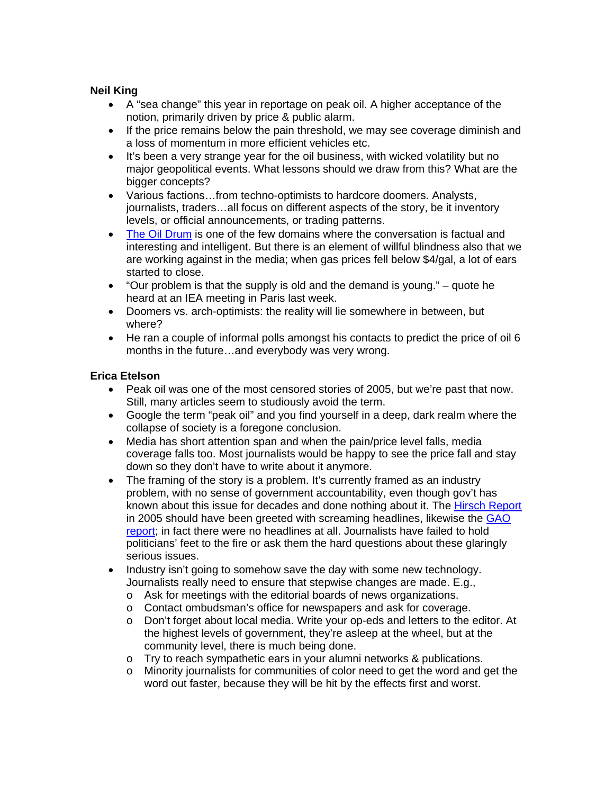# **Neil King**

- A "sea change" this year in reportage on peak oil. A higher acceptance of the notion, primarily driven by price & public alarm.
- If the price remains below the pain threshold, we may see coverage diminish and a loss of momentum in more efficient vehicles etc.
- It's been a very strange year for the oil business, with wicked volatility but no major geopolitical events. What lessons should we draw from this? What are the bigger concepts?
- Various factions…from techno-optimists to hardcore doomers. Analysts, journalists, traders…all focus on different aspects of the story, be it inventory levels, or official announcements, or trading patterns.
- The Oil Drum is one of the few domains where the conversation is factual and interesting and intelligent. But there is an element of willful blindness also that we are working against in the media; when gas prices fell below \$4/gal, a lot of ears started to close.
- "Our problem is that the supply is old and the demand is young." quote he heard at an IEA meeting in Paris last week.
- Doomers vs. arch-optimists: the reality will lie somewhere in between, but where?
- He ran a couple of informal polls amongst his contacts to predict the price of oil 6 months in the future…and everybody was very wrong.

# **Erica Etelson**

- Peak oil was one of the most censored stories of 2005, but we're past that now. Still, many articles seem to studiously avoid the term.
- Google the term "peak oil" and you find yourself in a deep, dark realm where the collapse of society is a foregone conclusion.
- Media has short attention span and when the pain/price level falls, media coverage falls too. Most journalists would be happy to see the price fall and stay down so they don't have to write about it anymore.
- The framing of the story is a problem. It's currently framed as an industry problem, with no sense of government accountability, even though gov't has known about this issue for decades and done nothing about it. The Hirsch Report in 2005 should have been greeted with screaming headlines, likewise the GAO report; in fact there were no headlines at all. Journalists have failed to hold politicians' feet to the fire or ask them the hard questions about these glaringly serious issues.
- Industry isn't going to somehow save the day with some new technology. Journalists really need to ensure that stepwise changes are made. E.g.,
	- o Ask for meetings with the editorial boards of news organizations.<br>
	o Contact ombudsman's office for newspapers and ask for coverage
	- Contact ombudsman's office for newspapers and ask for coverage.
	- o Don't forget about local media. Write your op-eds and letters to the editor. At the highest levels of government, they're asleep at the wheel, but at the community level, there is much being done.
	- o Try to reach sympathetic ears in your alumni networks & publications.
	- $\circ$  Minority journalists for communities of color need to get the word and get the word out faster, because they will be hit by the effects first and worst.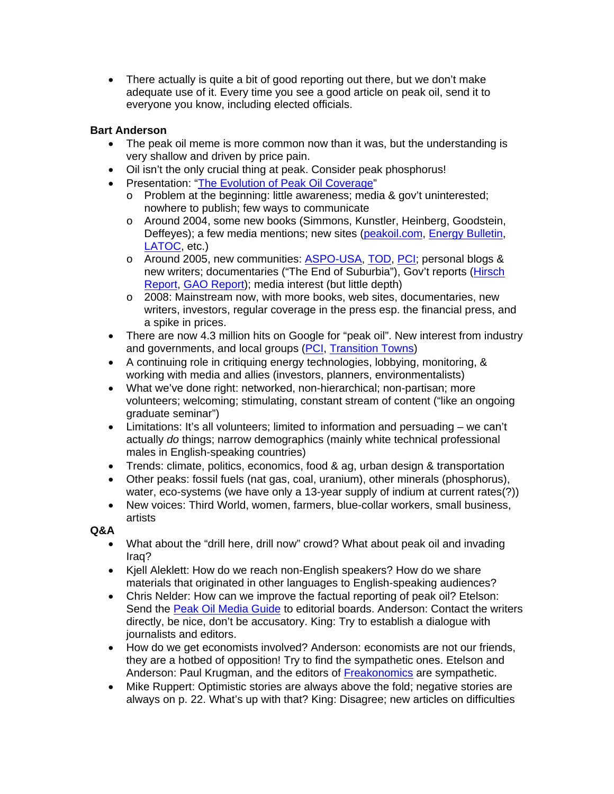• There actually is quite a bit of good reporting out there, but we don't make adequate use of it. Every time you see a good article on peak oil, send it to everyone you know, including elected officials.

# **Bart Anderson**

- The peak oil meme is more common now than it was, but the understanding is very shallow and driven by price pain.
- Oil isn't the only crucial thing at peak. Consider peak phosphorus!
- Presentation: "The Evolution of Peak Oil Coverage"
	- o Problem at the beginning: little awareness; media & gov't uninterested; nowhere to publish; few ways to communicate
	- o Around 2004, some new books (Simmons, Kunstler, Heinberg, Goodstein, Deffeyes); a few media mentions; new sites (peakoil.com, Energy Bulletin, LATOC, etc.)
	- o Around 2005, new communities: **ASPO-USA, TOD, PCI; personal blogs &** new writers; documentaries ("The End of Suburbia"), Gov't reports (Hirsch Report, GAO Report); media interest (but little depth)
	- o 2008: Mainstream now, with more books, web sites, documentaries, new writers, investors, regular coverage in the press esp. the financial press, and a spike in prices.
- There are now 4.3 million hits on Google for "peak oil". New interest from industry and governments, and local groups (PCI, Transition Towns)
- A continuing role in critiquing energy technologies, lobbying, monitoring, & working with media and allies (investors, planners, environmentalists)
- What we've done right: networked, non-hierarchical; non-partisan; more volunteers; welcoming; stimulating, constant stream of content ("like an ongoing graduate seminar")
- Limitations: It's all volunteers; limited to information and persuading we can't actually *do* things; narrow demographics (mainly white technical professional males in English-speaking countries)
- Trends: climate, politics, economics, food & ag, urban design & transportation
- Other peaks: fossil fuels (nat gas, coal, uranium), other minerals (phosphorus), water, eco-systems (we have only a 13-year supply of indium at current rates(?))
- New voices: Third World, women, farmers, blue-collar workers, small business, artists

# **Q&A**

- What about the "drill here, drill now" crowd? What about peak oil and invading Iraq?
- Kjell Aleklett: How do we reach non-English speakers? How do we share materials that originated in other languages to English-speaking audiences?
- Chris Nelder: How can we improve the factual reporting of peak oil? Etelson: Send the Peak Oil Media Guide to editorial boards. Anderson: Contact the writers directly, be nice, don't be accusatory. King: Try to establish a dialogue with journalists and editors.
- How do we get economists involved? Anderson: economists are not our friends, they are a hotbed of opposition! Try to find the sympathetic ones. Etelson and Anderson: Paul Krugman, and the editors of **Freakonomics** are sympathetic.
- Mike Ruppert: Optimistic stories are always above the fold; negative stories are always on p. 22. What's up with that? King: Disagree; new articles on difficulties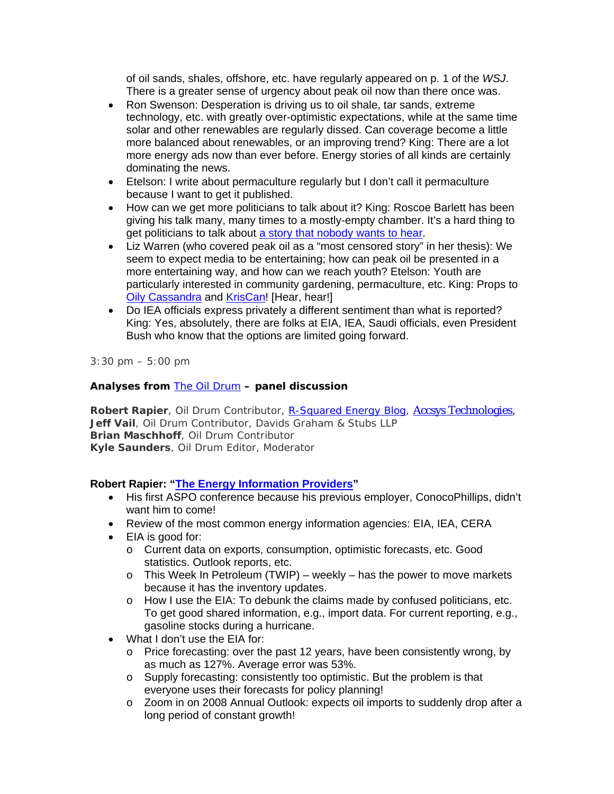of oil sands, shales, offshore, etc. have regularly appeared on p. 1 of the *WSJ*. There is a greater sense of urgency about peak oil now than there once was.

- Ron Swenson: Desperation is driving us to oil shale, tar sands, extreme technology, etc. with greatly over-optimistic expectations, while at the same time solar and other renewables are regularly dissed. Can coverage become a little more balanced about renewables, or an improving trend? King: There are a lot more energy ads now than ever before. Energy stories of all kinds are certainly dominating the news.
- Etelson: I write about permaculture regularly but I don't call it permaculture because I want to get it published.
- How can we get more politicians to talk about it? King: Roscoe Barlett has been giving his talk many, many times to a mostly-empty chamber. It's a hard thing to get politicians to talk about a story that nobody wants to hear.
- Liz Warren (who covered peak oil as a "most censored story" in her thesis): We seem to expect media to be entertaining; how can peak oil be presented in a more entertaining way, and how can we reach youth? Etelson: Youth are particularly interested in community gardening, permaculture, etc. King: Props to **Oily Cassandra and KrisCan!** [Hear, hear!]
- Do IEA officials express privately a different sentiment than what is reported? King: Yes, absolutely, there are folks at EIA, IEA, Saudi officials, even President Bush who know that the options are limited going forward.

*3:30 pm – 5:00 pm*

# *Analyses from The Oil Drum –* **panel discussion**

**Robert Rapier**, Oil Drum Contributor, R-Squared Energy Blog, Accsys Technologies, **Jeff Vail**, Oil Drum Contributor, Davids Graham & Stubs LLP **Brian Maschhoff**, Oil Drum Contributor **Kyle Saunders**, Oil Drum Editor, Moderator

# **Robert Rapier: "The Energy Information Providers"**

- His first ASPO conference because his previous employer, ConocoPhillips, didn't want him to come!
- Review of the most common energy information agencies: EIA, IEA, CERA
- EIA is good for:
	- o Current data on exports, consumption, optimistic forecasts, etc. Good statistics. Outlook reports, etc.
	- $\circ$  This Week In Petroleum (TWIP) weekly has the power to move markets because it has the inventory updates.
	- $\circ$  How I use the EIA: To debunk the claims made by confused politicians, etc. To get good shared information, e.g., import data. For current reporting, e.g., gasoline stocks during a hurricane.
- What I don't use the EIA for:
	- $\circ$  Price forecasting: over the past 12 years, have been consistently wrong, by as much as 127%. Average error was 53%.
	- o Supply forecasting: consistently too optimistic. But the problem is that everyone uses their forecasts for policy planning!
	- o Zoom in on 2008 Annual Outlook: expects oil imports to suddenly drop after a long period of constant growth!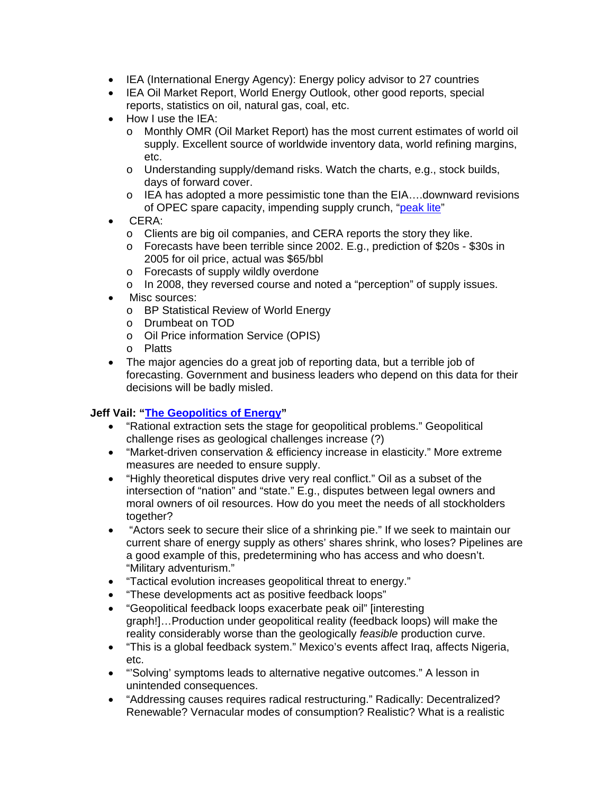- IEA (International Energy Agency): Energy policy advisor to 27 countries
- IEA Oil Market Report, World Energy Outlook, other good reports, special reports, statistics on oil, natural gas, coal, etc.
- How I use the IEA:
	- o Monthly OMR (Oil Market Report) has the most current estimates of world oil supply. Excellent source of worldwide inventory data, world refining margins, etc.
	- o Understanding supply/demand risks. Watch the charts, e.g., stock builds, days of forward cover.
	- o IEA has adopted a more pessimistic tone than the EIA….downward revisions of OPEC spare capacity, impending supply crunch, "peak lite"
- CERA:
	- o Clients are big oil companies, and CERA reports the story they like.
	- o Forecasts have been terrible since 2002. E.g., prediction of \$20s \$30s in 2005 for oil price, actual was \$65/bbl
	- o Forecasts of supply wildly overdone
	- o In 2008, they reversed course and noted a "perception" of supply issues.
- Misc sources:
	- o BP Statistical Review of World Energy
	- o Drumbeat on TOD
	- o Oil Price information Service (OPIS)
	- o Platts
- The major agencies do a great job of reporting data, but a terrible job of forecasting. Government and business leaders who depend on this data for their decisions will be badly misled.

# **Jeff Vail: "The Geopolitics of Energy"**

- "Rational extraction sets the stage for geopolitical problems." Geopolitical challenge rises as geological challenges increase (?)
- "Market-driven conservation & efficiency increase in elasticity." More extreme measures are needed to ensure supply.
- "Highly theoretical disputes drive very real conflict." Oil as a subset of the intersection of "nation" and "state." E.g., disputes between legal owners and moral owners of oil resources. How do you meet the needs of all stockholders together?
- "Actors seek to secure their slice of a shrinking pie." If we seek to maintain our current share of energy supply as others' shares shrink, who loses? Pipelines are a good example of this, predetermining who has access and who doesn't. "Military adventurism."
- "Tactical evolution increases geopolitical threat to energy."
- "These developments act as positive feedback loops"
- "Geopolitical feedback loops exacerbate peak oil" [interesting graph!]…Production under geopolitical reality (feedback loops) will make the reality considerably worse than the geologically *feasible* production curve.
- "This is a global feedback system." Mexico's events affect Iraq, affects Nigeria, etc.
- "'Solving' symptoms leads to alternative negative outcomes." A lesson in unintended consequences.
- "Addressing causes requires radical restructuring." Radically: Decentralized? Renewable? Vernacular modes of consumption? Realistic? What is a realistic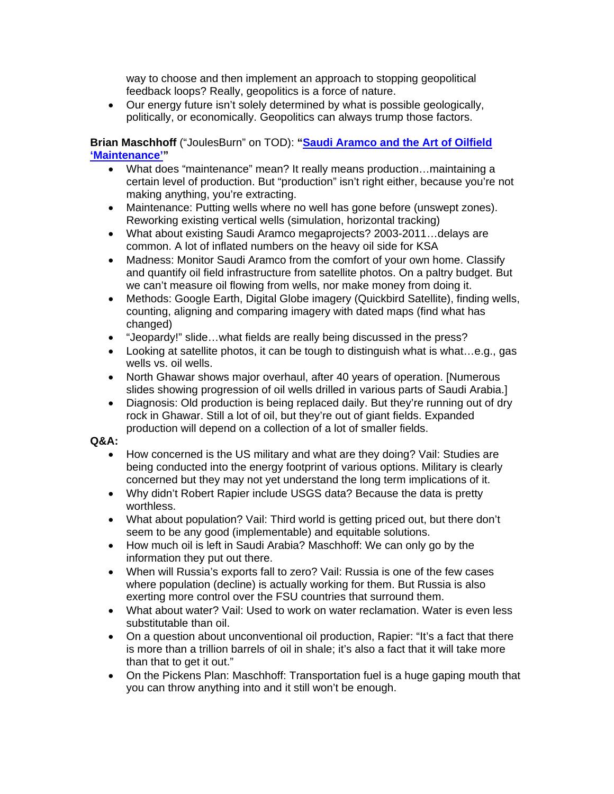way to choose and then implement an approach to stopping geopolitical feedback loops? Really, geopolitics is a force of nature.

• Our energy future isn't solely determined by what is possible geologically, politically, or economically. Geopolitics can always trump those factors.

**Brian Maschhoff** ("JoulesBurn" on TOD): **"Saudi Aramco and the Art of Oilfield 'Maintenance'"** 

- What does "maintenance" mean? It really means production…maintaining a certain level of production. But "production" isn't right either, because you're not making anything, you're extracting.
- Maintenance: Putting wells where no well has gone before (unswept zones). Reworking existing vertical wells (simulation, horizontal tracking)
- What about existing Saudi Aramco megaprojects? 2003-2011... delays are common. A lot of inflated numbers on the heavy oil side for KSA
- Madness: Monitor Saudi Aramco from the comfort of your own home. Classify and quantify oil field infrastructure from satellite photos. On a paltry budget. But we can't measure oil flowing from wells, nor make money from doing it.
- Methods: Google Earth, Digital Globe imagery (Quickbird Satellite), finding wells, counting, aligning and comparing imagery with dated maps (find what has changed)
- "Jeopardy!" slide…what fields are really being discussed in the press?
- Looking at satellite photos, it can be tough to distinguish what is what...e.g., gas wells vs. oil wells.
- North Ghawar shows major overhaul, after 40 years of operation. [Numerous slides showing progression of oil wells drilled in various parts of Saudi Arabia.]
- Diagnosis: Old production is being replaced daily. But they're running out of dry rock in Ghawar. Still a lot of oil, but they're out of giant fields. Expanded production will depend on a collection of a lot of smaller fields.

# **Q&A:**

- How concerned is the US military and what are they doing? Vail: Studies are being conducted into the energy footprint of various options. Military is clearly concerned but they may not yet understand the long term implications of it.
- Why didn't Robert Rapier include USGS data? Because the data is pretty worthless.
- What about population? Vail: Third world is getting priced out, but there don't seem to be any good (implementable) and equitable solutions.
- How much oil is left in Saudi Arabia? Maschhoff: We can only go by the information they put out there.
- When will Russia's exports fall to zero? Vail: Russia is one of the few cases where population (decline) is actually working for them. But Russia is also exerting more control over the FSU countries that surround them.
- What about water? Vail: Used to work on water reclamation. Water is even less substitutable than oil.
- On a question about unconventional oil production, Rapier: "It's a fact that there is more than a trillion barrels of oil in shale; it's also a fact that it will take more than that to get it out."
- On the Pickens Plan: Maschhoff: Transportation fuel is a huge gaping mouth that you can throw anything into and it still won't be enough.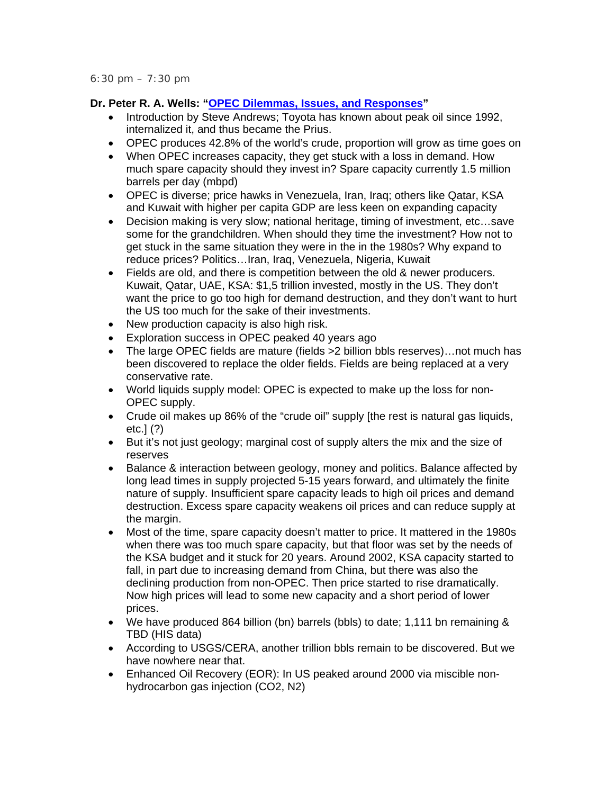# **Dr. Peter R. A. Wells: "OPEC Dilemmas, Issues, and Responses"**

- Introduction by Steve Andrews; Toyota has known about peak oil since 1992, internalized it, and thus became the Prius.
- OPEC produces 42.8% of the world's crude, proportion will grow as time goes on
- When OPEC increases capacity, they get stuck with a loss in demand. How much spare capacity should they invest in? Spare capacity currently 1.5 million barrels per day (mbpd)
- OPEC is diverse; price hawks in Venezuela, Iran, Iraq; others like Qatar, KSA and Kuwait with higher per capita GDP are less keen on expanding capacity
- Decision making is very slow; national heritage, timing of investment, etc…save some for the grandchildren. When should they time the investment? How not to get stuck in the same situation they were in the in the 1980s? Why expand to reduce prices? Politics…Iran, Iraq, Venezuela, Nigeria, Kuwait
- Fields are old, and there is competition between the old & newer producers. Kuwait, Qatar, UAE, KSA: \$1,5 trillion invested, mostly in the US. They don't want the price to go too high for demand destruction, and they don't want to hurt the US too much for the sake of their investments.
- New production capacity is also high risk.
- Exploration success in OPEC peaked 40 years ago
- The large OPEC fields are mature (fields >2 billion bbls reserves)...not much has been discovered to replace the older fields. Fields are being replaced at a very conservative rate.
- World liquids supply model: OPEC is expected to make up the loss for non-OPEC supply.
- Crude oil makes up 86% of the "crude oil" supply [the rest is natural gas liquids, etc.] (?)
- But it's not just geology; marginal cost of supply alters the mix and the size of reserves
- Balance & interaction between geology, money and politics. Balance affected by long lead times in supply projected 5-15 years forward, and ultimately the finite nature of supply. Insufficient spare capacity leads to high oil prices and demand destruction. Excess spare capacity weakens oil prices and can reduce supply at the margin.
- Most of the time, spare capacity doesn't matter to price. It mattered in the 1980s when there was too much spare capacity, but that floor was set by the needs of the KSA budget and it stuck for 20 years. Around 2002, KSA capacity started to fall, in part due to increasing demand from China, but there was also the declining production from non-OPEC. Then price started to rise dramatically. Now high prices will lead to some new capacity and a short period of lower prices.
- We have produced 864 billion (bn) barrels (bbls) to date; 1,111 bn remaining & TBD (HIS data)
- According to USGS/CERA, another trillion bbls remain to be discovered. But we have nowhere near that.
- Enhanced Oil Recovery (EOR): In US peaked around 2000 via miscible nonhydrocarbon gas injection (CO2, N2)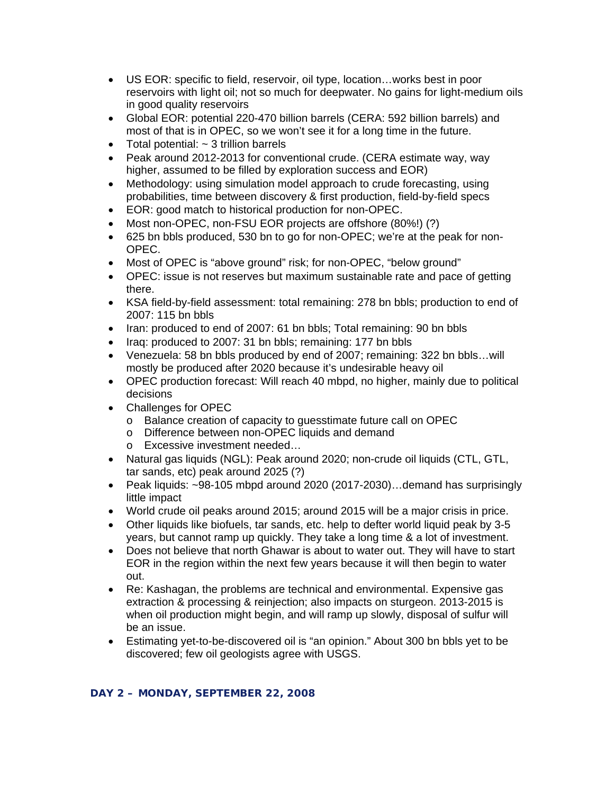- US EOR: specific to field, reservoir, oil type, location…works best in poor reservoirs with light oil; not so much for deepwater. No gains for light-medium oils in good quality reservoirs
- Global EOR: potential 220-470 billion barrels (CERA: 592 billion barrels) and most of that is in OPEC, so we won't see it for a long time in the future.
- Total potential:  $\sim$  3 trillion barrels
- Peak around 2012-2013 for conventional crude. (CERA estimate way, way higher, assumed to be filled by exploration success and EOR)
- Methodology: using simulation model approach to crude forecasting, using probabilities, time between discovery & first production, field-by-field specs
- EOR: good match to historical production for non-OPEC.
- Most non-OPEC, non-FSU EOR projects are offshore (80%!) (?)
- 625 bn bbls produced, 530 bn to go for non-OPEC; we're at the peak for non-OPEC.
- Most of OPEC is "above ground" risk; for non-OPEC, "below ground"
- OPEC: issue is not reserves but maximum sustainable rate and pace of getting there.
- KSA field-by-field assessment: total remaining: 278 bn bbls; production to end of 2007: 115 bn bbls
- Iran: produced to end of 2007: 61 bn bbls; Total remaining: 90 bn bbls
- Iraq: produced to 2007: 31 bn bbls; remaining: 177 bn bbls
- Venezuela: 58 bn bbls produced by end of 2007; remaining: 322 bn bbls...will mostly be produced after 2020 because it's undesirable heavy oil
- OPEC production forecast: Will reach 40 mbpd, no higher, mainly due to political decisions
- Challenges for OPEC
	- o Balance creation of capacity to guesstimate future call on OPEC
	- o Difference between non-OPEC liquids and demand
	- o Excessive investment needed…
- Natural gas liquids (NGL): Peak around 2020; non-crude oil liquids (CTL, GTL, tar sands, etc) peak around 2025 (?)
- Peak liquids: ~98-105 mbpd around 2020 (2017-2030)…demand has surprisingly little impact
- World crude oil peaks around 2015; around 2015 will be a major crisis in price.
- Other liquids like biofuels, tar sands, etc. help to defter world liquid peak by 3-5 years, but cannot ramp up quickly. They take a long time & a lot of investment.
- Does not believe that north Ghawar is about to water out. They will have to start EOR in the region within the next few years because it will then begin to water out.
- Re: Kashagan, the problems are technical and environmental. Expensive gas extraction & processing & reinjection; also impacts on sturgeon. 2013-2015 is when oil production might begin, and will ramp up slowly, disposal of sulfur will be an issue.
- Estimating yet-to-be-discovered oil is "an opinion." About 300 bn bbls yet to be discovered; few oil geologists agree with USGS.

# **DAY 2 – MONDAY, SEPTEMBER 22, 2008**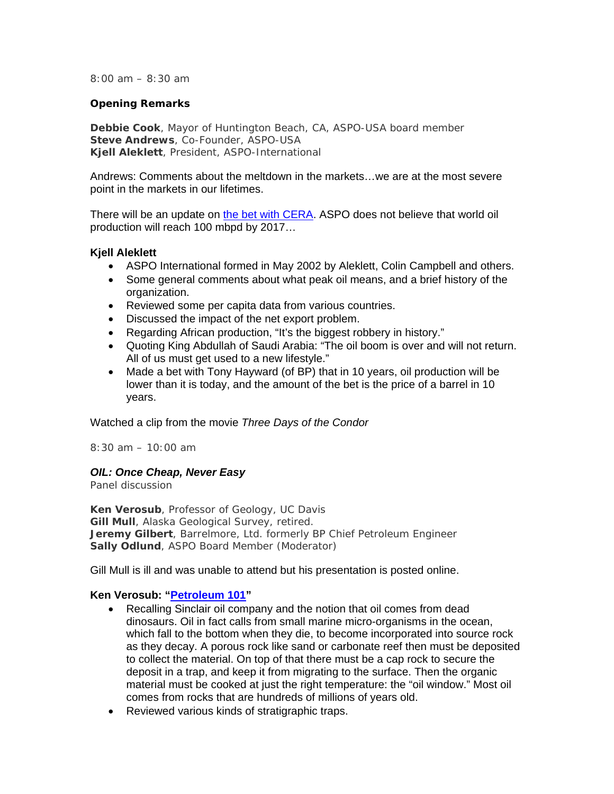*8:00 am – 8:30 am* 

#### *Opening Remarks*

**Debbie Cook**, Mayor of Huntington Beach, CA, ASPO-USA board member **Steve Andrews**, Co-Founder, ASPO-USA **Kjell Aleklett**, President, ASPO-International

Andrews: Comments about the meltdown in the markets…we are at the most severe point in the markets in our lifetimes.

There will be an update on the bet with CERA. ASPO does not believe that world oil production will reach 100 mbpd by 2017…

# **Kjell Aleklett**

- ASPO International formed in May 2002 by Aleklett, Colin Campbell and others.
- Some general comments about what peak oil means, and a brief history of the organization.
- Reviewed some per capita data from various countries.
- Discussed the impact of the net export problem.
- Regarding African production, "It's the biggest robbery in history."
- Quoting King Abdullah of Saudi Arabia: "The oil boom is over and will not return. All of us must get used to a new lifestyle."
- Made a bet with Tony Hayward (of BP) that in 10 years, oil production will be lower than it is today, and the amount of the bet is the price of a barrel in 10 years.

Watched a clip from the movie *Three Days of the Condor*

*8:30 am – 10:00 am* 

# *OIL: Once Cheap, Never Easy*

Panel discussion

**Ken Verosub**, Professor of Geology, UC Davis **Gill Mull**, Alaska Geological Survey, retired. **Jeremy Gilbert**, Barrelmore, Ltd. formerly BP Chief Petroleum Engineer **Sally Odlund**, ASPO Board Member (Moderator)

Gill Mull is ill and was unable to attend but his presentation is posted online.

# **Ken Verosub: "Petroleum 101"**

- Recalling Sinclair oil company and the notion that oil comes from dead dinosaurs. Oil in fact calls from small marine micro-organisms in the ocean, which fall to the bottom when they die, to become incorporated into source rock as they decay. A porous rock like sand or carbonate reef then must be deposited to collect the material. On top of that there must be a cap rock to secure the deposit in a trap, and keep it from migrating to the surface. Then the organic material must be cooked at just the right temperature: the "oil window." Most oil comes from rocks that are hundreds of millions of years old.
- Reviewed various kinds of stratigraphic traps.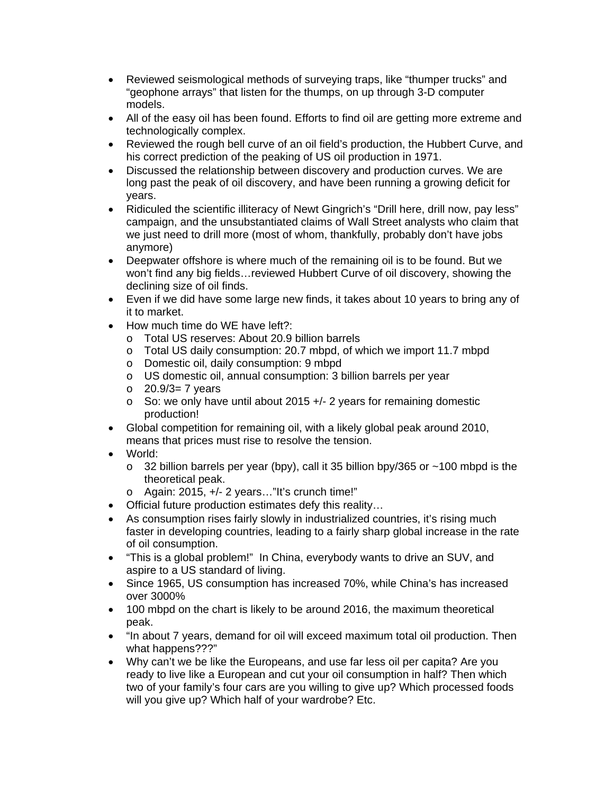- Reviewed seismological methods of surveying traps, like "thumper trucks" and "geophone arrays" that listen for the thumps, on up through 3-D computer models.
- All of the easy oil has been found. Efforts to find oil are getting more extreme and technologically complex.
- Reviewed the rough bell curve of an oil field's production, the Hubbert Curve, and his correct prediction of the peaking of US oil production in 1971.
- Discussed the relationship between discovery and production curves. We are long past the peak of oil discovery, and have been running a growing deficit for years.
- Ridiculed the scientific illiteracy of Newt Gingrich's "Drill here, drill now, pay less" campaign, and the unsubstantiated claims of Wall Street analysts who claim that we just need to drill more (most of whom, thankfully, probably don't have jobs anymore)
- Deepwater offshore is where much of the remaining oil is to be found. But we won't find any big fields…reviewed Hubbert Curve of oil discovery, showing the declining size of oil finds.
- Even if we did have some large new finds, it takes about 10 years to bring any of it to market.
- How much time do WE have left?:
	- o Total US reserves: About 20.9 billion barrels
	- o Total US daily consumption: 20.7 mbpd, of which we import 11.7 mbpd
	- o Domestic oil, daily consumption: 9 mbpd
	- o US domestic oil, annual consumption: 3 billion barrels per year
	- $\circ$  20.9/3= 7 years
	- o So: we only have until about 2015 +/- 2 years for remaining domestic production!
- Global competition for remaining oil, with a likely global peak around 2010, means that prices must rise to resolve the tension.
- World:
	- $\circ$  32 billion barrels per year (bpy), call it 35 billion bpy/365 or  $\sim$  100 mbpd is the theoretical peak.
	- o Again: 2015, +/- 2 years…"It's crunch time!"
- Official future production estimates defy this reality…
- As consumption rises fairly slowly in industrialized countries, it's rising much faster in developing countries, leading to a fairly sharp global increase in the rate of oil consumption.
- "This is a global problem!" In China, everybody wants to drive an SUV, and aspire to a US standard of living.
- Since 1965, US consumption has increased 70%, while China's has increased over 3000%
- 100 mbpd on the chart is likely to be around 2016, the maximum theoretical peak.
- "In about 7 years, demand for oil will exceed maximum total oil production. Then what happens???"
- Why can't we be like the Europeans, and use far less oil per capita? Are you ready to live like a European and cut your oil consumption in half? Then which two of your family's four cars are you willing to give up? Which processed foods will you give up? Which half of your wardrobe? Etc.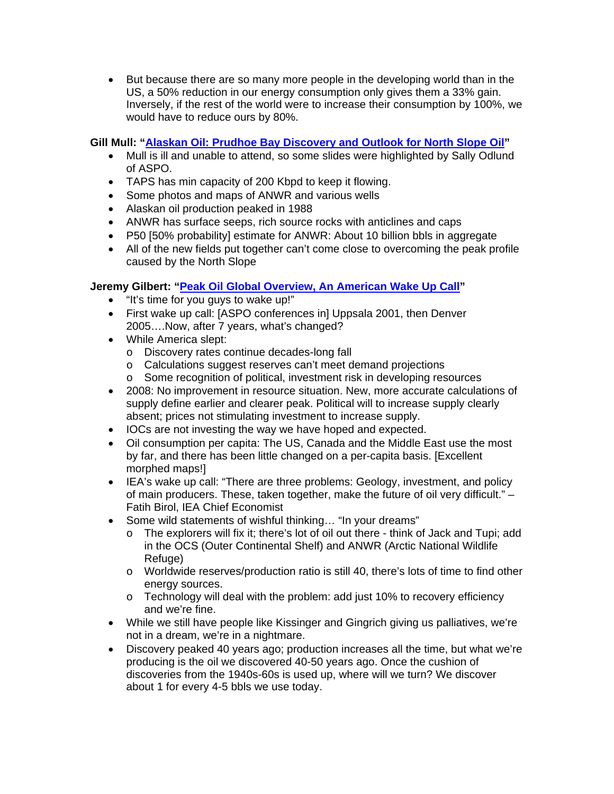• But because there are so many more people in the developing world than in the US, a 50% reduction in our energy consumption only gives them a 33% gain. Inversely, if the rest of the world were to increase their consumption by 100%, we would have to reduce ours by 80%.

# **Gill Mull: "Alaskan Oil: Prudhoe Bay Discovery and Outlook for North Slope Oil"**

- Mull is ill and unable to attend, so some slides were highlighted by Sally Odlund of ASPO.
- TAPS has min capacity of 200 Kbpd to keep it flowing.
- Some photos and maps of ANWR and various wells
- Alaskan oil production peaked in 1988
- ANWR has surface seeps, rich source rocks with anticlines and caps
- P50 [50% probability] estimate for ANWR: About 10 billion bbls in aggregate
- All of the new fields put together can't come close to overcoming the peak profile caused by the North Slope

# **Jeremy Gilbert: "Peak Oil Global Overview, An American Wake Up Call"**

- "It's time for you guys to wake up!"
- First wake up call: [ASPO conferences in] Uppsala 2001, then Denver 2005….Now, after 7 years, what's changed?
- While America slept:
	- o Discovery rates continue decades-long fall
	- o Calculations suggest reserves can't meet demand projections
	- o Some recognition of political, investment risk in developing resources
- 2008: No improvement in resource situation. New, more accurate calculations of supply define earlier and clearer peak. Political will to increase supply clearly absent; prices not stimulating investment to increase supply.
- IOCs are not investing the way we have hoped and expected.
- Oil consumption per capita: The US, Canada and the Middle East use the most by far, and there has been little changed on a per-capita basis. [Excellent morphed maps!]
- IEA's wake up call: "There are three problems: Geology, investment, and policy of main producers. These, taken together, make the future of oil very difficult." – Fatih Birol, IEA Chief Economist
- Some wild statements of wishful thinking... "In your dreams"
	- o The explorers will fix it; there's lot of oil out there think of Jack and Tupi; add in the OCS (Outer Continental Shelf) and ANWR (Arctic National Wildlife Refuge)
	- o Worldwide reserves/production ratio is still 40, there's lots of time to find other energy sources.
	- o Technology will deal with the problem: add just 10% to recovery efficiency and we're fine.
- While we still have people like Kissinger and Gingrich giving us palliatives, we're not in a dream, we're in a nightmare.
- Discovery peaked 40 years ago; production increases all the time, but what we're producing is the oil we discovered 40-50 years ago. Once the cushion of discoveries from the 1940s-60s is used up, where will we turn? We discover about 1 for every 4-5 bbls we use today.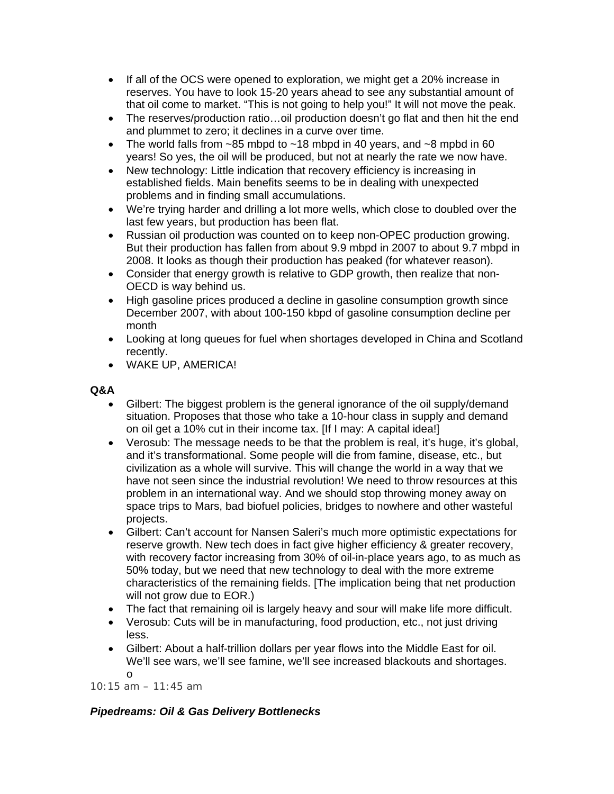- If all of the OCS were opened to exploration, we might get a 20% increase in reserves. You have to look 15-20 years ahead to see any substantial amount of that oil come to market. "This is not going to help you!" It will not move the peak.
- The reserves/production ratio...oil production doesn't go flat and then hit the end and plummet to zero; it declines in a curve over time.
- The world falls from  $\sim$ 85 mbpd to  $\sim$ 18 mbpd in 40 years, and  $\sim$ 8 mpbd in 60 years! So yes, the oil will be produced, but not at nearly the rate we now have.
- New technology: Little indication that recovery efficiency is increasing in established fields. Main benefits seems to be in dealing with unexpected problems and in finding small accumulations.
- We're trying harder and drilling a lot more wells, which close to doubled over the last few years, but production has been flat.
- Russian oil production was counted on to keep non-OPEC production growing. But their production has fallen from about 9.9 mbpd in 2007 to about 9.7 mbpd in 2008. It looks as though their production has peaked (for whatever reason).
- Consider that energy growth is relative to GDP growth, then realize that non-OECD is way behind us.
- High gasoline prices produced a decline in gasoline consumption growth since December 2007, with about 100-150 kbpd of gasoline consumption decline per month
- Looking at long queues for fuel when shortages developed in China and Scotland recently.
- WAKE UP, AMERICA!

# **Q&A**

- Gilbert: The biggest problem is the general ignorance of the oil supply/demand situation. Proposes that those who take a 10-hour class in supply and demand on oil get a 10% cut in their income tax. [If I may: A capital idea!]
- Verosub: The message needs to be that the problem is real, it's huge, it's global, and it's transformational. Some people will die from famine, disease, etc., but civilization as a whole will survive. This will change the world in a way that we have not seen since the industrial revolution! We need to throw resources at this problem in an international way. And we should stop throwing money away on space trips to Mars, bad biofuel policies, bridges to nowhere and other wasteful projects.
- Gilbert: Can't account for Nansen Saleri's much more optimistic expectations for reserve growth. New tech does in fact give higher efficiency & greater recovery, with recovery factor increasing from 30% of oil-in-place years ago, to as much as 50% today, but we need that new technology to deal with the more extreme characteristics of the remaining fields. [The implication being that net production will not grow due to EOR.)
- The fact that remaining oil is largely heavy and sour will make life more difficult.
- Verosub: Cuts will be in manufacturing, food production, etc., not just driving less.
- Gilbert: About a half-trillion dollars per year flows into the Middle East for oil. We'll see wars, we'll see famine, we'll see increased blackouts and shortages. o

*10:15 am – 11:45 am* 

# *Pipedreams: Oil & Gas Delivery Bottlenecks*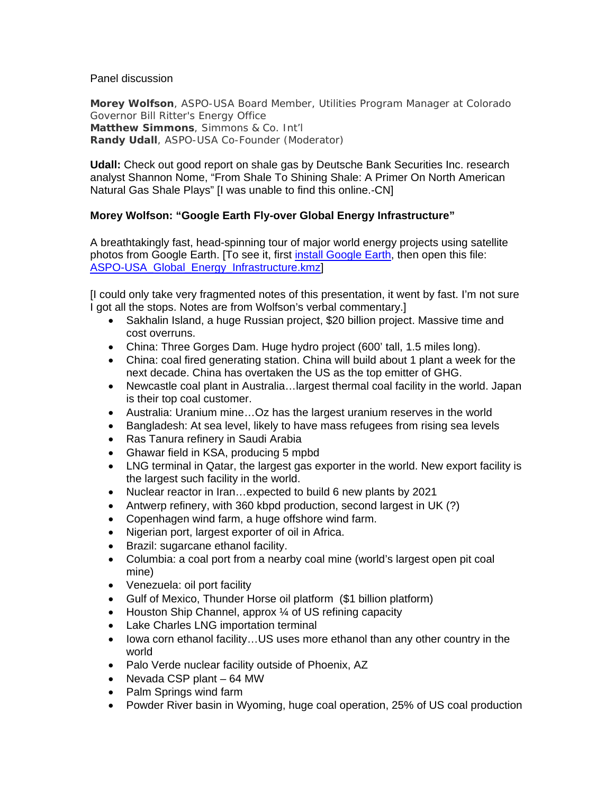#### Panel discussion

**Morey Wolfson**, ASPO-USA Board Member, Utilities Program Manager at Colorado Governor Bill Ritter's Energy Office **Matthew Simmons**, Simmons & Co. Int'l **Randy Udall**, ASPO-USA Co-Founder (Moderator)

**Udall:** Check out good report on shale gas by Deutsche Bank Securities Inc. research analyst Shannon Nome, "From Shale To Shining Shale: A Primer On North American Natural Gas Shale Plays" [I was unable to find this online.-CN]

# **Morey Wolfson: "Google Earth Fly-over Global Energy Infrastructure"**

A breathtakingly fast, head-spinning tour of major world energy projects using satellite photos from Google Earth. [To see it, first install Google Earth, then open this file: ASPO-USA Global Energy Infrastructure.kmz]

[I could only take very fragmented notes of this presentation, it went by fast. I'm not sure I got all the stops. Notes are from Wolfson's verbal commentary.]

- Sakhalin Island, a huge Russian project, \$20 billion project. Massive time and cost overruns.
- China: Three Gorges Dam. Huge hydro project (600' tall, 1.5 miles long).
- China: coal fired generating station. China will build about 1 plant a week for the next decade. China has overtaken the US as the top emitter of GHG.
- Newcastle coal plant in Australia…largest thermal coal facility in the world. Japan is their top coal customer.
- Australia: Uranium mine…Oz has the largest uranium reserves in the world
- Bangladesh: At sea level, likely to have mass refugees from rising sea levels
- Ras Tanura refinery in Saudi Arabia
- Ghawar field in KSA, producing 5 mpbd
- LNG terminal in Qatar, the largest gas exporter in the world. New export facility is the largest such facility in the world.
- Nuclear reactor in Iran…expected to build 6 new plants by 2021
- Antwerp refinery, with 360 kbpd production, second largest in UK (?)
- Copenhagen wind farm, a huge offshore wind farm.
- Nigerian port, largest exporter of oil in Africa.
- Brazil: sugarcane ethanol facility.
- Columbia: a coal port from a nearby coal mine (world's largest open pit coal mine)
- Venezuela: oil port facility
- Gulf of Mexico, Thunder Horse oil platform (\$1 billion platform)
- Houston Ship Channel, approx 1/4 of US refining capacity
- Lake Charles LNG importation terminal
- Iowa corn ethanol facility...US uses more ethanol than any other country in the world
- Palo Verde nuclear facility outside of Phoenix, AZ
- Nevada CSP plant 64 MW
- Palm Springs wind farm
- Powder River basin in Wyoming, huge coal operation, 25% of US coal production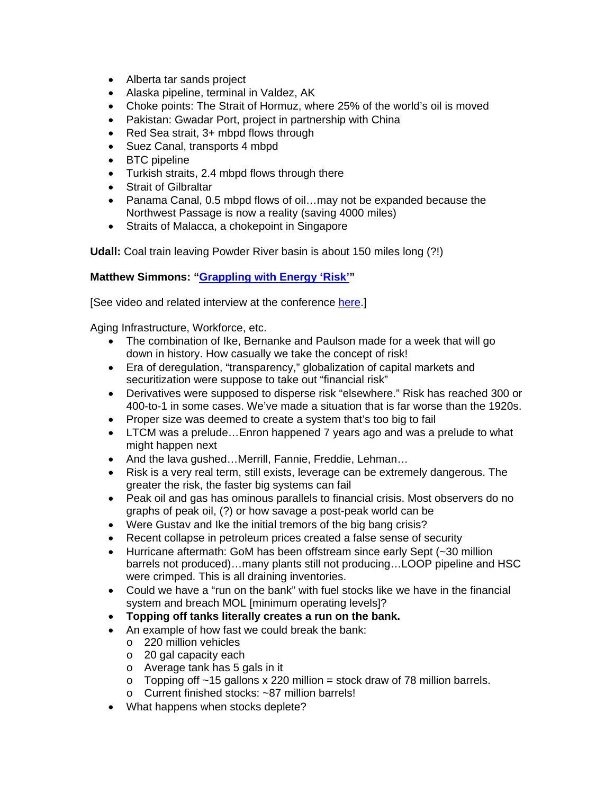- Alberta tar sands project
- Alaska pipeline, terminal in Valdez, AK
- Choke points: The Strait of Hormuz, where 25% of the world's oil is moved
- Pakistan: Gwadar Port, project in partnership with China
- Red Sea strait, 3+ mbpd flows through
- Suez Canal, transports 4 mbpd
- BTC pipeline
- Turkish straits, 2.4 mbpd flows through there
- Strait of Gilbraltar
- Panama Canal, 0.5 mbpd flows of oil…may not be expanded because the Northwest Passage is now a reality (saving 4000 miles)
- Straits of Malacca, a chokepoint in Singapore

**Udall:** Coal train leaving Powder River basin is about 150 miles long (?!)

# **Matthew Simmons: "Grappling with Energy 'Risk'"**

[See video and related interview at the conference here.]

Aging Infrastructure, Workforce, etc.

- The combination of Ike, Bernanke and Paulson made for a week that will go down in history. How casually we take the concept of risk!
- Era of deregulation, "transparency," globalization of capital markets and securitization were suppose to take out "financial risk"
- Derivatives were supposed to disperse risk "elsewhere." Risk has reached 300 or 400-to-1 in some cases. We've made a situation that is far worse than the 1920s.
- Proper size was deemed to create a system that's too big to fail
- LTCM was a prelude...Enron happened 7 years ago and was a prelude to what might happen next
- And the lava gushed…Merrill, Fannie, Freddie, Lehman…
- Risk is a very real term, still exists, leverage can be extremely dangerous. The greater the risk, the faster big systems can fail
- Peak oil and gas has ominous parallels to financial crisis. Most observers do no graphs of peak oil, (?) or how savage a post-peak world can be
- Were Gustav and Ike the initial tremors of the big bang crisis?
- Recent collapse in petroleum prices created a false sense of security
- Hurricane aftermath: GoM has been offstream since early Sept (~30 million barrels not produced)…many plants still not producing…LOOP pipeline and HSC were crimped. This is all draining inventories.
- Could we have a "run on the bank" with fuel stocks like we have in the financial system and breach MOL [minimum operating levels]?
- **Topping off tanks literally creates a run on the bank.**
- An example of how fast we could break the bank:
	- o 220 million vehicles
	- o 20 gal capacity each
	- o Average tank has 5 gals in it
	- $\circ$  Topping off ~15 gallons x 220 million = stock draw of 78 million barrels.
	- o Current finished stocks: ~87 million barrels!
- What happens when stocks deplete?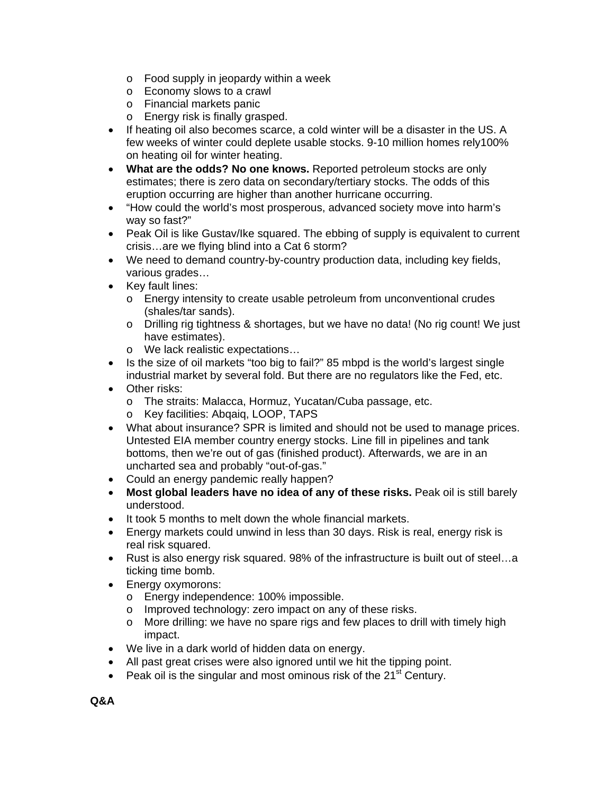- o Food supply in jeopardy within a week
- o Economy slows to a crawl
- o Financial markets panic
- o Energy risk is finally grasped.
- If heating oil also becomes scarce, a cold winter will be a disaster in the US. A few weeks of winter could deplete usable stocks. 9-10 million homes rely100% on heating oil for winter heating.
- **What are the odds? No one knows.** Reported petroleum stocks are only estimates; there is zero data on secondary/tertiary stocks. The odds of this eruption occurring are higher than another hurricane occurring.
- "How could the world's most prosperous, advanced society move into harm's way so fast?"
- Peak Oil is like Gustav/Ike squared. The ebbing of supply is equivalent to current crisis…are we flying blind into a Cat 6 storm?
- We need to demand country-by-country production data, including key fields, various grades…
- Key fault lines:
	- o Energy intensity to create usable petroleum from unconventional crudes (shales/tar sands).
	- o Drilling rig tightness & shortages, but we have no data! (No rig count! We just have estimates).
	- o We lack realistic expectations…
- Is the size of oil markets "too big to fail?" 85 mbpd is the world's largest single industrial market by several fold. But there are no regulators like the Fed, etc.
- Other risks:
	- o The straits: Malacca, Hormuz, Yucatan/Cuba passage, etc.
	- o Key facilities: Abqaiq, LOOP, TAPS
- What about insurance? SPR is limited and should not be used to manage prices. Untested EIA member country energy stocks. Line fill in pipelines and tank bottoms, then we're out of gas (finished product). Afterwards, we are in an uncharted sea and probably "out-of-gas."
- Could an energy pandemic really happen?
- **Most global leaders have no idea of any of these risks.** Peak oil is still barely understood.
- It took 5 months to melt down the whole financial markets.
- Energy markets could unwind in less than 30 days. Risk is real, energy risk is real risk squared.
- Rust is also energy risk squared. 98% of the infrastructure is built out of steel...a ticking time bomb.
- Energy oxymorons:
	- o Energy independence: 100% impossible.
	- o Improved technology: zero impact on any of these risks.
	- o More drilling: we have no spare rigs and few places to drill with timely high impact.
- We live in a dark world of hidden data on energy.
- All past great crises were also ignored until we hit the tipping point.
- Peak oil is the singular and most ominous risk of the  $21<sup>st</sup>$  Century.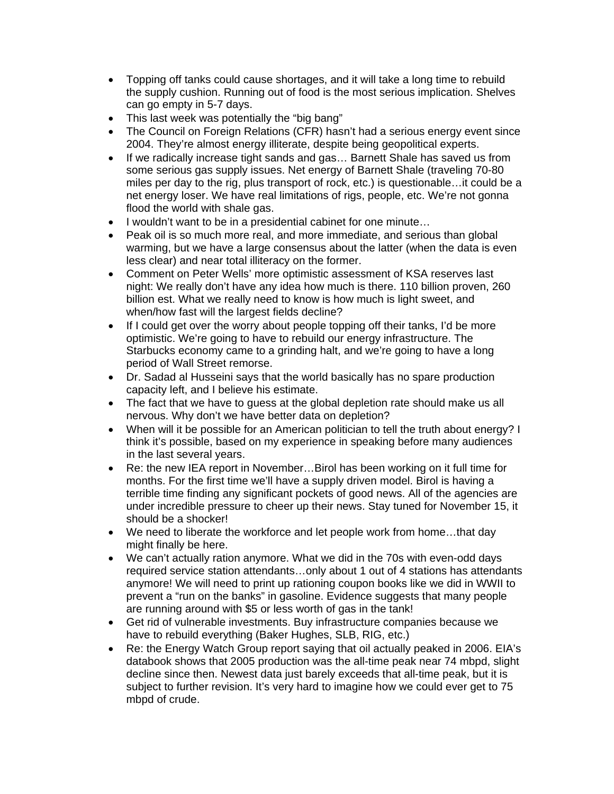- Topping off tanks could cause shortages, and it will take a long time to rebuild the supply cushion. Running out of food is the most serious implication. Shelves can go empty in 5-7 days.
- This last week was potentially the "big bang"
- The Council on Foreign Relations (CFR) hasn't had a serious energy event since 2004. They're almost energy illiterate, despite being geopolitical experts.
- If we radically increase tight sands and gas... Barnett Shale has saved us from some serious gas supply issues. Net energy of Barnett Shale (traveling 70-80 miles per day to the rig, plus transport of rock, etc.) is questionable…it could be a net energy loser. We have real limitations of rigs, people, etc. We're not gonna flood the world with shale gas.
- I wouldn't want to be in a presidential cabinet for one minute…
- Peak oil is so much more real, and more immediate, and serious than global warming, but we have a large consensus about the latter (when the data is even less clear) and near total illiteracy on the former.
- Comment on Peter Wells' more optimistic assessment of KSA reserves last night: We really don't have any idea how much is there. 110 billion proven, 260 billion est. What we really need to know is how much is light sweet, and when/how fast will the largest fields decline?
- If I could get over the worry about people topping off their tanks, I'd be more optimistic. We're going to have to rebuild our energy infrastructure. The Starbucks economy came to a grinding halt, and we're going to have a long period of Wall Street remorse.
- Dr. Sadad al Husseini says that the world basically has no spare production capacity left, and I believe his estimate.
- The fact that we have to quess at the global depletion rate should make us all nervous. Why don't we have better data on depletion?
- When will it be possible for an American politician to tell the truth about energy? I think it's possible, based on my experience in speaking before many audiences in the last several years.
- Re: the new IEA report in November...Birol has been working on it full time for months. For the first time we'll have a supply driven model. Birol is having a terrible time finding any significant pockets of good news. All of the agencies are under incredible pressure to cheer up their news. Stay tuned for November 15, it should be a shocker!
- We need to liberate the workforce and let people work from home...that day might finally be here.
- We can't actually ration anymore. What we did in the 70s with even-odd days required service station attendants…only about 1 out of 4 stations has attendants anymore! We will need to print up rationing coupon books like we did in WWII to prevent a "run on the banks" in gasoline. Evidence suggests that many people are running around with \$5 or less worth of gas in the tank!
- Get rid of vulnerable investments. Buy infrastructure companies because we have to rebuild everything (Baker Hughes, SLB, RIG, etc.)
- Re: the Energy Watch Group report saying that oil actually peaked in 2006. EIA's databook shows that 2005 production was the all-time peak near 74 mbpd, slight decline since then. Newest data just barely exceeds that all-time peak, but it is subject to further revision. It's very hard to imagine how we could ever get to 75 mbpd of crude.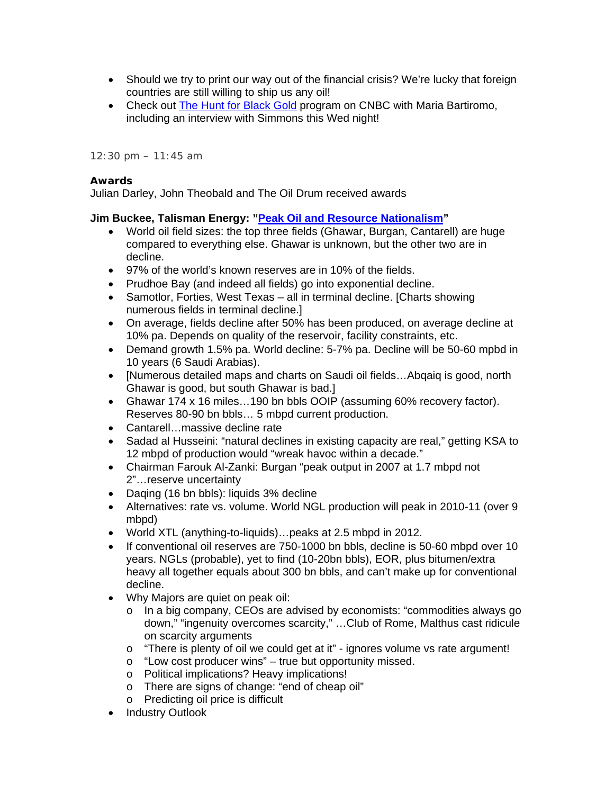- Should we try to print our way out of the financial crisis? We're lucky that foreign countries are still willing to ship us any oil!
- Check out The Hunt for Black Gold program on CNBC with Maria Bartiromo, including an interview with Simmons this Wed night!

*12:30 pm – 11:45 am* 

#### *Awards*

Julian Darley, John Theobald and The Oil Drum received awards

#### **Jim Buckee, Talisman Energy: "Peak Oil and Resource Nationalism"**

- World oil field sizes: the top three fields (Ghawar, Burgan, Cantarell) are huge compared to everything else. Ghawar is unknown, but the other two are in decline.
- 97% of the world's known reserves are in 10% of the fields.
- Prudhoe Bay (and indeed all fields) go into exponential decline.
- Samotlor, Forties, West Texas all in terminal decline. [Charts showing] numerous fields in terminal decline.]
- On average, fields decline after 50% has been produced, on average decline at 10% pa. Depends on quality of the reservoir, facility constraints, etc.
- Demand growth 1.5% pa. World decline: 5-7% pa. Decline will be 50-60 mpbd in 10 years (6 Saudi Arabias).
- [Numerous detailed maps and charts on Saudi oil fields…Abqaiq is good, north Ghawar is good, but south Ghawar is bad.]
- Ghawar 174 x 16 miles…190 bn bbls OOIP (assuming 60% recovery factor). Reserves 80-90 bn bbls… 5 mbpd current production.
- Cantarell…massive decline rate
- Sadad al Husseini: "natural declines in existing capacity are real," getting KSA to 12 mbpd of production would "wreak havoc within a decade."
- Chairman Farouk Al-Zanki: Burgan "peak output in 2007 at 1.7 mbpd not 2"…reserve uncertainty
- Daqing (16 bn bbls): liquids 3% decline
- Alternatives: rate vs. volume. World NGL production will peak in 2010-11 (over 9 mbpd)
- World XTL (anything-to-liquids)…peaks at 2.5 mbpd in 2012.
- If conventional oil reserves are 750-1000 bn bbls, decline is 50-60 mbpd over 10 years. NGLs (probable), yet to find (10-20bn bbls), EOR, plus bitumen/extra heavy all together equals about 300 bn bbls, and can't make up for conventional decline.
- Why Majors are quiet on peak oil:
	- o In a big company, CEOs are advised by economists: "commodities always go down," "ingenuity overcomes scarcity," …Club of Rome, Malthus cast ridicule on scarcity arguments
	- $\circ$  "There is plenty of oil we could get at it" ignores volume vs rate argument!
	- o "Low cost producer wins" true but opportunity missed.
	- o Political implications? Heavy implications!
	- o There are signs of change: "end of cheap oil"
	- o Predicting oil price is difficult
- Industry Outlook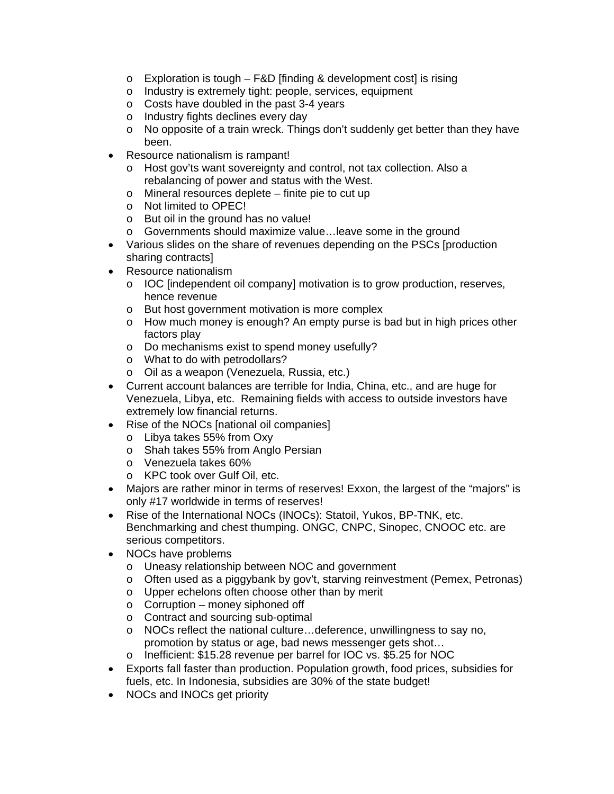- $\circ$  Exploration is tough F&D [finding & development cost] is rising
- o Industry is extremely tight: people, services, equipment
- o Costs have doubled in the past 3-4 years
- o Industry fights declines every day
- o No opposite of a train wreck. Things don't suddenly get better than they have been.
- Resource nationalism is rampant!
	- o Host gov'ts want sovereignty and control, not tax collection. Also a rebalancing of power and status with the West.
	- o Mineral resources deplete finite pie to cut up
	- o Not limited to OPEC!
	- o But oil in the ground has no value!
	- o Governments should maximize value…leave some in the ground
- Various slides on the share of revenues depending on the PSCs [production sharing contracts]
- Resource nationalism
	- $\circ$  IOC [independent oil company] motivation is to grow production, reserves, hence revenue
	- o But host government motivation is more complex
	- $\circ$  How much money is enough? An empty purse is bad but in high prices other factors play
	- o Do mechanisms exist to spend money usefully?
	- o What to do with petrodollars?
	- o Oil as a weapon (Venezuela, Russia, etc.)
- Current account balances are terrible for India, China, etc., and are huge for Venezuela, Libya, etc. Remaining fields with access to outside investors have extremely low financial returns.
- Rise of the NOCs [national oil companies]
	- o Libya takes 55% from Oxy
	- o Shah takes 55% from Anglo Persian
	- o Venezuela takes 60%
	- o KPC took over Gulf Oil, etc.
- Majors are rather minor in terms of reserves! Exxon, the largest of the "majors" is only #17 worldwide in terms of reserves!
- Rise of the International NOCs (INOCs): Statoil, Yukos, BP-TNK, etc. Benchmarking and chest thumping. ONGC, CNPC, Sinopec, CNOOC etc. are serious competitors.
- NOCs have problems
	- o Uneasy relationship between NOC and government
	- o Often used as a piggybank by gov't, starving reinvestment (Pemex, Petronas)
	- o Upper echelons often choose other than by merit
	- $\circ$  Corruption money siphoned off
	- o Contract and sourcing sub-optimal
	- o NOCs reflect the national culture…deference, unwillingness to say no, promotion by status or age, bad news messenger gets shot…
	- o Inefficient: \$15.28 revenue per barrel for IOC vs. \$5.25 for NOC
- Exports fall faster than production. Population growth, food prices, subsidies for fuels, etc. In Indonesia, subsidies are 30% of the state budget!
- NOCs and INOCs get priority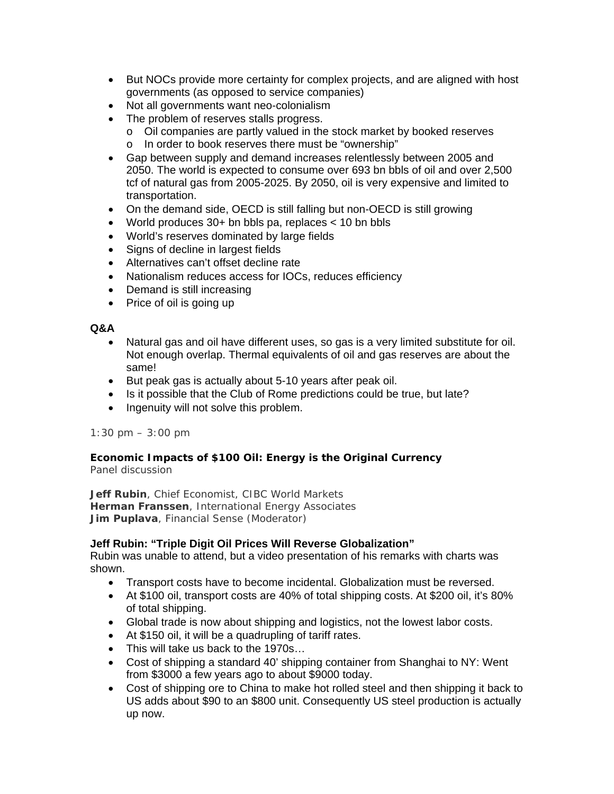- But NOCs provide more certainty for complex projects, and are aligned with host governments (as opposed to service companies)
- Not all governments want neo-colonialism
- The problem of reserves stalls progress.
	- o Oil companies are partly valued in the stock market by booked reserves
	- o In order to book reserves there must be "ownership"
- Gap between supply and demand increases relentlessly between 2005 and 2050. The world is expected to consume over 693 bn bbls of oil and over 2,500 tcf of natural gas from 2005-2025. By 2050, oil is very expensive and limited to transportation.
- On the demand side, OECD is still falling but non-OECD is still growing
- World produces 30+ bn bbls pa, replaces < 10 bn bbls
- World's reserves dominated by large fields
- Signs of decline in largest fields
- Alternatives can't offset decline rate
- Nationalism reduces access for IOCs, reduces efficiency
- Demand is still increasing
- Price of oil is going up

#### **Q&A**

- Natural gas and oil have different uses, so gas is a very limited substitute for oil. Not enough overlap. Thermal equivalents of oil and gas reserves are about the same!
- But peak gas is actually about 5-10 years after peak oil.
- Is it possible that the Club of Rome predictions could be true, but late?
- Ingenuity will not solve this problem.

# *1:30 pm – 3:00 pm*

#### *Economic Impacts of \$100 Oil: Energy is the Original Currency* Panel discussion

**Jeff Rubin**, Chief Economist, CIBC World Markets **Herman Franssen**, International Energy Associates **Jim Puplava**, Financial Sense (Moderator)

# **Jeff Rubin: "Triple Digit Oil Prices Will Reverse Globalization"**

Rubin was unable to attend, but a video presentation of his remarks with charts was shown.

- Transport costs have to become incidental. Globalization must be reversed.
- At \$100 oil, transport costs are 40% of total shipping costs. At \$200 oil, it's 80% of total shipping.
- Global trade is now about shipping and logistics, not the lowest labor costs.
- At \$150 oil, it will be a quadrupling of tariff rates.
- This will take us back to the 1970s...
- Cost of shipping a standard 40' shipping container from Shanghai to NY: Went from \$3000 a few years ago to about \$9000 today.
- Cost of shipping ore to China to make hot rolled steel and then shipping it back to US adds about \$90 to an \$800 unit. Consequently US steel production is actually up now.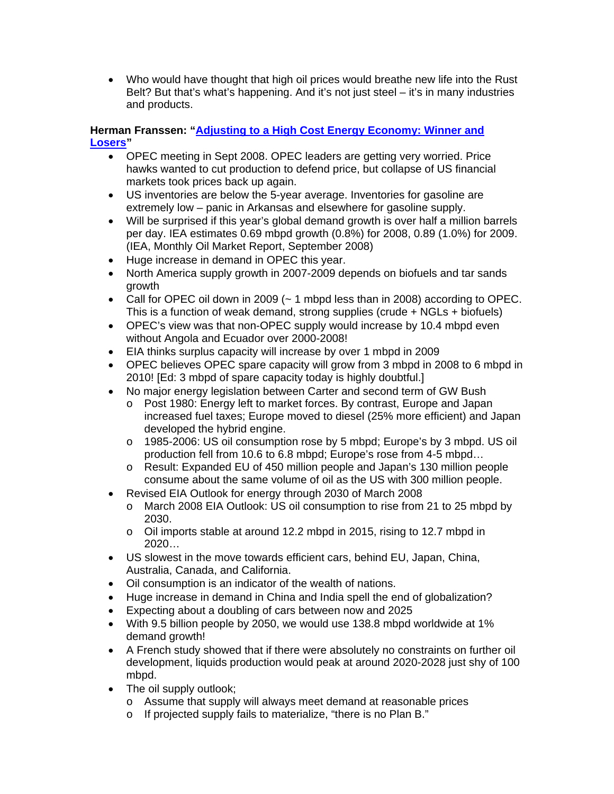• Who would have thought that high oil prices would breathe new life into the Rust Belt? But that's what's happening. And it's not just steel – it's in many industries and products.

# **Herman Franssen: "Adjusting to a High Cost Energy Economy: Winner and Losers"**

- OPEC meeting in Sept 2008. OPEC leaders are getting very worried. Price hawks wanted to cut production to defend price, but collapse of US financial markets took prices back up again.
- US inventories are below the 5-year average. Inventories for gasoline are extremely low – panic in Arkansas and elsewhere for gasoline supply.
- Will be surprised if this year's global demand growth is over half a million barrels per day. IEA estimates 0.69 mbpd growth (0.8%) for 2008, 0.89 (1.0%) for 2009. (IEA, Monthly Oil Market Report, September 2008)
- Huge increase in demand in OPEC this year.
- North America supply growth in 2007-2009 depends on biofuels and tar sands growth
- Call for OPEC oil down in 2009  $($   $\sim$  1 mbpd less than in 2008) according to OPEC. This is a function of weak demand, strong supplies (crude + NGLs + biofuels)
- OPEC's view was that non-OPEC supply would increase by 10.4 mbpd even without Angola and Ecuador over 2000-2008!
- EIA thinks surplus capacity will increase by over 1 mbpd in 2009
- OPEC believes OPEC spare capacity will grow from 3 mbpd in 2008 to 6 mbpd in 2010! [Ed: 3 mbpd of spare capacity today is highly doubtful.]
- No major energy legislation between Carter and second term of GW Bush
	- o Post 1980: Energy left to market forces. By contrast, Europe and Japan increased fuel taxes; Europe moved to diesel (25% more efficient) and Japan developed the hybrid engine.
	- o 1985-2006: US oil consumption rose by 5 mbpd; Europe's by 3 mbpd. US oil production fell from 10.6 to 6.8 mbpd; Europe's rose from 4-5 mbpd…
	- o Result: Expanded EU of 450 million people and Japan's 130 million people consume about the same volume of oil as the US with 300 million people.
- Revised EIA Outlook for energy through 2030 of March 2008
	- o March 2008 EIA Outlook: US oil consumption to rise from 21 to 25 mbpd by 2030.
	- o Oil imports stable at around 12.2 mbpd in 2015, rising to 12.7 mbpd in 2020…
- US slowest in the move towards efficient cars, behind EU, Japan, China, Australia, Canada, and California.
- Oil consumption is an indicator of the wealth of nations.
- Huge increase in demand in China and India spell the end of globalization?
- Expecting about a doubling of cars between now and 2025
- With 9.5 billion people by 2050, we would use 138.8 mbpd worldwide at 1% demand growth!
- A French study showed that if there were absolutely no constraints on further oil development, liquids production would peak at around 2020-2028 just shy of 100 mbpd.
- The oil supply outlook;
	- o Assume that supply will always meet demand at reasonable prices
	- o If projected supply fails to materialize, "there is no Plan B."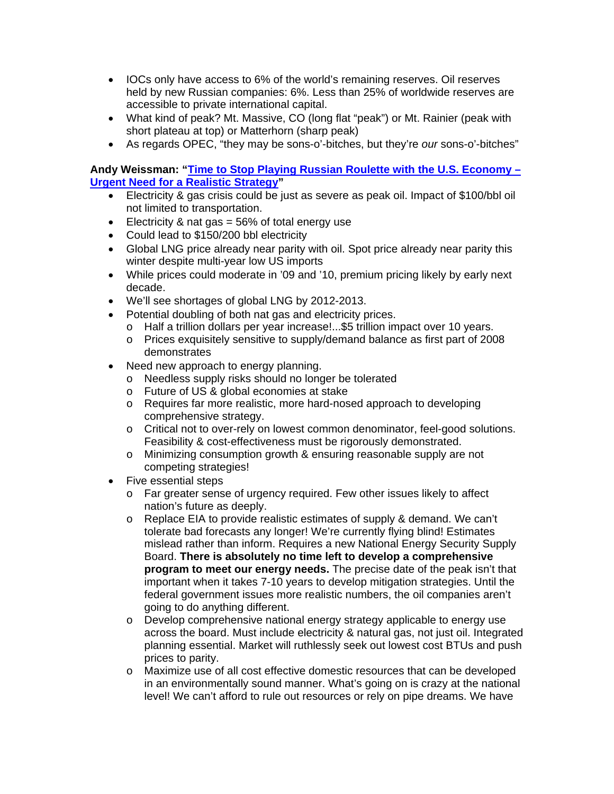- IOCs only have access to 6% of the world's remaining reserves. Oil reserves held by new Russian companies: 6%. Less than 25% of worldwide reserves are accessible to private international capital.
- What kind of peak? Mt. Massive, CO (long flat "peak") or Mt. Rainier (peak with short plateau at top) or Matterhorn (sharp peak)
- As regards OPEC, "they may be sons-o'-bitches, but they're *our* sons-o'-bitches"

# **Andy Weissman: "Time to Stop Playing Russian Roulette with the U.S. Economy – Urgent Need for a Realistic Strategy"**

- Electricity & gas crisis could be just as severe as peak oil. Impact of \$100/bbl oil not limited to transportation.
- Electricity & nat gas  $= 56\%$  of total energy use
- Could lead to \$150/200 bbl electricity
- Global LNG price already near parity with oil. Spot price already near parity this winter despite multi-year low US imports
- While prices could moderate in '09 and '10, premium pricing likely by early next decade.
- We'll see shortages of global LNG by 2012-2013.
- Potential doubling of both nat gas and electricity prices.
	- o Half a trillion dollars per year increase!...\$5 trillion impact over 10 years.
	- o Prices exquisitely sensitive to supply/demand balance as first part of 2008 demonstrates
- Need new approach to energy planning.
	- o Needless supply risks should no longer be tolerated
	- o Future of US & global economies at stake
	- o Requires far more realistic, more hard-nosed approach to developing comprehensive strategy.
	- o Critical not to over-rely on lowest common denominator, feel-good solutions. Feasibility & cost-effectiveness must be rigorously demonstrated.
	- o Minimizing consumption growth & ensuring reasonable supply are not competing strategies!
- Five essential steps
	- o Far greater sense of urgency required. Few other issues likely to affect nation's future as deeply.
	- o Replace EIA to provide realistic estimates of supply & demand. We can't tolerate bad forecasts any longer! We're currently flying blind! Estimates mislead rather than inform. Requires a new National Energy Security Supply Board. **There is absolutely no time left to develop a comprehensive program to meet our energy needs.** The precise date of the peak isn't that important when it takes 7-10 years to develop mitigation strategies. Until the federal government issues more realistic numbers, the oil companies aren't going to do anything different.
	- $\circ$  Develop comprehensive national energy strategy applicable to energy use across the board. Must include electricity & natural gas, not just oil. Integrated planning essential. Market will ruthlessly seek out lowest cost BTUs and push prices to parity.
	- o Maximize use of all cost effective domestic resources that can be developed in an environmentally sound manner. What's going on is crazy at the national level! We can't afford to rule out resources or rely on pipe dreams. We have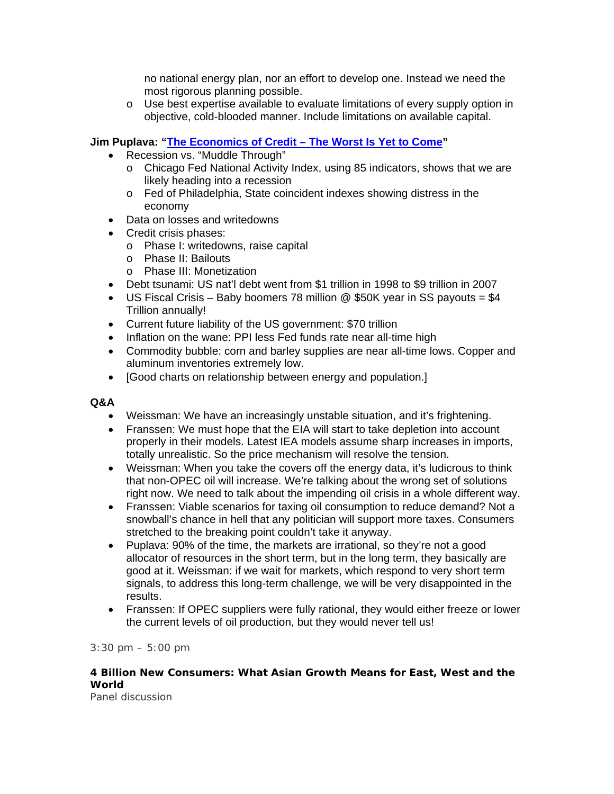no national energy plan, nor an effort to develop one. Instead we need the most rigorous planning possible.

o Use best expertise available to evaluate limitations of every supply option in objective, cold-blooded manner. Include limitations on available capital.

# **Jim Puplava: "The Economics of Credit – The Worst Is Yet to Come"**

- Recession vs. "Muddle Through"
	- o Chicago Fed National Activity Index, using 85 indicators, shows that we are likely heading into a recession
	- o Fed of Philadelphia, State coincident indexes showing distress in the economy
- Data on losses and writedowns
- Credit crisis phases:
	- o Phase I: writedowns, raise capital
	- o Phase II: Bailouts
	- o Phase III: Monetization
- Debt tsunami: US nat'l debt went from \$1 trillion in 1998 to \$9 trillion in 2007
- US Fiscal Crisis Baby boomers 78 million  $@$  \$50K year in SS payouts = \$4 Trillion annually!
- Current future liability of the US government: \$70 trillion
- Inflation on the wane: PPI less Fed funds rate near all-time high
- Commodity bubble: corn and barley supplies are near all-time lows. Copper and aluminum inventories extremely low.
- [Good charts on relationship between energy and population.]

# **Q&A**

- Weissman: We have an increasingly unstable situation, and it's frightening.
- Franssen: We must hope that the EIA will start to take depletion into account properly in their models. Latest IEA models assume sharp increases in imports, totally unrealistic. So the price mechanism will resolve the tension.
- Weissman: When you take the covers off the energy data, it's ludicrous to think that non-OPEC oil will increase. We're talking about the wrong set of solutions right now. We need to talk about the impending oil crisis in a whole different way.
- Franssen: Viable scenarios for taxing oil consumption to reduce demand? Not a snowball's chance in hell that any politician will support more taxes. Consumers stretched to the breaking point couldn't take it anyway.
- Puplava: 90% of the time, the markets are irrational, so they're not a good allocator of resources in the short term, but in the long term, they basically are good at it. Weissman: if we wait for markets, which respond to very short term signals, to address this long-term challenge, we will be very disappointed in the results.
- Franssen: If OPEC suppliers were fully rational, they would either freeze or lower the current levels of oil production, but they would never tell us!

# *3:30 pm – 5:00 pm*

# *4 Billion New Consumers: What Asian Growth Means for East, West and the World*

Panel discussion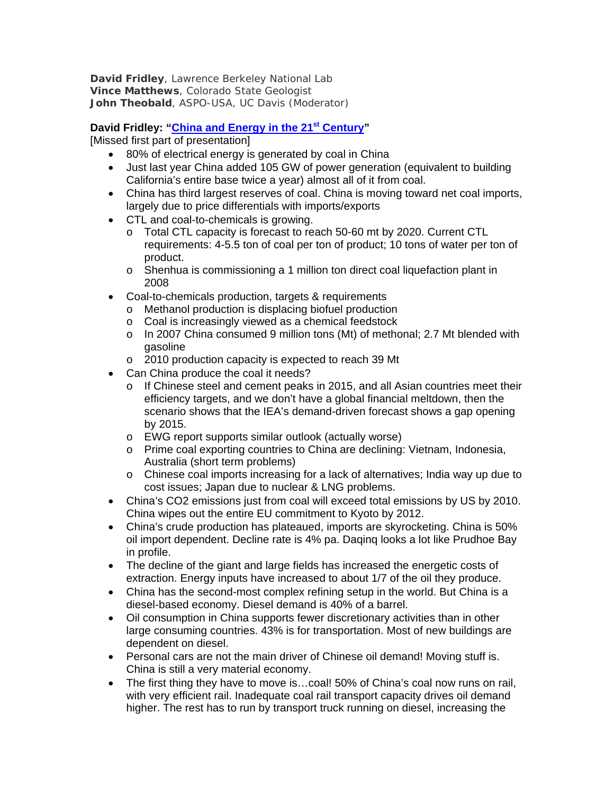**David Fridley**, Lawrence Berkeley National Lab **Vince Matthews**, Colorado State Geologist **John Theobald**, ASPO-USA, UC Davis (Moderator)

# **David Fridley: "China and Energy in the 21st Century"**

[Missed first part of presentation]

- 80% of electrical energy is generated by coal in China
- Just last year China added 105 GW of power generation (equivalent to building California's entire base twice a year) almost all of it from coal.
- China has third largest reserves of coal. China is moving toward net coal imports, largely due to price differentials with imports/exports
- CTL and coal-to-chemicals is growing.
	- o Total CTL capacity is forecast to reach 50-60 mt by 2020. Current CTL requirements: 4-5.5 ton of coal per ton of product; 10 tons of water per ton of product.
	- o Shenhua is commissioning a 1 million ton direct coal liquefaction plant in 2008
- Coal-to-chemicals production, targets & requirements
	- o Methanol production is displacing biofuel production
	- o Coal is increasingly viewed as a chemical feedstock
	- $\circ$  In 2007 China consumed 9 million tons (Mt) of methonal; 2.7 Mt blended with gasoline
	- o 2010 production capacity is expected to reach 39 Mt
- Can China produce the coal it needs?
	- o If Chinese steel and cement peaks in 2015, and all Asian countries meet their efficiency targets, and we don't have a global financial meltdown, then the scenario shows that the IEA's demand-driven forecast shows a gap opening by 2015.
	- o EWG report supports similar outlook (actually worse)
	- o Prime coal exporting countries to China are declining: Vietnam, Indonesia, Australia (short term problems)
	- o Chinese coal imports increasing for a lack of alternatives; India way up due to cost issues; Japan due to nuclear & LNG problems.
- China's CO2 emissions just from coal will exceed total emissions by US by 2010. China wipes out the entire EU commitment to Kyoto by 2012.
- China's crude production has plateaued, imports are skyrocketing. China is 50% oil import dependent. Decline rate is 4% pa. Daqinq looks a lot like Prudhoe Bay in profile.
- The decline of the giant and large fields has increased the energetic costs of extraction. Energy inputs have increased to about 1/7 of the oil they produce.
- China has the second-most complex refining setup in the world. But China is a diesel-based economy. Diesel demand is 40% of a barrel.
- Oil consumption in China supports fewer discretionary activities than in other large consuming countries. 43% is for transportation. Most of new buildings are dependent on diesel.
- Personal cars are not the main driver of Chinese oil demand! Moving stuff is. China is still a very material economy.
- The first thing they have to move is...coal! 50% of China's coal now runs on rail, with very efficient rail. Inadequate coal rail transport capacity drives oil demand higher. The rest has to run by transport truck running on diesel, increasing the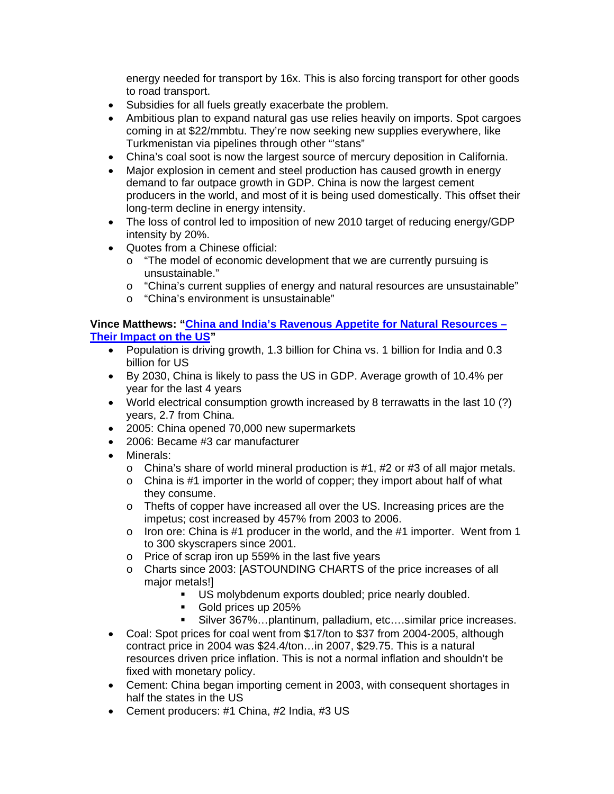energy needed for transport by 16x. This is also forcing transport for other goods to road transport.

- Subsidies for all fuels greatly exacerbate the problem.
- Ambitious plan to expand natural gas use relies heavily on imports. Spot cargoes coming in at \$22/mmbtu. They're now seeking new supplies everywhere, like Turkmenistan via pipelines through other "stans"
- China's coal soot is now the largest source of mercury deposition in California.
- Major explosion in cement and steel production has caused growth in energy demand to far outpace growth in GDP. China is now the largest cement producers in the world, and most of it is being used domestically. This offset their long-term decline in energy intensity.
- The loss of control led to imposition of new 2010 target of reducing energy/GDP intensity by 20%.
- Quotes from a Chinese official:
	- o "The model of economic development that we are currently pursuing is unsustainable."
	- o "China's current supplies of energy and natural resources are unsustainable"
	- o "China's environment is unsustainable"

#### **Vince Matthews: "China and India's Ravenous Appetite for Natural Resources – Their Impact on the US"**

- Population is driving growth, 1.3 billion for China vs. 1 billion for India and 0.3 billion for US
- By 2030, China is likely to pass the US in GDP. Average growth of 10.4% per year for the last 4 years
- World electrical consumption growth increased by 8 terrawatts in the last 10 (?) years, 2.7 from China.
- 2005: China opened 70,000 new supermarkets
- 2006: Became #3 car manufacturer
- Minerals:
	- $\circ$  China's share of world mineral production is #1, #2 or #3 of all major metals.
	- o China is #1 importer in the world of copper; they import about half of what they consume.
	- o Thefts of copper have increased all over the US. Increasing prices are the impetus; cost increased by 457% from 2003 to 2006.
	- o Iron ore: China is #1 producer in the world, and the #1 importer. Went from 1 to 300 skyscrapers since 2001.
	- o Price of scrap iron up 559% in the last five years
	- o Charts since 2003: [ASTOUNDING CHARTS of the price increases of all major metals!]
		- US molybdenum exports doubled; price nearly doubled.
		- Gold prices up 205%
		- Silver 367%…plantinum, palladium, etc….similar price increases.
- Coal: Spot prices for coal went from \$17/ton to \$37 from 2004-2005, although contract price in 2004 was \$24.4/ton…in 2007, \$29.75. This is a natural resources driven price inflation. This is not a normal inflation and shouldn't be fixed with monetary policy.
- Cement: China began importing cement in 2003, with consequent shortages in half the states in the US
- Cement producers: #1 China, #2 India, #3 US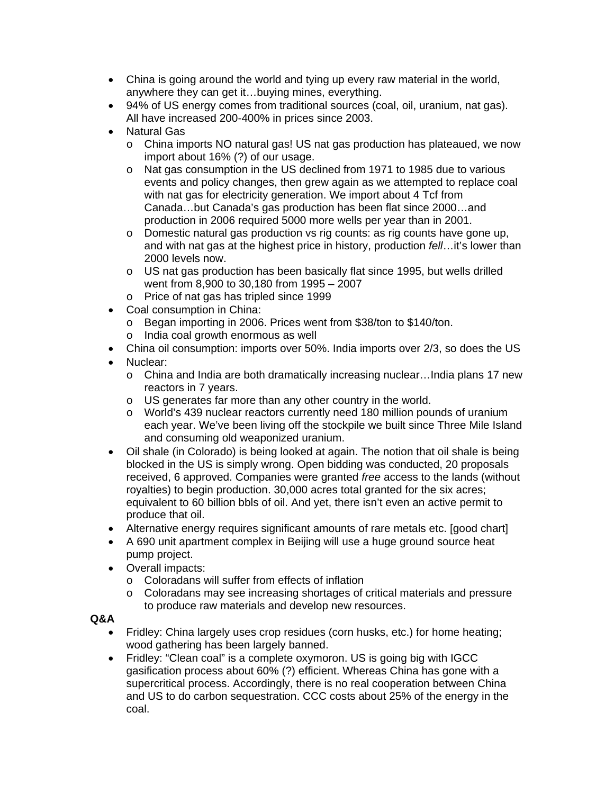- China is going around the world and tying up every raw material in the world, anywhere they can get it…buying mines, everything.
- 94% of US energy comes from traditional sources (coal, oil, uranium, nat gas). All have increased 200-400% in prices since 2003.
- Natural Gas
	- o China imports NO natural gas! US nat gas production has plateaued, we now import about 16% (?) of our usage.
	- o Nat gas consumption in the US declined from 1971 to 1985 due to various events and policy changes, then grew again as we attempted to replace coal with nat gas for electricity generation. We import about 4 Tcf from Canada…but Canada's gas production has been flat since 2000…and production in 2006 required 5000 more wells per year than in 2001.
	- o Domestic natural gas production vs rig counts: as rig counts have gone up, and with nat gas at the highest price in history, production *fell*…it's lower than 2000 levels now.
	- $\circ$  US nat gas production has been basically flat since 1995, but wells drilled went from 8,900 to 30,180 from 1995 – 2007
	- o Price of nat gas has tripled since 1999
- Coal consumption in China:
	- o Began importing in 2006. Prices went from \$38/ton to \$140/ton.
	- o India coal growth enormous as well
- China oil consumption: imports over 50%. India imports over 2/3, so does the US
- Nuclear:
	- o China and India are both dramatically increasing nuclear…India plans 17 new reactors in 7 years.
	- o US generates far more than any other country in the world.
	- o World's 439 nuclear reactors currently need 180 million pounds of uranium each year. We've been living off the stockpile we built since Three Mile Island and consuming old weaponized uranium.
- Oil shale (in Colorado) is being looked at again. The notion that oil shale is being blocked in the US is simply wrong. Open bidding was conducted, 20 proposals received, 6 approved. Companies were granted *free* access to the lands (without royalties) to begin production. 30,000 acres total granted for the six acres; equivalent to 60 billion bbls of oil. And yet, there isn't even an active permit to produce that oil.
- Alternative energy requires significant amounts of rare metals etc. [good chart]
- A 690 unit apartment complex in Beijing will use a huge ground source heat pump project.
- Overall impacts:
	- o Coloradans will suffer from effects of inflation
	- $\circ$  Coloradans may see increasing shortages of critical materials and pressure to produce raw materials and develop new resources.

# **Q&A**

- Fridley: China largely uses crop residues (corn husks, etc.) for home heating; wood gathering has been largely banned.
- Fridley: "Clean coal" is a complete oxymoron. US is going big with IGCC gasification process about 60% (?) efficient. Whereas China has gone with a supercritical process. Accordingly, there is no real cooperation between China and US to do carbon sequestration. CCC costs about 25% of the energy in the coal.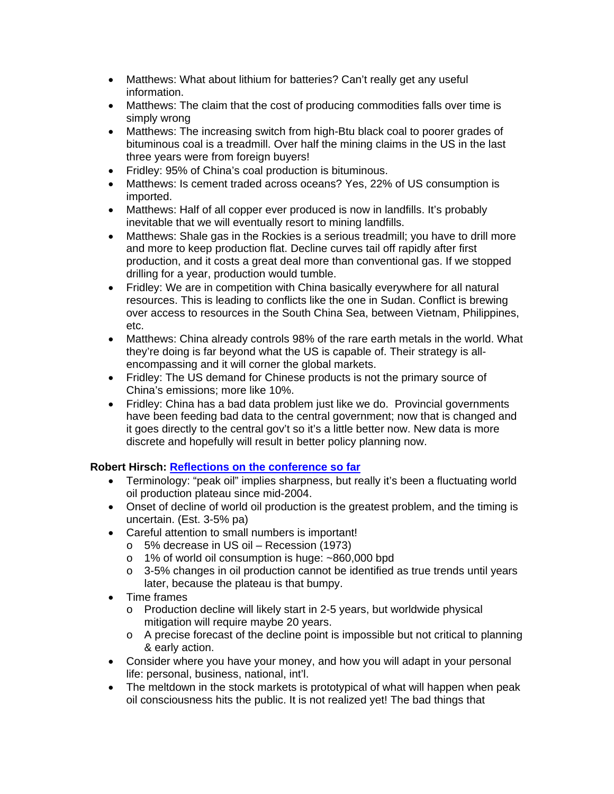- Matthews: What about lithium for batteries? Can't really get any useful information.
- Matthews: The claim that the cost of producing commodities falls over time is simply wrong
- Matthews: The increasing switch from high-Btu black coal to poorer grades of bituminous coal is a treadmill. Over half the mining claims in the US in the last three years were from foreign buyers!
- Fridley: 95% of China's coal production is bituminous.
- Matthews: Is cement traded across oceans? Yes, 22% of US consumption is imported.
- Matthews: Half of all copper ever produced is now in landfills. It's probably inevitable that we will eventually resort to mining landfills.
- Matthews: Shale gas in the Rockies is a serious treadmill; you have to drill more and more to keep production flat. Decline curves tail off rapidly after first production, and it costs a great deal more than conventional gas. If we stopped drilling for a year, production would tumble.
- Fridley: We are in competition with China basically everywhere for all natural resources. This is leading to conflicts like the one in Sudan. Conflict is brewing over access to resources in the South China Sea, between Vietnam, Philippines, etc.
- Matthews: China already controls 98% of the rare earth metals in the world. What they're doing is far beyond what the US is capable of. Their strategy is allencompassing and it will corner the global markets.
- Fridley: The US demand for Chinese products is not the primary source of China's emissions; more like 10%.
- Fridley: China has a bad data problem just like we do. Provincial governments have been feeding bad data to the central government; now that is changed and it goes directly to the central gov't so it's a little better now. New data is more discrete and hopefully will result in better policy planning now.

# **Robert Hirsch: Reflections on the conference so far**

- Terminology: "peak oil" implies sharpness, but really it's been a fluctuating world oil production plateau since mid-2004.
- Onset of decline of world oil production is the greatest problem, and the timing is uncertain. (Est. 3-5% pa)
- Careful attention to small numbers is important!
	- o 5% decrease in US oil Recession (1973)
	- o 1% of world oil consumption is huge: ~860,000 bpd
	- $\circ$  3-5% changes in oil production cannot be identified as true trends until years later, because the plateau is that bumpy.
- Time frames
	- o Production decline will likely start in 2-5 years, but worldwide physical mitigation will require maybe 20 years.
	- $\circ$  A precise forecast of the decline point is impossible but not critical to planning & early action.
- Consider where you have your money, and how you will adapt in your personal life: personal, business, national, int'l.
- The meltdown in the stock markets is prototypical of what will happen when peak oil consciousness hits the public. It is not realized yet! The bad things that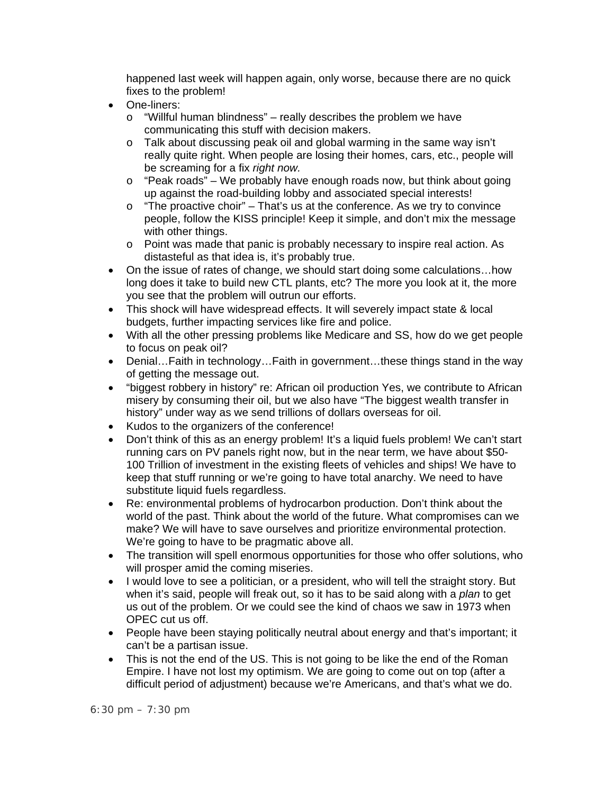happened last week will happen again, only worse, because there are no quick fixes to the problem!

- One-liners:
	- o "Willful human blindness" really describes the problem we have communicating this stuff with decision makers.
	- o Talk about discussing peak oil and global warming in the same way isn't really quite right. When people are losing their homes, cars, etc., people will be screaming for a fix *right now.*
	- $\circ$  "Peak roads" We probably have enough roads now, but think about going up against the road-building lobby and associated special interests!
	- $\circ$  "The proactive choir" That's us at the conference. As we try to convince people, follow the KISS principle! Keep it simple, and don't mix the message with other things.
	- o Point was made that panic is probably necessary to inspire real action. As distasteful as that idea is, it's probably true.
- On the issue of rates of change, we should start doing some calculations...how long does it take to build new CTL plants, etc? The more you look at it, the more you see that the problem will outrun our efforts.
- This shock will have widespread effects. It will severely impact state & local budgets, further impacting services like fire and police.
- With all the other pressing problems like Medicare and SS, how do we get people to focus on peak oil?
- Denial...Faith in technology...Faith in government...these things stand in the way of getting the message out.
- "biggest robbery in history" re: African oil production Yes, we contribute to African misery by consuming their oil, but we also have "The biggest wealth transfer in history" under way as we send trillions of dollars overseas for oil.
- Kudos to the organizers of the conference!
- Don't think of this as an energy problem! It's a liquid fuels problem! We can't start running cars on PV panels right now, but in the near term, we have about \$50- 100 Trillion of investment in the existing fleets of vehicles and ships! We have to keep that stuff running or we're going to have total anarchy. We need to have substitute liquid fuels regardless.
- Re: environmental problems of hydrocarbon production. Don't think about the world of the past. Think about the world of the future. What compromises can we make? We will have to save ourselves and prioritize environmental protection. We're going to have to be pragmatic above all.
- The transition will spell enormous opportunities for those who offer solutions, who will prosper amid the coming miseries.
- I would love to see a politician, or a president, who will tell the straight story. But when it's said, people will freak out, so it has to be said along with a *plan* to get us out of the problem. Or we could see the kind of chaos we saw in 1973 when OPEC cut us off.
- People have been staying politically neutral about energy and that's important; it can't be a partisan issue.
- This is not the end of the US. This is not going to be like the end of the Roman Empire. I have not lost my optimism. We are going to come out on top (after a difficult period of adjustment) because we're Americans, and that's what we do.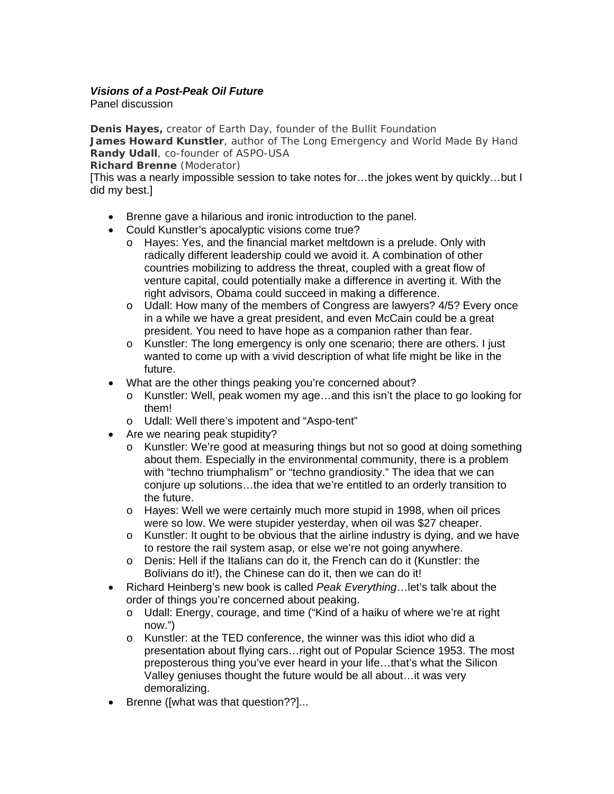# *Visions of a Post-Peak Oil Future*

Panel discussion

**Denis Hayes,** creator of Earth Day, founder of the Bullit Foundation **James Howard Kunstler**, author of *The Long Emergency* and *World Made By Hand* **Randy Udall**, co-founder of ASPO-USA

**Richard Brenne** (Moderator)

[This was a nearly impossible session to take notes for…the jokes went by quickly…but I did my best.]

- Brenne gave a hilarious and ironic introduction to the panel.
- Could Kunstler's apocalyptic visions come true?
	- o Hayes: Yes, and the financial market meltdown is a prelude. Only with radically different leadership could we avoid it. A combination of other countries mobilizing to address the threat, coupled with a great flow of venture capital, could potentially make a difference in averting it. With the right advisors, Obama could succeed in making a difference.
	- o Udall: How many of the members of Congress are lawyers? 4/5? Every once in a while we have a great president, and even McCain could be a great president. You need to have hope as a companion rather than fear.
	- o Kunstler: The long emergency is only one scenario; there are others. I just wanted to come up with a vivid description of what life might be like in the future.
- What are the other things peaking you're concerned about?
	- o Kunstler: Well, peak women my age…and this isn't the place to go looking for them!
	- o Udall: Well there's impotent and "Aspo-tent"
- Are we nearing peak stupidity?
	- o Kunstler: We're good at measuring things but not so good at doing something about them. Especially in the environmental community, there is a problem with "techno triumphalism" or "techno grandiosity." The idea that we can conjure up solutions…the idea that we're entitled to an orderly transition to the future.
	- o Hayes: Well we were certainly much more stupid in 1998, when oil prices were so low. We were stupider yesterday, when oil was \$27 cheaper.
	- $\circ$  Kunstler: It ought to be obvious that the airline industry is dying, and we have to restore the rail system asap, or else we're not going anywhere.
	- o Denis: Hell if the Italians can do it, the French can do it (Kunstler: the Bolivians do it!), the Chinese can do it, then we can do it!
- Richard Heinberg's new book is called *Peak Everything*…let's talk about the order of things you're concerned about peaking.
	- o Udall: Energy, courage, and time ("Kind of a haiku of where we're at right now.")
	- $\circ$  Kunstler: at the TED conference, the winner was this idiot who did a presentation about flying cars…right out of Popular Science 1953. The most preposterous thing you've ever heard in your life…that's what the Silicon Valley geniuses thought the future would be all about…it was very demoralizing.
- Brenne ([what was that question??]...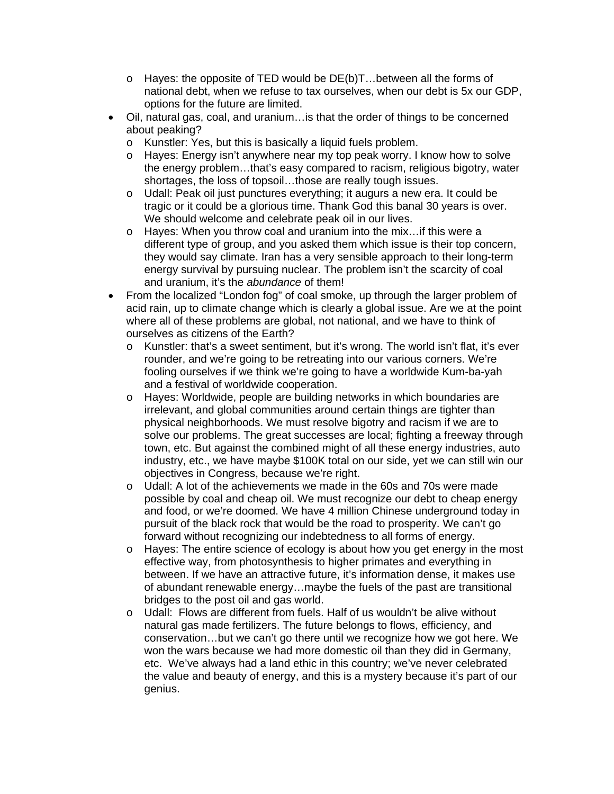- o Hayes: the opposite of TED would be DE(b)T…between all the forms of national debt, when we refuse to tax ourselves, when our debt is 5x our GDP, options for the future are limited.
- Oil, natural gas, coal, and uranium…is that the order of things to be concerned about peaking?
	- o Kunstler: Yes, but this is basically a liquid fuels problem.
	- o Hayes: Energy isn't anywhere near my top peak worry. I know how to solve the energy problem…that's easy compared to racism, religious bigotry, water shortages, the loss of topsoil…those are really tough issues.
	- o Udall: Peak oil just punctures everything; it augurs a new era. It could be tragic or it could be a glorious time. Thank God this banal 30 years is over. We should welcome and celebrate peak oil in our lives.
	- o Hayes: When you throw coal and uranium into the mix…if this were a different type of group, and you asked them which issue is their top concern, they would say climate. Iran has a very sensible approach to their long-term energy survival by pursuing nuclear. The problem isn't the scarcity of coal and uranium, it's the *abundance* of them!
- From the localized "London fog" of coal smoke, up through the larger problem of acid rain, up to climate change which is clearly a global issue. Are we at the point where all of these problems are global, not national, and we have to think of ourselves as citizens of the Earth?
	- o Kunstler: that's a sweet sentiment, but it's wrong. The world isn't flat, it's ever rounder, and we're going to be retreating into our various corners. We're fooling ourselves if we think we're going to have a worldwide Kum-ba-yah and a festival of worldwide cooperation.
	- o Hayes: Worldwide, people are building networks in which boundaries are irrelevant, and global communities around certain things are tighter than physical neighborhoods. We must resolve bigotry and racism if we are to solve our problems. The great successes are local; fighting a freeway through town, etc. But against the combined might of all these energy industries, auto industry, etc., we have maybe \$100K total on our side, yet we can still win our objectives in Congress, because we're right.
	- o Udall: A lot of the achievements we made in the 60s and 70s were made possible by coal and cheap oil. We must recognize our debt to cheap energy and food, or we're doomed. We have 4 million Chinese underground today in pursuit of the black rock that would be the road to prosperity. We can't go forward without recognizing our indebtedness to all forms of energy.
	- o Hayes: The entire science of ecology is about how you get energy in the most effective way, from photosynthesis to higher primates and everything in between. If we have an attractive future, it's information dense, it makes use of abundant renewable energy…maybe the fuels of the past are transitional bridges to the post oil and gas world.
	- o Udall: Flows are different from fuels. Half of us wouldn't be alive without natural gas made fertilizers. The future belongs to flows, efficiency, and conservation…but we can't go there until we recognize how we got here. We won the wars because we had more domestic oil than they did in Germany, etc. We've always had a land ethic in this country; we've never celebrated the value and beauty of energy, and this is a mystery because it's part of our genius.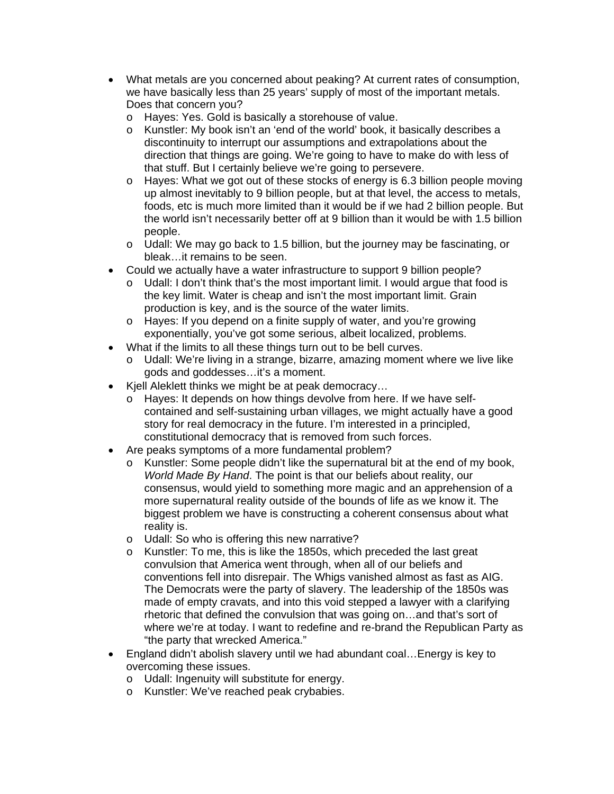- What metals are you concerned about peaking? At current rates of consumption, we have basically less than 25 years' supply of most of the important metals. Does that concern you?
	- o Hayes: Yes. Gold is basically a storehouse of value.
	- o Kunstler: My book isn't an 'end of the world' book, it basically describes a discontinuity to interrupt our assumptions and extrapolations about the direction that things are going. We're going to have to make do with less of that stuff. But I certainly believe we're going to persevere.
	- o Hayes: What we got out of these stocks of energy is 6.3 billion people moving up almost inevitably to 9 billion people, but at that level, the access to metals, foods, etc is much more limited than it would be if we had 2 billion people. But the world isn't necessarily better off at 9 billion than it would be with 1.5 billion people.
	- $\circ$  Udall: We may go back to 1.5 billion, but the journey may be fascinating, or bleak…it remains to be seen.
- Could we actually have a water infrastructure to support 9 billion people?
	- $\circ$  Udall: I don't think that's the most important limit. I would argue that food is the key limit. Water is cheap and isn't the most important limit. Grain production is key, and is the source of the water limits.
	- o Hayes: If you depend on a finite supply of water, and you're growing exponentially, you've got some serious, albeit localized, problems.
- What if the limits to all these things turn out to be bell curves.
	- $\circ$  Udall: We're living in a strange, bizarre, amazing moment where we live like gods and goddesses…it's a moment.
- Kjell Aleklett thinks we might be at peak democracy…
	- o Hayes: It depends on how things devolve from here. If we have selfcontained and self-sustaining urban villages, we might actually have a good story for real democracy in the future. I'm interested in a principled, constitutional democracy that is removed from such forces.
- Are peaks symptoms of a more fundamental problem?
	- o Kunstler: Some people didn't like the supernatural bit at the end of my book, *World Made By Hand*. The point is that our beliefs about reality, our consensus, would yield to something more magic and an apprehension of a more supernatural reality outside of the bounds of life as we know it. The biggest problem we have is constructing a coherent consensus about what reality is.
	- o Udall: So who is offering this new narrative?
	- o Kunstler: To me, this is like the 1850s, which preceded the last great convulsion that America went through, when all of our beliefs and conventions fell into disrepair. The Whigs vanished almost as fast as AIG. The Democrats were the party of slavery. The leadership of the 1850s was made of empty cravats, and into this void stepped a lawyer with a clarifying rhetoric that defined the convulsion that was going on…and that's sort of where we're at today. I want to redefine and re-brand the Republican Party as "the party that wrecked America."
- England didn't abolish slavery until we had abundant coal…Energy is key to overcoming these issues.
	- o Udall: Ingenuity will substitute for energy.
	- o Kunstler: We've reached peak crybabies.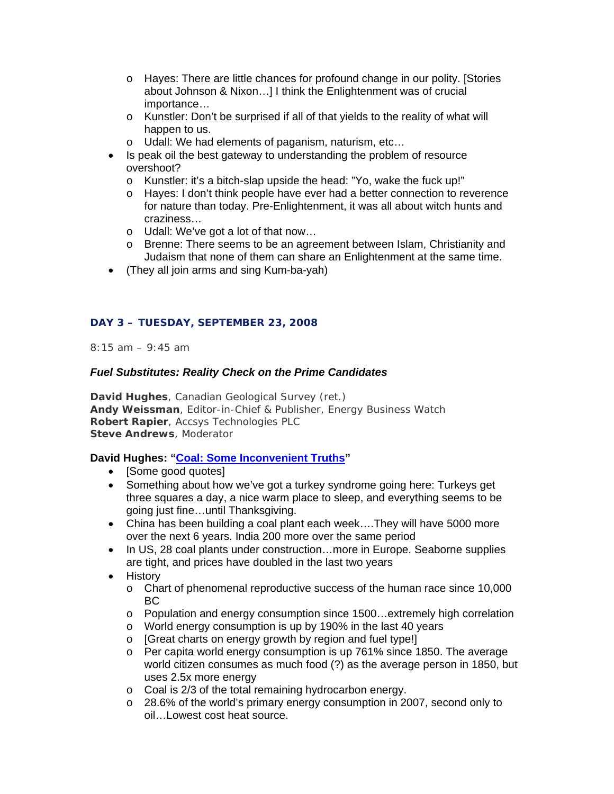- o Hayes: There are little chances for profound change in our polity. [Stories about Johnson & Nixon…] I think the Enlightenment was of crucial importance…
- o Kunstler: Don't be surprised if all of that yields to the reality of what will happen to us.
- o Udall: We had elements of paganism, naturism, etc…
- Is peak oil the best gateway to understanding the problem of resource overshoot?
	- o Kunstler: it's a bitch-slap upside the head: "Yo, wake the fuck up!"
	- o Hayes: I don't think people have ever had a better connection to reverence for nature than today. Pre-Enlightenment, it was all about witch hunts and craziness…
	- o Udall: We've got a lot of that now…
	- o Brenne: There seems to be an agreement between Islam, Christianity and Judaism that none of them can share an Enlightenment at the same time.
- (They all join arms and sing Kum-ba-yah)

# **DAY 3 – TUESDAY, SEPTEMBER 23, 2008**

*8:15 am – 9:45 am*

# *Fuel Substitutes: Reality Check on the Prime Candidates*

**David Hughes**, Canadian Geological Survey (ret.) **Andy Weissman**, Editor-in-Chief & Publisher, Energy Business Watch **Robert Rapier**, Accsys Technologies PLC **Steve Andrews**, Moderator

# **David Hughes: "Coal: Some Inconvenient Truths"**

- [Some good quotes]
- Something about how we've got a turkey syndrome going here: Turkeys get three squares a day, a nice warm place to sleep, and everything seems to be going just fine…until Thanksgiving.
- China has been building a coal plant each week….They will have 5000 more over the next 6 years. India 200 more over the same period
- In US, 28 coal plants under construction...more in Europe. Seaborne supplies are tight, and prices have doubled in the last two years
- History
	- o Chart of phenomenal reproductive success of the human race since 10,000 BC
	- o Population and energy consumption since 1500…extremely high correlation
	- o World energy consumption is up by 190% in the last 40 years
	- o [Great charts on energy growth by region and fuel type!]
	- $\circ$  Per capita world energy consumption is up 761% since 1850. The average world citizen consumes as much food (?) as the average person in 1850, but uses 2.5x more energy
	- o Coal is 2/3 of the total remaining hydrocarbon energy.
	- o 28.6% of the world's primary energy consumption in 2007, second only to oil…Lowest cost heat source.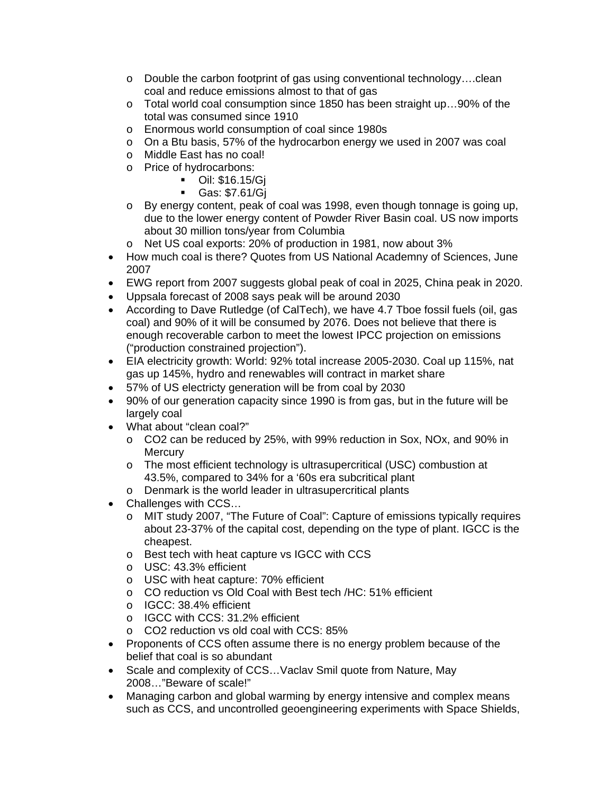- o Double the carbon footprint of gas using conventional technology….clean coal and reduce emissions almost to that of gas
- o Total world coal consumption since 1850 has been straight up…90% of the total was consumed since 1910
- o Enormous world consumption of coal since 1980s
- $\circ$  On a Btu basis, 57% of the hydrocarbon energy we used in 2007 was coal
- o Middle East has no coal!
- o Price of hydrocarbons:
	- Oil: \$16.15/Gj
	- Gas: \$7.61/Gj
- o By energy content, peak of coal was 1998, even though tonnage is going up, due to the lower energy content of Powder River Basin coal. US now imports about 30 million tons/year from Columbia
- o Net US coal exports: 20% of production in 1981, now about 3%
- How much coal is there? Quotes from US National Academny of Sciences, June 2007
- EWG report from 2007 suggests global peak of coal in 2025, China peak in 2020.
- Uppsala forecast of 2008 says peak will be around 2030
- According to Dave Rutledge (of CalTech), we have 4.7 Tboe fossil fuels (oil, gas coal) and 90% of it will be consumed by 2076. Does not believe that there is enough recoverable carbon to meet the lowest IPCC projection on emissions ("production constrained projection").
- EIA electricity growth: World: 92% total increase 2005-2030. Coal up 115%, nat gas up 145%, hydro and renewables will contract in market share
- 57% of US electricty generation will be from coal by 2030
- 90% of our generation capacity since 1990 is from gas, but in the future will be largely coal
- What about "clean coal?"
	- o CO2 can be reduced by 25%, with 99% reduction in Sox, NOx, and 90% in **Mercury**
	- o The most efficient technology is ultrasupercritical (USC) combustion at 43.5%, compared to 34% for a '60s era subcritical plant
	- o Denmark is the world leader in ultrasupercritical plants
- Challenges with CCS…
	- o MIT study 2007, "The Future of Coal": Capture of emissions typically requires about 23-37% of the capital cost, depending on the type of plant. IGCC is the cheapest.
	- o Best tech with heat capture vs IGCC with CCS
	- o USC: 43.3% efficient
	- o USC with heat capture: 70% efficient
	- o CO reduction vs Old Coal with Best tech /HC: 51% efficient
	- o IGCC: 38.4% efficient
	- o IGCC with CCS: 31.2% efficient
	- o CO2 reduction vs old coal with CCS: 85%
- Proponents of CCS often assume there is no energy problem because of the belief that coal is so abundant
- Scale and complexity of CCS...Vaclav Smil quote from Nature, May 2008…"Beware of scale!"
- Managing carbon and global warming by energy intensive and complex means such as CCS, and uncontrolled geoengineering experiments with Space Shields,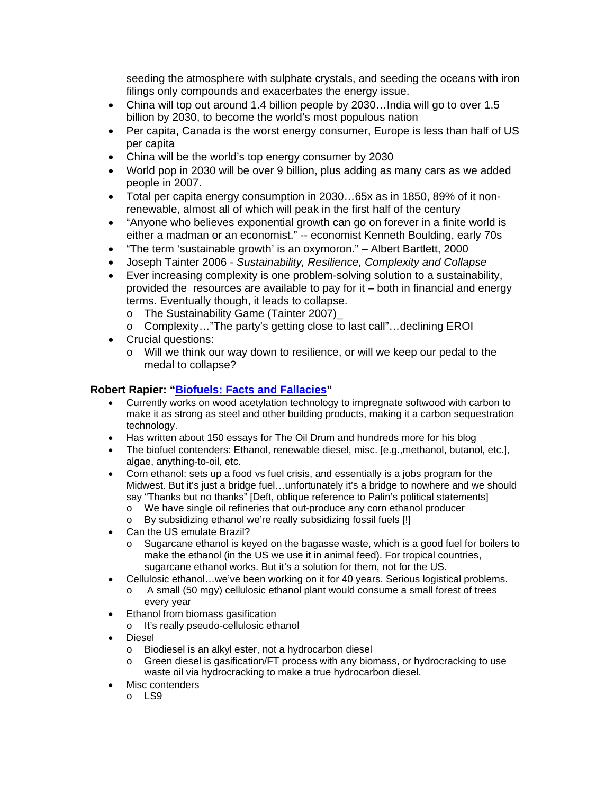seeding the atmosphere with sulphate crystals, and seeding the oceans with iron filings only compounds and exacerbates the energy issue.

- China will top out around 1.4 billion people by 2030...India will go to over 1.5 billion by 2030, to become the world's most populous nation
- Per capita, Canada is the worst energy consumer, Europe is less than half of US per capita
- China will be the world's top energy consumer by 2030
- World pop in 2030 will be over 9 billion, plus adding as many cars as we added people in 2007.
- Total per capita energy consumption in 2030…65x as in 1850, 89% of it nonrenewable, almost all of which will peak in the first half of the century
- "Anyone who believes exponential growth can go on forever in a finite world is either a madman or an economist." -- economist Kenneth Boulding, early 70s
- "The term 'sustainable growth' is an oxymoron." Albert Bartlett, 2000
- Joseph Tainter 2006 *Sustainability, Resilience, Complexity and Collapse*
- Ever increasing complexity is one problem-solving solution to a sustainability, provided the resources are available to pay for it – both in financial and energy terms. Eventually though, it leads to collapse.
	- o The Sustainability Game (Tainter 2007)\_
	- o Complexity…"The party's getting close to last call"…declining EROI
- Crucial questions:
	- o Will we think our way down to resilience, or will we keep our pedal to the medal to collapse?

#### **Robert Rapier: "Biofuels: Facts and Fallacies"**

- Currently works on wood acetylation technology to impregnate softwood with carbon to make it as strong as steel and other building products, making it a carbon sequestration technology.
- Has written about 150 essays for The Oil Drum and hundreds more for his blog
- The biofuel contenders: Ethanol, renewable diesel, misc. [e.g.,methanol, butanol, etc.], algae, anything-to-oil, etc.
- Corn ethanol: sets up a food vs fuel crisis, and essentially is a jobs program for the Midwest. But it's just a bridge fuel…unfortunately it's a bridge to nowhere and we should say "Thanks but no thanks" [Deft, oblique reference to Palin's political statements]
	- o We have single oil refineries that out-produce any corn ethanol producer
	- o By subsidizing ethanol we're really subsidizing fossil fuels [!]
- Can the US emulate Brazil?
	- o Sugarcane ethanol is keyed on the bagasse waste, which is a good fuel for boilers to make the ethanol (in the US we use it in animal feed). For tropical countries, sugarcane ethanol works. But it's a solution for them, not for the US.
- Cellulosic ethanol…we've been working on it for 40 years. Serious logistical problems. o A small (50 mgy) cellulosic ethanol plant would consume a small forest of trees
	- every year
- Ethanol from biomass gasification
	- o It's really pseudo-cellulosic ethanol
- Diesel
	- o Biodiesel is an alkyl ester, not a hydrocarbon diesel
	- o Green diesel is gasification/FT process with any biomass, or hydrocracking to use waste oil via hydrocracking to make a true hydrocarbon diesel.
- Misc contenders
	- o LS9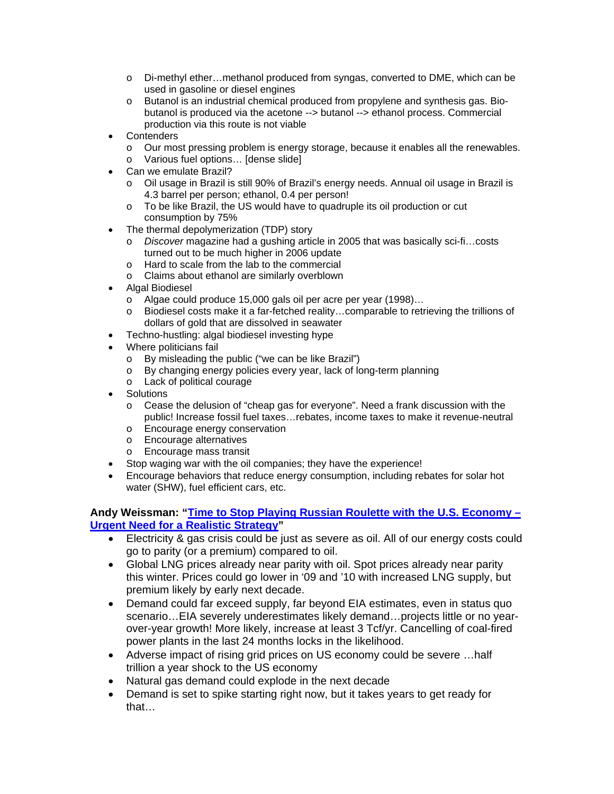- o Di-methyl ether…methanol produced from syngas, converted to DME, which can be used in gasoline or diesel engines
- o Butanol is an industrial chemical produced from propylene and synthesis gas. Biobutanol is produced via the acetone --> butanol --> ethanol process. Commercial production via this route is not viable
- **Contenders** 
	- o Our most pressing problem is energy storage, because it enables all the renewables.
	- o Various fuel options… [dense slide]
- Can we emulate Brazil?
	- o Oil usage in Brazil is still 90% of Brazil's energy needs. Annual oil usage in Brazil is 4.3 barrel per person; ethanol, 0.4 per person!
	- o To be like Brazil, the US would have to quadruple its oil production or cut consumption by 75%
- The thermal depolymerization (TDP) story
	- o *Discover* magazine had a gushing article in 2005 that was basically sci-fi…costs turned out to be much higher in 2006 update
	- o Hard to scale from the lab to the commercial
	- o Claims about ethanol are similarly overblown
- Algal Biodiesel
	- o Algae could produce 15,000 gals oil per acre per year (1998)…
	- o Biodiesel costs make it a far-fetched reality…comparable to retrieving the trillions of dollars of gold that are dissolved in seawater
- Techno-hustling: algal biodiesel investing hype
- Where politicians fail
	- o By misleading the public ("we can be like Brazil")<br>o By changing energy policies every year, lack of lo
	- By changing energy policies every year, lack of long-term planning
	- o Lack of political courage
- **Solutions** 
	- $\circ$  Cease the delusion of "cheap gas for everyone". Need a frank discussion with the public! Increase fossil fuel taxes…rebates, income taxes to make it revenue-neutral
	- o Encourage energy conservation
	- o Encourage alternatives
	- o Encourage mass transit
- Stop waging war with the oil companies; they have the experience!
- Encourage behaviors that reduce energy consumption, including rebates for solar hot water (SHW), fuel efficient cars, etc.

**Andy Weissman: "Time to Stop Playing Russian Roulette with the U.S. Economy – Urgent Need for a Realistic Strategy"** 

- Electricity & gas crisis could be just as severe as oil. All of our energy costs could go to parity (or a premium) compared to oil.
- Global LNG prices already near parity with oil. Spot prices already near parity this winter. Prices could go lower in '09 and '10 with increased LNG supply, but premium likely by early next decade.
- Demand could far exceed supply, far beyond EIA estimates, even in status quo scenario…EIA severely underestimates likely demand…projects little or no yearover-year growth! More likely, increase at least 3 Tcf/yr. Cancelling of coal-fired power plants in the last 24 months locks in the likelihood.
- Adverse impact of rising grid prices on US economy could be severe ...half trillion a year shock to the US economy
- Natural gas demand could explode in the next decade
- Demand is set to spike starting right now, but it takes years to get ready for that…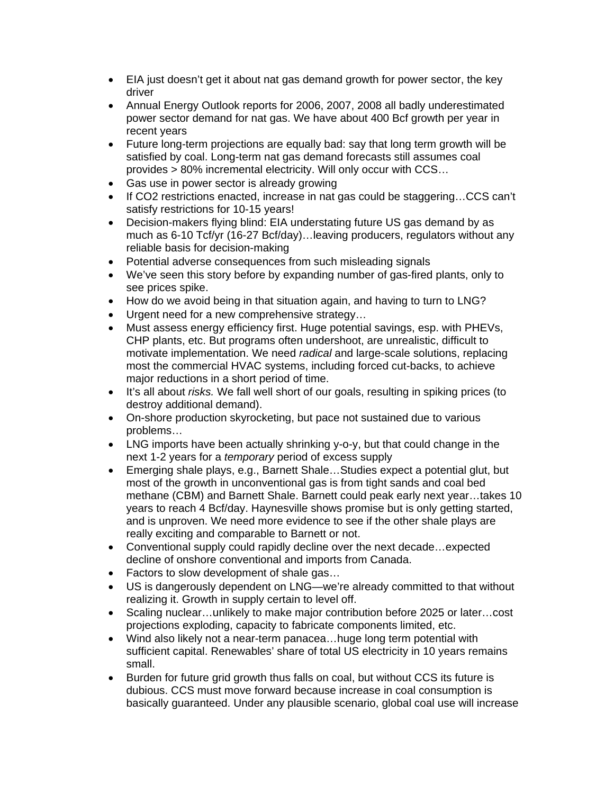- EIA just doesn't get it about nat gas demand growth for power sector, the key driver
- Annual Energy Outlook reports for 2006, 2007, 2008 all badly underestimated power sector demand for nat gas. We have about 400 Bcf growth per year in recent years
- Future long-term projections are equally bad: say that long term growth will be satisfied by coal. Long-term nat gas demand forecasts still assumes coal provides > 80% incremental electricity. Will only occur with CCS…
- Gas use in power sector is already growing
- If CO2 restrictions enacted, increase in nat gas could be staggering…CCS can't satisfy restrictions for 10-15 years!
- Decision-makers flying blind: EIA understating future US gas demand by as much as 6-10 Tcf/yr (16-27 Bcf/day)…leaving producers, regulators without any reliable basis for decision-making
- Potential adverse consequences from such misleading signals
- We've seen this story before by expanding number of gas-fired plants, only to see prices spike.
- How do we avoid being in that situation again, and having to turn to LNG?
- Urgent need for a new comprehensive strategy...
- Must assess energy efficiency first. Huge potential savings, esp. with PHEVs, CHP plants, etc. But programs often undershoot, are unrealistic, difficult to motivate implementation. We need *radical* and large-scale solutions, replacing most the commercial HVAC systems, including forced cut-backs, to achieve major reductions in a short period of time.
- It's all about *risks.* We fall well short of our goals, resulting in spiking prices (to destroy additional demand).
- On-shore production skyrocketing, but pace not sustained due to various problems…
- LNG imports have been actually shrinking y-o-y, but that could change in the next 1-2 years for a *temporary* period of excess supply
- Emerging shale plays, e.g., Barnett Shale…Studies expect a potential glut, but most of the growth in unconventional gas is from tight sands and coal bed methane (CBM) and Barnett Shale. Barnett could peak early next year…takes 10 years to reach 4 Bcf/day. Haynesville shows promise but is only getting started, and is unproven. We need more evidence to see if the other shale plays are really exciting and comparable to Barnett or not.
- Conventional supply could rapidly decline over the next decade... expected decline of onshore conventional and imports from Canada.
- Factors to slow development of shale gas...
- US is dangerously dependent on LNG—we're already committed to that without realizing it. Growth in supply certain to level off.
- Scaling nuclear…unlikely to make major contribution before 2025 or later…cost projections exploding, capacity to fabricate components limited, etc.
- Wind also likely not a near-term panacea...huge long term potential with sufficient capital. Renewables' share of total US electricity in 10 years remains small.
- Burden for future grid growth thus falls on coal, but without CCS its future is dubious. CCS must move forward because increase in coal consumption is basically guaranteed. Under any plausible scenario, global coal use will increase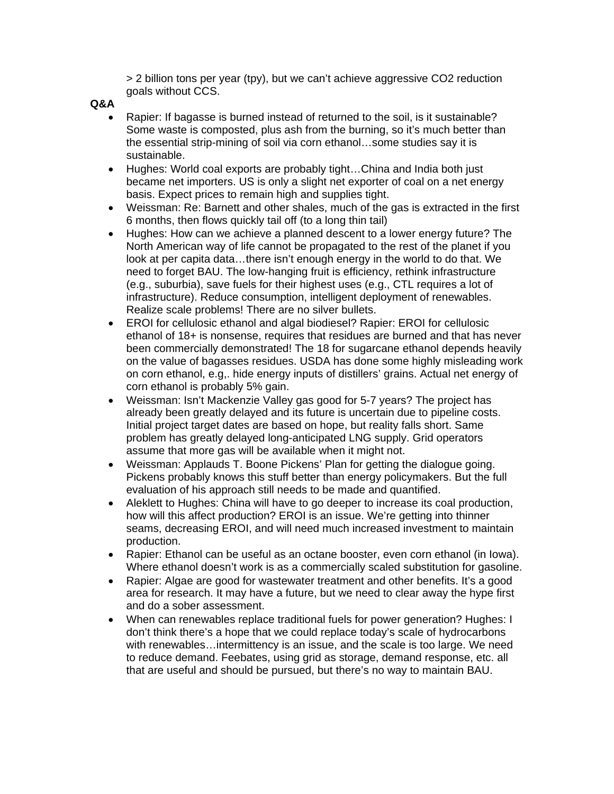> 2 billion tons per year (tpy), but we can't achieve aggressive CO2 reduction goals without CCS.

#### **Q&A**

- Rapier: If bagasse is burned instead of returned to the soil, is it sustainable? Some waste is composted, plus ash from the burning, so it's much better than the essential strip-mining of soil via corn ethanol…some studies say it is sustainable.
- Hughes: World coal exports are probably tight...China and India both just became net importers. US is only a slight net exporter of coal on a net energy basis. Expect prices to remain high and supplies tight.
- Weissman: Re: Barnett and other shales, much of the gas is extracted in the first 6 months, then flows quickly tail off (to a long thin tail)
- Hughes: How can we achieve a planned descent to a lower energy future? The North American way of life cannot be propagated to the rest of the planet if you look at per capita data…there isn't enough energy in the world to do that. We need to forget BAU. The low-hanging fruit is efficiency, rethink infrastructure (e.g., suburbia), save fuels for their highest uses (e.g., CTL requires a lot of infrastructure). Reduce consumption, intelligent deployment of renewables. Realize scale problems! There are no silver bullets.
- EROI for cellulosic ethanol and algal biodiesel? Rapier: EROI for cellulosic ethanol of 18+ is nonsense, requires that residues are burned and that has never been commercially demonstrated! The 18 for sugarcane ethanol depends heavily on the value of bagasses residues. USDA has done some highly misleading work on corn ethanol, e.g,. hide energy inputs of distillers' grains. Actual net energy of corn ethanol is probably 5% gain.
- Weissman: Isn't Mackenzie Valley gas good for 5-7 years? The project has already been greatly delayed and its future is uncertain due to pipeline costs. Initial project target dates are based on hope, but reality falls short. Same problem has greatly delayed long-anticipated LNG supply. Grid operators assume that more gas will be available when it might not.
- Weissman: Applauds T. Boone Pickens' Plan for getting the dialogue going. Pickens probably knows this stuff better than energy policymakers. But the full evaluation of his approach still needs to be made and quantified.
- Aleklett to Hughes: China will have to go deeper to increase its coal production, how will this affect production? EROI is an issue. We're getting into thinner seams, decreasing EROI, and will need much increased investment to maintain production.
- Rapier: Ethanol can be useful as an octane booster, even corn ethanol (in Iowa). Where ethanol doesn't work is as a commercially scaled substitution for gasoline.
- Rapier: Algae are good for wastewater treatment and other benefits. It's a good area for research. It may have a future, but we need to clear away the hype first and do a sober assessment.
- When can renewables replace traditional fuels for power generation? Hughes: I don't think there's a hope that we could replace today's scale of hydrocarbons with renewables…intermittency is an issue, and the scale is too large. We need to reduce demand. Feebates, using grid as storage, demand response, etc. all that are useful and should be pursued, but there's no way to maintain BAU.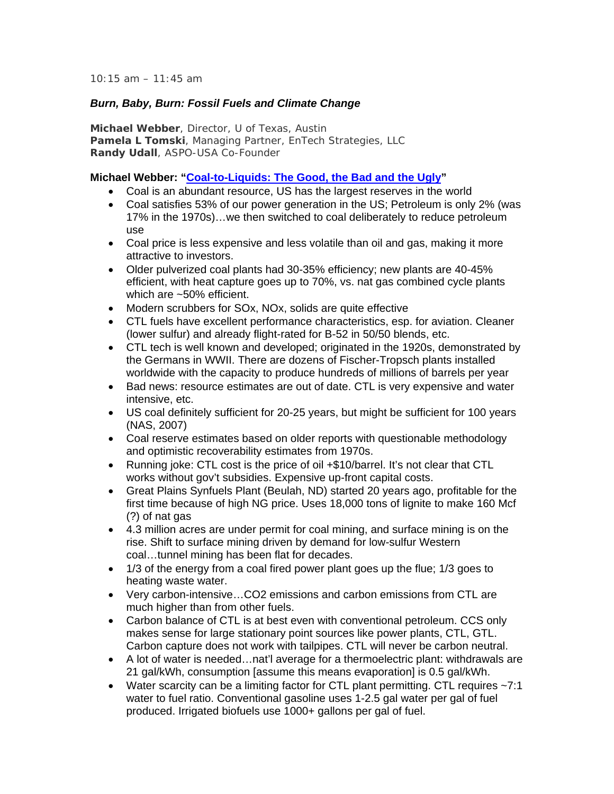*10:15 am – 11:45 am*

#### *Burn, Baby, Burn: Fossil Fuels and Climate Change*

**Michael Webber**, Director, U of Texas, Austin **Pamela L Tomski**, Managing Partner, EnTech Strategies, LLC **Randy Udall**, ASPO-USA Co-Founder

#### **Michael Webber: "Coal-to-Liquids: The Good, the Bad and the Ugly"**

- Coal is an abundant resource, US has the largest reserves in the world
- Coal satisfies 53% of our power generation in the US; Petroleum is only 2% (was 17% in the 1970s)…we then switched to coal deliberately to reduce petroleum use
- Coal price is less expensive and less volatile than oil and gas, making it more attractive to investors.
- Older pulverized coal plants had 30-35% efficiency; new plants are 40-45% efficient, with heat capture goes up to 70%, vs. nat gas combined cycle plants which are ~50% efficient.
- Modern scrubbers for SOx, NOx, solids are quite effective
- CTL fuels have excellent performance characteristics, esp. for aviation. Cleaner (lower sulfur) and already flight-rated for B-52 in 50/50 blends, etc.
- CTL tech is well known and developed; originated in the 1920s, demonstrated by the Germans in WWII. There are dozens of Fischer-Tropsch plants installed worldwide with the capacity to produce hundreds of millions of barrels per year
- Bad news: resource estimates are out of date. CTL is very expensive and water intensive, etc.
- US coal definitely sufficient for 20-25 years, but might be sufficient for 100 years (NAS, 2007)
- Coal reserve estimates based on older reports with questionable methodology and optimistic recoverability estimates from 1970s.
- Running joke: CTL cost is the price of oil +\$10/barrel. It's not clear that CTL works without gov't subsidies. Expensive up-front capital costs.
- Great Plains Synfuels Plant (Beulah, ND) started 20 years ago, profitable for the first time because of high NG price. Uses 18,000 tons of lignite to make 160 Mcf (?) of nat gas
- 4.3 million acres are under permit for coal mining, and surface mining is on the rise. Shift to surface mining driven by demand for low-sulfur Western coal…tunnel mining has been flat for decades.
- 1/3 of the energy from a coal fired power plant goes up the flue; 1/3 goes to heating waste water.
- Very carbon-intensive…CO2 emissions and carbon emissions from CTL are much higher than from other fuels.
- Carbon balance of CTL is at best even with conventional petroleum. CCS only makes sense for large stationary point sources like power plants, CTL, GTL. Carbon capture does not work with tailpipes. CTL will never be carbon neutral.
- A lot of water is needed...nat'l average for a thermoelectric plant: withdrawals are 21 gal/kWh, consumption [assume this means evaporation] is 0.5 gal/kWh.
- Water scarcity can be a limiting factor for CTL plant permitting. CTL requires ~7:1 water to fuel ratio. Conventional gasoline uses 1-2.5 gal water per gal of fuel produced. Irrigated biofuels use 1000+ gallons per gal of fuel.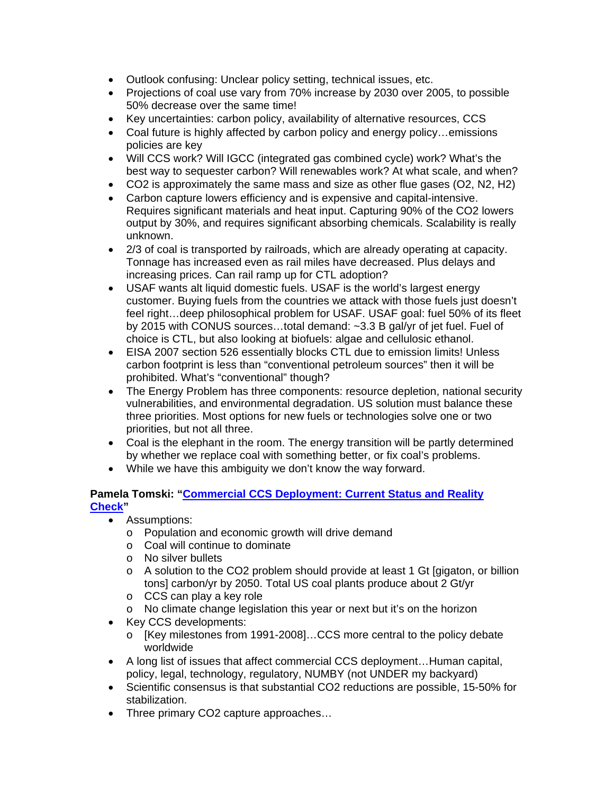- Outlook confusing: Unclear policy setting, technical issues, etc.
- Projections of coal use vary from 70% increase by 2030 over 2005, to possible 50% decrease over the same time!
- Key uncertainties: carbon policy, availability of alternative resources, CCS
- Coal future is highly affected by carbon policy and energy policy...emissions policies are key
- Will CCS work? Will IGCC (integrated gas combined cycle) work? What's the best way to sequester carbon? Will renewables work? At what scale, and when?
- CO2 is approximately the same mass and size as other flue gases (O2, N2, H2)
- Carbon capture lowers efficiency and is expensive and capital-intensive. Requires significant materials and heat input. Capturing 90% of the CO2 lowers output by 30%, and requires significant absorbing chemicals. Scalability is really unknown.
- 2/3 of coal is transported by railroads, which are already operating at capacity. Tonnage has increased even as rail miles have decreased. Plus delays and increasing prices. Can rail ramp up for CTL adoption?
- USAF wants alt liquid domestic fuels. USAF is the world's largest energy customer. Buying fuels from the countries we attack with those fuels just doesn't feel right…deep philosophical problem for USAF. USAF goal: fuel 50% of its fleet by 2015 with CONUS sources…total demand: ~3.3 B gal/yr of jet fuel. Fuel of choice is CTL, but also looking at biofuels: algae and cellulosic ethanol.
- EISA 2007 section 526 essentially blocks CTL due to emission limits! Unless carbon footprint is less than "conventional petroleum sources" then it will be prohibited. What's "conventional" though?
- The Energy Problem has three components: resource depletion, national security vulnerabilities, and environmental degradation. US solution must balance these three priorities. Most options for new fuels or technologies solve one or two priorities, but not all three.
- Coal is the elephant in the room. The energy transition will be partly determined by whether we replace coal with something better, or fix coal's problems.
- While we have this ambiguity we don't know the way forward.

# **Pamela Tomski: "Commercial CCS Deployment: Current Status and Reality Check"**

- Assumptions:
	- o Population and economic growth will drive demand
	- o Coal will continue to dominate
	- o No silver bullets
	- $\circ$  A solution to the CO2 problem should provide at least 1 Gt [gigaton, or billion tons] carbon/yr by 2050. Total US coal plants produce about 2 Gt/yr
	- o CCS can play a key role
	- o No climate change legislation this year or next but it's on the horizon
- Key CCS developments:
	- o [Key milestones from 1991-2008]…CCS more central to the policy debate worldwide
- A long list of issues that affect commercial CCS deployment...Human capital, policy, legal, technology, regulatory, NUMBY (not UNDER my backyard)
- Scientific consensus is that substantial CO2 reductions are possible, 15-50% for stabilization.
- Three primary CO2 capture approaches...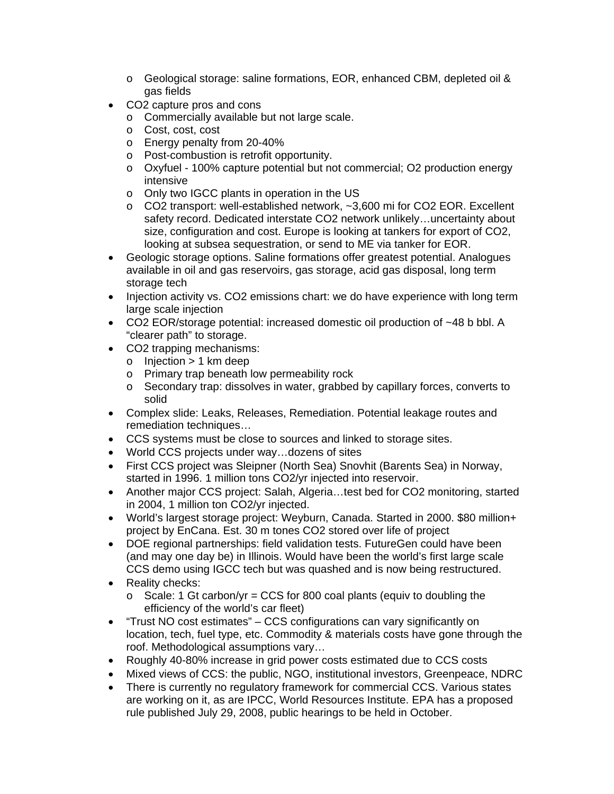- o Geological storage: saline formations, EOR, enhanced CBM, depleted oil & gas fields
- CO2 capture pros and cons
	- o Commercially available but not large scale.
	- o Cost, cost, cost
	- o Energy penalty from 20-40%
	- o Post-combustion is retrofit opportunity.
	- o Oxyfuel 100% capture potential but not commercial; O2 production energy intensive
	- o Only two IGCC plants in operation in the US
	- o CO2 transport: well-established network, ~3,600 mi for CO2 EOR. Excellent safety record. Dedicated interstate CO2 network unlikely…uncertainty about size, configuration and cost. Europe is looking at tankers for export of CO2, looking at subsea sequestration, or send to ME via tanker for EOR.
- Geologic storage options. Saline formations offer greatest potential. Analogues available in oil and gas reservoirs, gas storage, acid gas disposal, long term storage tech
- Injection activity vs. CO2 emissions chart: we do have experience with long term large scale injection
- CO2 EOR/storage potential: increased domestic oil production of ~48 b bbl. A "clearer path" to storage.
- CO2 trapping mechanisms:
	- $\circ$  Injection > 1 km deep
	- o Primary trap beneath low permeability rock
	- o Secondary trap: dissolves in water, grabbed by capillary forces, converts to solid
- Complex slide: Leaks, Releases, Remediation. Potential leakage routes and remediation techniques…
- CCS systems must be close to sources and linked to storage sites.
- World CCS projects under way…dozens of sites
- First CCS project was Sleipner (North Sea) Snovhit (Barents Sea) in Norway, started in 1996. 1 million tons CO2/yr injected into reservoir.
- Another major CCS project: Salah, Algeria...test bed for CO2 monitoring, started in 2004, 1 million ton CO2/yr injected.
- World's largest storage project: Weyburn, Canada. Started in 2000. \$80 million+ project by EnCana. Est. 30 m tones CO2 stored over life of project
- DOE regional partnerships: field validation tests. FutureGen could have been (and may one day be) in Illinois. Would have been the world's first large scale CCS demo using IGCC tech but was quashed and is now being restructured.
- Reality checks:
	- $\circ$  Scale: 1 Gt carbon/yr = CCS for 800 coal plants (equiv to doubling the efficiency of the world's car fleet)
- "Trust NO cost estimates" CCS configurations can vary significantly on location, tech, fuel type, etc. Commodity & materials costs have gone through the roof. Methodological assumptions vary…
- Roughly 40-80% increase in grid power costs estimated due to CCS costs
- Mixed views of CCS: the public, NGO, institutional investors, Greenpeace, NDRC
- There is currently no regulatory framework for commercial CCS. Various states are working on it, as are IPCC, World Resources Institute. EPA has a proposed rule published July 29, 2008, public hearings to be held in October.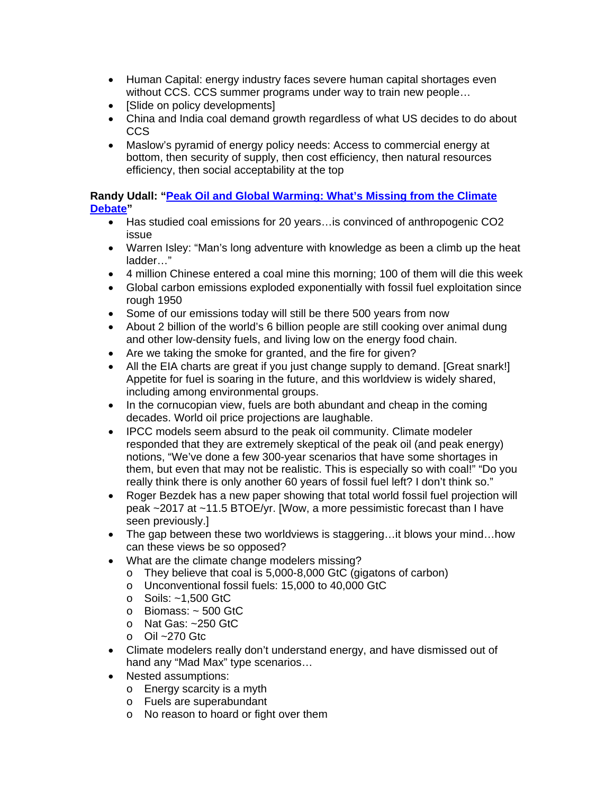- Human Capital: energy industry faces severe human capital shortages even without CCS. CCS summer programs under way to train new people…
- [Slide on policy developments]
- China and India coal demand growth regardless of what US decides to do about CCS
- Maslow's pyramid of energy policy needs: Access to commercial energy at bottom, then security of supply, then cost efficiency, then natural resources efficiency, then social acceptability at the top

# **Randy Udall: "Peak Oil and Global Warming: What's Missing from the Climate Debate"**

- Has studied coal emissions for 20 years... is convinced of anthropogenic CO2 issue
- Warren Isley: "Man's long adventure with knowledge as been a climb up the heat ladder…"
- 4 million Chinese entered a coal mine this morning; 100 of them will die this week
- Global carbon emissions exploded exponentially with fossil fuel exploitation since rough 1950
- Some of our emissions today will still be there 500 years from now
- About 2 billion of the world's 6 billion people are still cooking over animal dung and other low-density fuels, and living low on the energy food chain.
- Are we taking the smoke for granted, and the fire for given?
- All the EIA charts are great if you just change supply to demand. [Great snark!] Appetite for fuel is soaring in the future, and this worldview is widely shared, including among environmental groups.
- In the cornucopian view, fuels are both abundant and cheap in the coming decades. World oil price projections are laughable.
- IPCC models seem absurd to the peak oil community. Climate modeler responded that they are extremely skeptical of the peak oil (and peak energy) notions, "We've done a few 300-year scenarios that have some shortages in them, but even that may not be realistic. This is especially so with coal!" "Do you really think there is only another 60 years of fossil fuel left? I don't think so."
- Roger Bezdek has a new paper showing that total world fossil fuel projection will peak ~2017 at ~11.5 BTOE/yr. [Wow, a more pessimistic forecast than I have seen previously.]
- The gap between these two worldviews is staggering…it blows your mind…how can these views be so opposed?
- What are the climate change modelers missing?
	- o They believe that coal is 5,000-8,000 GtC (gigatons of carbon)
	- o Unconventional fossil fuels: 15,000 to 40,000 GtC
	- o Soils: ~1,500 GtC
	- $\circ$  Biomass:  $\sim$  500 GtC
	- o Nat Gas: ~250 GtC
	- o Oil ~270 Gtc
- Climate modelers really don't understand energy, and have dismissed out of hand any "Mad Max" type scenarios…
- Nested assumptions:
	- o Energy scarcity is a myth
	- o Fuels are superabundant
	- o No reason to hoard or fight over them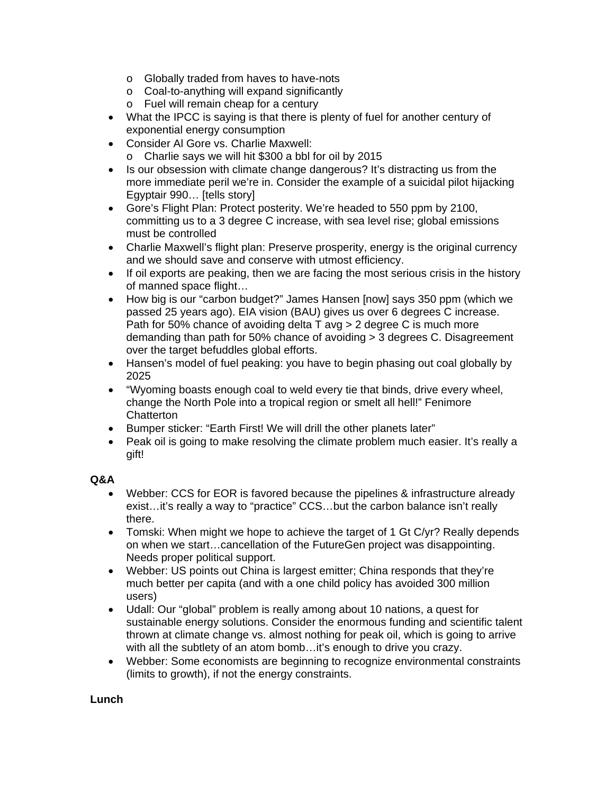- o Globally traded from haves to have-nots
- o Coal-to-anything will expand significantly
- o Fuel will remain cheap for a century
- What the IPCC is saying is that there is plenty of fuel for another century of exponential energy consumption
- Consider Al Gore vs. Charlie Maxwell:
	- o Charlie says we will hit \$300 a bbl for oil by 2015
- Is our obsession with climate change dangerous? It's distracting us from the more immediate peril we're in. Consider the example of a suicidal pilot hijacking Egyptair 990… [tells story]
- Gore's Flight Plan: Protect posterity. We're headed to 550 ppm by 2100, committing us to a 3 degree C increase, with sea level rise; global emissions must be controlled
- Charlie Maxwell's flight plan: Preserve prosperity, energy is the original currency and we should save and conserve with utmost efficiency.
- If oil exports are peaking, then we are facing the most serious crisis in the history of manned space flight…
- How big is our "carbon budget?" James Hansen [now] says 350 ppm (which we passed 25 years ago). EIA vision (BAU) gives us over 6 degrees C increase. Path for 50% chance of avoiding delta T avg > 2 degree C is much more demanding than path for 50% chance of avoiding  $>$  3 degrees C. Disagreement over the target befuddles global efforts.
- Hansen's model of fuel peaking: you have to begin phasing out coal globally by 2025
- "Wyoming boasts enough coal to weld every tie that binds, drive every wheel, change the North Pole into a tropical region or smelt all hell!" Fenimore **Chatterton**
- Bumper sticker: "Earth First! We will drill the other planets later"
- Peak oil is going to make resolving the climate problem much easier. It's really a gift!

# **Q&A**

- Webber: CCS for EOR is favored because the pipelines & infrastructure already exist…it's really a way to "practice" CCS…but the carbon balance isn't really there.
- Tomski: When might we hope to achieve the target of 1 Gt C/yr? Really depends on when we start…cancellation of the FutureGen project was disappointing. Needs proper political support.
- Webber: US points out China is largest emitter; China responds that they're much better per capita (and with a one child policy has avoided 300 million users)
- Udall: Our "global" problem is really among about 10 nations, a quest for sustainable energy solutions. Consider the enormous funding and scientific talent thrown at climate change vs. almost nothing for peak oil, which is going to arrive with all the subtlety of an atom bomb...it's enough to drive you crazy.
- Webber: Some economists are beginning to recognize environmental constraints (limits to growth), if not the energy constraints.

# **Lunch**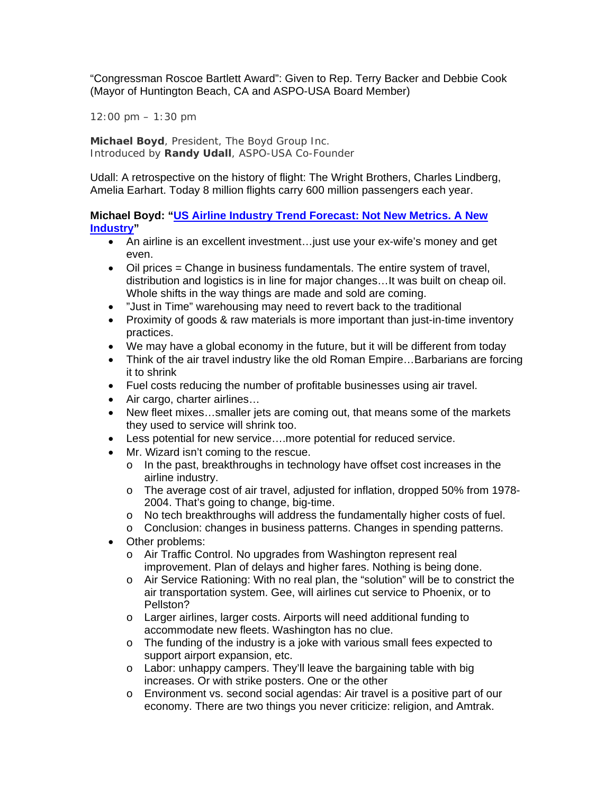"Congressman Roscoe Bartlett Award": Given to Rep. Terry Backer and Debbie Cook (Mayor of Huntington Beach, CA and ASPO-USA Board Member)

*12:00 pm – 1:30 pm*

**Michael Boyd**, President, The Boyd Group Inc. Introduced by **Randy Udall**, ASPO-USA Co-Founder

Udall: A retrospective on the history of flight: The Wright Brothers, Charles Lindberg, Amelia Earhart. Today 8 million flights carry 600 million passengers each year.

**Michael Boyd: "US Airline Industry Trend Forecast: Not New Metrics. A New Industry"** 

- An airline is an excellent investment…just use your ex-wife's money and get even.
- Oil prices = Change in business fundamentals. The entire system of travel, distribution and logistics is in line for major changes…It was built on cheap oil. Whole shifts in the way things are made and sold are coming.
- "Just in Time" warehousing may need to revert back to the traditional
- Proximity of goods & raw materials is more important than just-in-time inventory practices.
- We may have a global economy in the future, but it will be different from today
- Think of the air travel industry like the old Roman Empire...Barbarians are forcing it to shrink
- Fuel costs reducing the number of profitable businesses using air travel.
- Air cargo, charter airlines…
- New fleet mixes…smaller jets are coming out, that means some of the markets they used to service will shrink too.
- Less potential for new service….more potential for reduced service.
- Mr. Wizard isn't coming to the rescue.
	- o In the past, breakthroughs in technology have offset cost increases in the airline industry.
	- o The average cost of air travel, adjusted for inflation, dropped 50% from 1978- 2004. That's going to change, big-time.
	- o No tech breakthroughs will address the fundamentally higher costs of fuel.
	- o Conclusion: changes in business patterns. Changes in spending patterns.
- Other problems:
	- o Air Traffic Control. No upgrades from Washington represent real improvement. Plan of delays and higher fares. Nothing is being done.
	- o Air Service Rationing: With no real plan, the "solution" will be to constrict the air transportation system. Gee, will airlines cut service to Phoenix, or to Pellston?
	- o Larger airlines, larger costs. Airports will need additional funding to accommodate new fleets. Washington has no clue.
	- o The funding of the industry is a joke with various small fees expected to support airport expansion, etc.
	- o Labor: unhappy campers. They'll leave the bargaining table with big increases. Or with strike posters. One or the other
	- o Environment vs. second social agendas: Air travel is a positive part of our economy. There are two things you never criticize: religion, and Amtrak.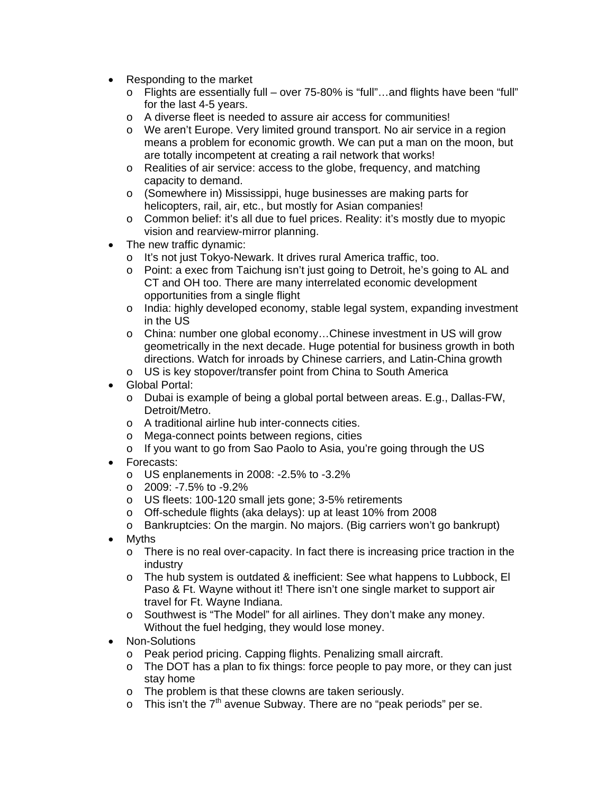- Responding to the market
	- o Flights are essentially full over 75-80% is "full"…and flights have been "full" for the last 4-5 years.
	- o A diverse fleet is needed to assure air access for communities!
	- o We aren't Europe. Very limited ground transport. No air service in a region means a problem for economic growth. We can put a man on the moon, but are totally incompetent at creating a rail network that works!
	- o Realities of air service: access to the globe, frequency, and matching capacity to demand.
	- o (Somewhere in) Mississippi, huge businesses are making parts for helicopters, rail, air, etc., but mostly for Asian companies!
	- $\circ$  Common belief: it's all due to fuel prices. Reality: it's mostly due to myopic vision and rearview-mirror planning.
- The new traffic dynamic:
	- o It's not just Tokyo-Newark. It drives rural America traffic, too.
	- o Point: a exec from Taichung isn't just going to Detroit, he's going to AL and CT and OH too. There are many interrelated economic development opportunities from a single flight
	- o India: highly developed economy, stable legal system, expanding investment in the US
	- o China: number one global economy…Chinese investment in US will grow geometrically in the next decade. Huge potential for business growth in both directions. Watch for inroads by Chinese carriers, and Latin-China growth
	- o US is key stopover/transfer point from China to South America
- Global Portal:
	- o Dubai is example of being a global portal between areas. E.g., Dallas-FW, Detroit/Metro.
	- o A traditional airline hub inter-connects cities.
	- o Mega-connect points between regions, cities
	- o If you want to go from Sao Paolo to Asia, you're going through the US
- Forecasts:
	- o US enplanements in 2008: -2.5% to -3.2%
	- $\circ$  2009: -7.5% to -9.2%
	- o US fleets: 100-120 small jets gone; 3-5% retirements
	- o Off-schedule flights (aka delays): up at least 10% from 2008
	- o Bankruptcies: On the margin. No majors. (Big carriers won't go bankrupt)
- Myths
	- o There is no real over-capacity. In fact there is increasing price traction in the industry
	- o The hub system is outdated & inefficient: See what happens to Lubbock, El Paso & Ft. Wayne without it! There isn't one single market to support air travel for Ft. Wayne Indiana.
	- o Southwest is "The Model" for all airlines. They don't make any money. Without the fuel hedging, they would lose money.
- Non-Solutions
	- o Peak period pricing. Capping flights. Penalizing small aircraft.
	- o The DOT has a plan to fix things: force people to pay more, or they can just stay home
	- o The problem is that these clowns are taken seriously.
	- $\circ$  This isn't the 7<sup>th</sup> avenue Subway. There are no "peak periods" per se.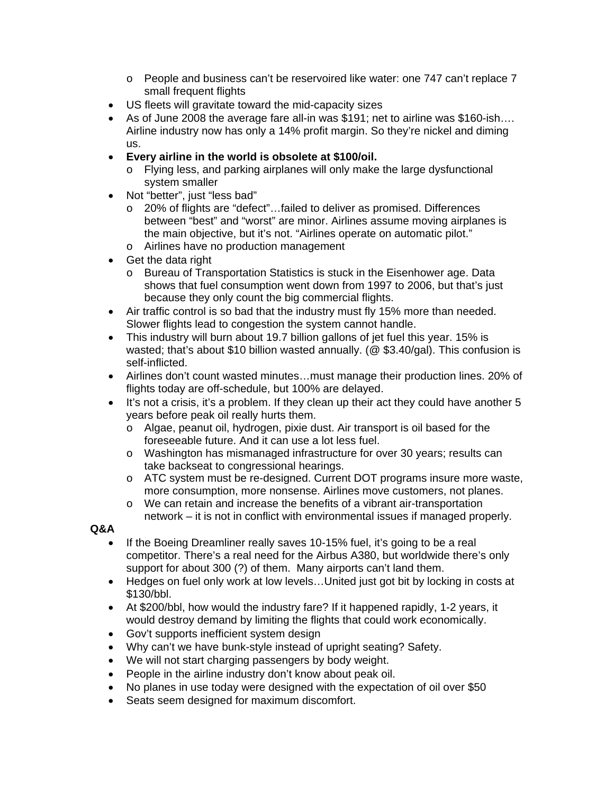- o People and business can't be reservoired like water: one 747 can't replace 7 small frequent flights
- US fleets will gravitate toward the mid-capacity sizes
- As of June 2008 the average fare all-in was \$191; net to airline was \$160-ish…. Airline industry now has only a 14% profit margin. So they're nickel and diming us.
- **Every airline in the world is obsolete at \$100/oil.** 
	- o Flying less, and parking airplanes will only make the large dysfunctional system smaller
- Not "better", just "less bad"
	- o 20% of flights are "defect"…failed to deliver as promised. Differences between "best" and "worst" are minor. Airlines assume moving airplanes is the main objective, but it's not. "Airlines operate on automatic pilot."
	- o Airlines have no production management
- Get the data right
	- o Bureau of Transportation Statistics is stuck in the Eisenhower age. Data shows that fuel consumption went down from 1997 to 2006, but that's just because they only count the big commercial flights.
- Air traffic control is so bad that the industry must fly 15% more than needed. Slower flights lead to congestion the system cannot handle.
- This industry will burn about 19.7 billion gallons of jet fuel this year. 15% is wasted; that's about \$10 billion wasted annually. (@ \$3.40/gal). This confusion is self-inflicted.
- Airlines don't count wasted minutes…must manage their production lines. 20% of flights today are off-schedule, but 100% are delayed.
- It's not a crisis, it's a problem. If they clean up their act they could have another 5 years before peak oil really hurts them.
	- o Algae, peanut oil, hydrogen, pixie dust. Air transport is oil based for the foreseeable future. And it can use a lot less fuel.
	- o Washington has mismanaged infrastructure for over 30 years; results can take backseat to congressional hearings.
	- o ATC system must be re-designed. Current DOT programs insure more waste, more consumption, more nonsense. Airlines move customers, not planes.
	- o We can retain and increase the benefits of a vibrant air-transportation network – it is not in conflict with environmental issues if managed properly.

# **Q&A**

- If the Boeing Dreamliner really saves 10-15% fuel, it's going to be a real competitor. There's a real need for the Airbus A380, but worldwide there's only support for about 300 (?) of them. Many airports can't land them.
- Hedges on fuel only work at low levels... United just got bit by locking in costs at \$130/bbl.
- At \$200/bbl, how would the industry fare? If it happened rapidly, 1-2 years, it would destroy demand by limiting the flights that could work economically.
- Gov't supports inefficient system design
- Why can't we have bunk-style instead of upright seating? Safety.
- We will not start charging passengers by body weight.
- People in the airline industry don't know about peak oil.
- No planes in use today were designed with the expectation of oil over \$50
- Seats seem designed for maximum discomfort.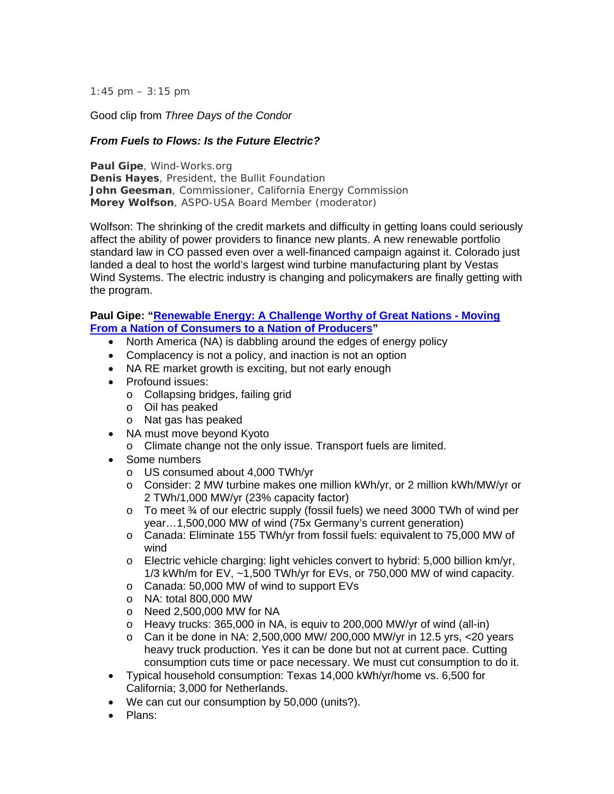*1:45 pm – 3:15 pm*

Good clip from *Three Days of the Condor*

# *From Fuels to Flows: Is the Future Electric?*

**Paul Gipe**, Wind-Works.org **Denis Hayes**, President, the Bullit Foundation **John Geesman**, Commissioner, California Energy Commission **Morey Wolfson**, ASPO-USA Board Member (moderator)

Wolfson: The shrinking of the credit markets and difficulty in getting loans could seriously affect the ability of power providers to finance new plants. A new renewable portfolio standard law in CO passed even over a well-financed campaign against it. Colorado just landed a deal to host the world's largest wind turbine manufacturing plant by Vestas Wind Systems. The electric industry is changing and policymakers are finally getting with the program.

#### **Paul Gipe: "Renewable Energy: A Challenge Worthy of Great Nations - Moving From a Nation of Consumers to a Nation of Producers"**

- North America (NA) is dabbling around the edges of energy policy
- Complacency is not a policy, and inaction is not an option
- NA RE market growth is exciting, but not early enough
- Profound issues:
	- o Collapsing bridges, failing grid
	- o Oil has peaked
	- o Nat gas has peaked
- NA must move beyond Kyoto
	- o Climate change not the only issue. Transport fuels are limited.
- Some numbers
	- o US consumed about 4,000 TWh/yr
	- o Consider: 2 MW turbine makes one million kWh/yr, or 2 million kWh/MW/yr or 2 TWh/1,000 MW/yr (23% capacity factor)
	- $\circ$  To meet  $\frac{3}{4}$  of our electric supply (fossil fuels) we need 3000 TWh of wind per year…1,500,000 MW of wind (75x Germany's current generation)
	- o Canada: Eliminate 155 TWh/yr from fossil fuels: equivalent to 75,000 MW of wind
	- $\circ$  Electric vehicle charging: light vehicles convert to hybrid: 5,000 billion km/yr, 1/3 kWh/m for EV, ~1,500 TWh/yr for EVs, or 750,000 MW of wind capacity.
	- o Canada: 50,000 MW of wind to support EVs
	- o NA: total 800,000 MW
	- o Need 2,500,000 MW for NA
	- o Heavy trucks: 365,000 in NA, is equiv to 200,000 MW/yr of wind (all-in)
	- $\circ$  Can it be done in NA: 2,500,000 MW/ 200,000 MW/yr in 12.5 yrs, <20 years heavy truck production. Yes it can be done but not at current pace. Cutting consumption cuts time or pace necessary. We must cut consumption to do it.
- Typical household consumption: Texas 14,000 kWh/yr/home vs. 6,500 for California; 3,000 for Netherlands.
- We can cut our consumption by 50,000 (units?).
- Plans: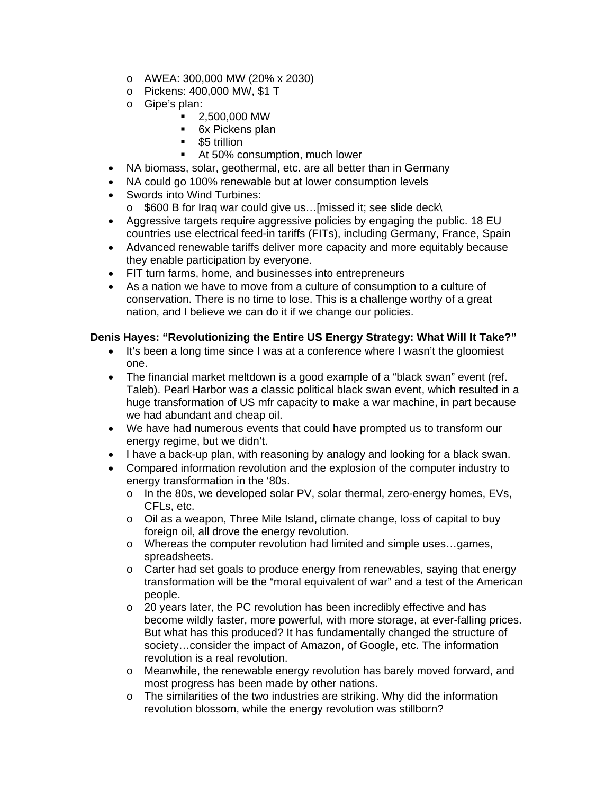- o AWEA: 300,000 MW (20% x 2030)
- o Pickens: 400,000 MW, \$1 T
- o Gipe's plan:
	- 2,500,000 MW
	- 6x Pickens plan
	- **55 trillion**
	- At 50% consumption, much lower
- NA biomass, solar, geothermal, etc. are all better than in Germany
- NA could go 100% renewable but at lower consumption levels
- Swords into Wind Turbines:
	- o \$600 B for Iraq war could give us…[missed it; see slide deck\
- Aggressive targets require aggressive policies by engaging the public. 18 EU countries use electrical feed-in tariffs (FITs), including Germany, France, Spain
- Advanced renewable tariffs deliver more capacity and more equitably because they enable participation by everyone.
- FIT turn farms, home, and businesses into entrepreneurs
- As a nation we have to move from a culture of consumption to a culture of conservation. There is no time to lose. This is a challenge worthy of a great nation, and I believe we can do it if we change our policies.

# **Denis Hayes: "Revolutionizing the Entire US Energy Strategy: What Will It Take?"**

- It's been a long time since I was at a conference where I wasn't the gloomiest one.
- The financial market meltdown is a good example of a "black swan" event (ref. Taleb). Pearl Harbor was a classic political black swan event, which resulted in a huge transformation of US mfr capacity to make a war machine, in part because we had abundant and cheap oil.
- We have had numerous events that could have prompted us to transform our energy regime, but we didn't.
- I have a back-up plan, with reasoning by analogy and looking for a black swan.
- Compared information revolution and the explosion of the computer industry to energy transformation in the '80s.
	- o In the 80s, we developed solar PV, solar thermal, zero-energy homes, EVs, CFLs, etc.
	- o Oil as a weapon, Three Mile Island, climate change, loss of capital to buy foreign oil, all drove the energy revolution.
	- o Whereas the computer revolution had limited and simple uses…games, spreadsheets.
	- $\circ$  Carter had set goals to produce energy from renewables, saying that energy transformation will be the "moral equivalent of war" and a test of the American people.
	- o 20 years later, the PC revolution has been incredibly effective and has become wildly faster, more powerful, with more storage, at ever-falling prices. But what has this produced? It has fundamentally changed the structure of society…consider the impact of Amazon, of Google, etc. The information revolution is a real revolution.
	- o Meanwhile, the renewable energy revolution has barely moved forward, and most progress has been made by other nations.
	- o The similarities of the two industries are striking. Why did the information revolution blossom, while the energy revolution was stillborn?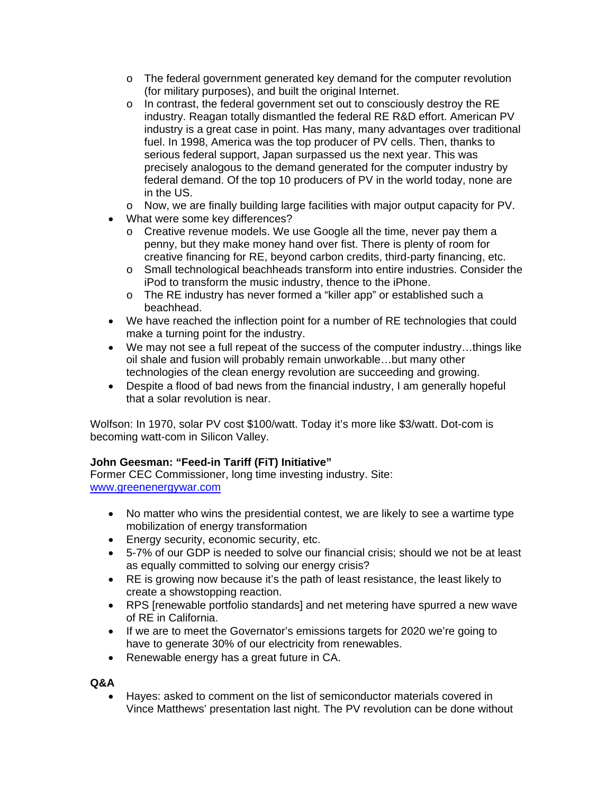- o The federal government generated key demand for the computer revolution (for military purposes), and built the original Internet.
- o In contrast, the federal government set out to consciously destroy the RE industry. Reagan totally dismantled the federal RE R&D effort. American PV industry is a great case in point. Has many, many advantages over traditional fuel. In 1998, America was the top producer of PV cells. Then, thanks to serious federal support, Japan surpassed us the next year. This was precisely analogous to the demand generated for the computer industry by federal demand. Of the top 10 producers of PV in the world today, none are in the US.
- o Now, we are finally building large facilities with major output capacity for PV.
- What were some key differences?
	- o Creative revenue models. We use Google all the time, never pay them a penny, but they make money hand over fist. There is plenty of room for creative financing for RE, beyond carbon credits, third-party financing, etc.
	- o Small technological beachheads transform into entire industries. Consider the iPod to transform the music industry, thence to the iPhone.
	- o The RE industry has never formed a "killer app" or established such a beachhead.
- We have reached the inflection point for a number of RE technologies that could make a turning point for the industry.
- We may not see a full repeat of the success of the computer industry…things like oil shale and fusion will probably remain unworkable…but many other technologies of the clean energy revolution are succeeding and growing.
- Despite a flood of bad news from the financial industry, I am generally hopeful that a solar revolution is near.

Wolfson: In 1970, solar PV cost \$100/watt. Today it's more like \$3/watt. Dot-com is becoming watt-com in Silicon Valley.

# **John Geesman: "Feed-in Tariff (FiT) Initiative"**

Former CEC Commissioner, long time investing industry. Site: www.greenenergywar.com

- No matter who wins the presidential contest, we are likely to see a wartime type mobilization of energy transformation
- Energy security, economic security, etc.
- 5-7% of our GDP is needed to solve our financial crisis; should we not be at least as equally committed to solving our energy crisis?
- RE is growing now because it's the path of least resistance, the least likely to create a showstopping reaction.
- RPS [renewable portfolio standards] and net metering have spurred a new wave of RE in California.
- If we are to meet the Governator's emissions targets for 2020 we're going to have to generate 30% of our electricity from renewables.
- Renewable energy has a great future in CA.

**Q&A** 

• Hayes: asked to comment on the list of semiconductor materials covered in Vince Matthews' presentation last night. The PV revolution can be done without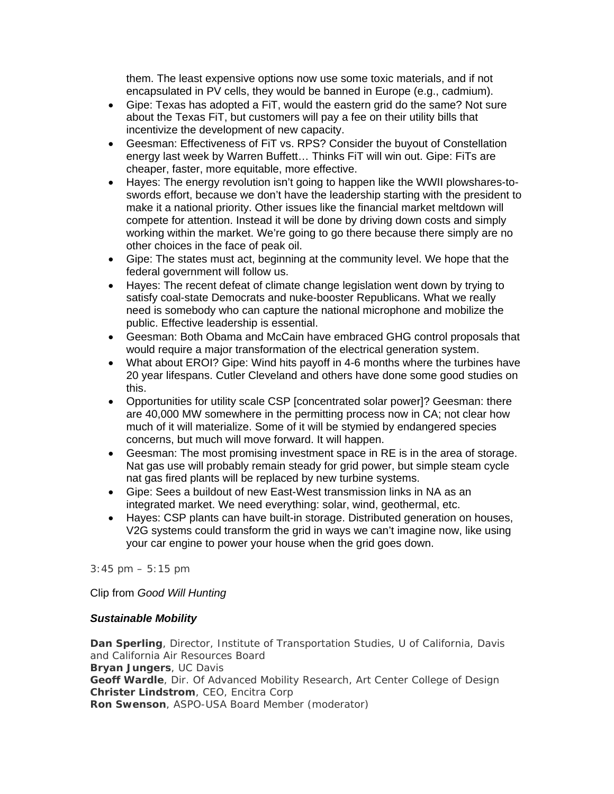them. The least expensive options now use some toxic materials, and if not encapsulated in PV cells, they would be banned in Europe (e.g., cadmium).

- Gipe: Texas has adopted a FiT, would the eastern grid do the same? Not sure about the Texas FiT, but customers will pay a fee on their utility bills that incentivize the development of new capacity.
- Geesman: Effectiveness of FiT vs. RPS? Consider the buyout of Constellation energy last week by Warren Buffett… Thinks FiT will win out. Gipe: FiTs are cheaper, faster, more equitable, more effective.
- Hayes: The energy revolution isn't going to happen like the WWII plowshares-toswords effort, because we don't have the leadership starting with the president to make it a national priority. Other issues like the financial market meltdown will compete for attention. Instead it will be done by driving down costs and simply working within the market. We're going to go there because there simply are no other choices in the face of peak oil.
- Gipe: The states must act, beginning at the community level. We hope that the federal government will follow us.
- Hayes: The recent defeat of climate change legislation went down by trying to satisfy coal-state Democrats and nuke-booster Republicans. What we really need is somebody who can capture the national microphone and mobilize the public. Effective leadership is essential.
- Geesman: Both Obama and McCain have embraced GHG control proposals that would require a major transformation of the electrical generation system.
- What about EROI? Gipe: Wind hits payoff in 4-6 months where the turbines have 20 year lifespans. Cutler Cleveland and others have done some good studies on this.
- Opportunities for utility scale CSP [concentrated solar power]? Geesman: there are 40,000 MW somewhere in the permitting process now in CA; not clear how much of it will materialize. Some of it will be stymied by endangered species concerns, but much will move forward. It will happen.
- Geesman: The most promising investment space in RE is in the area of storage. Nat gas use will probably remain steady for grid power, but simple steam cycle nat gas fired plants will be replaced by new turbine systems.
- Gipe: Sees a buildout of new East-West transmission links in NA as an integrated market. We need everything: solar, wind, geothermal, etc.
- Hayes: CSP plants can have built-in storage. Distributed generation on houses, V2G systems could transform the grid in ways we can't imagine now, like using your car engine to power your house when the grid goes down.

*3:45 pm – 5:15 pm*

Clip from *Good Will Hunting*

# *Sustainable Mobility*

**Dan Sperling**, Director, Institute of Transportation Studies, U of California, Davis and California Air Resources Board **Bryan Jungers**, UC Davis **Geoff Wardle**, Dir. Of Advanced Mobility Research, Art Center College of Design **Christer Lindstrom**, CEO, Encitra Corp **Ron Swenson**, ASPO-USA Board Member (moderator)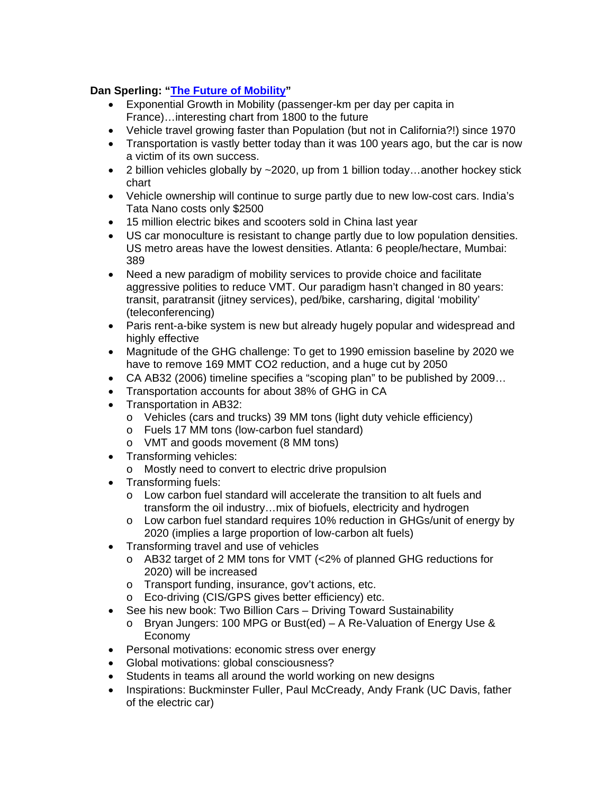# **Dan Sperling: "The Future of Mobility"**

- Exponential Growth in Mobility (passenger-km per day per capita in France)…interesting chart from 1800 to the future
- Vehicle travel growing faster than Population (but not in California?!) since 1970
- Transportation is vastly better today than it was 100 years ago, but the car is now a victim of its own success.
- 2 billion vehicles globally by  $\sim$  2020, up from 1 billion today...another hockey stick chart
- Vehicle ownership will continue to surge partly due to new low-cost cars. India's Tata Nano costs only \$2500
- 15 million electric bikes and scooters sold in China last year
- US car monoculture is resistant to change partly due to low population densities. US metro areas have the lowest densities. Atlanta: 6 people/hectare, Mumbai: 389
- Need a new paradigm of mobility services to provide choice and facilitate aggressive polities to reduce VMT. Our paradigm hasn't changed in 80 years: transit, paratransit (jitney services), ped/bike, carsharing, digital 'mobility' (teleconferencing)
- Paris rent-a-bike system is new but already hugely popular and widespread and highly effective
- Magnitude of the GHG challenge: To get to 1990 emission baseline by 2020 we have to remove 169 MMT CO2 reduction, and a huge cut by 2050
- CA AB32 (2006) timeline specifies a "scoping plan" to be published by 2009…
- Transportation accounts for about 38% of GHG in CA
- Transportation in AB32:
	- o Vehicles (cars and trucks) 39 MM tons (light duty vehicle efficiency)
	- o Fuels 17 MM tons (low-carbon fuel standard)
	- o VMT and goods movement (8 MM tons)
- Transforming vehicles:
	- o Mostly need to convert to electric drive propulsion
- Transforming fuels:
	- o Low carbon fuel standard will accelerate the transition to alt fuels and transform the oil industry…mix of biofuels, electricity and hydrogen
	- o Low carbon fuel standard requires 10% reduction in GHGs/unit of energy by 2020 (implies a large proportion of low-carbon alt fuels)
- Transforming travel and use of vehicles
	- o AB32 target of 2 MM tons for VMT (<2% of planned GHG reductions for 2020) will be increased
	- o Transport funding, insurance, gov't actions, etc.
	- o Eco-driving (CIS/GPS gives better efficiency) etc.
- See his new book: Two Billion Cars Driving Toward Sustainability
	- o Bryan Jungers: 100 MPG or Bust(ed)  $\overline{A}$  Re-Valuation of Energy Use & Economy
- Personal motivations: economic stress over energy
- Global motivations: global consciousness?
- Students in teams all around the world working on new designs
- Inspirations: Buckminster Fuller, Paul McCready, Andy Frank (UC Davis, father of the electric car)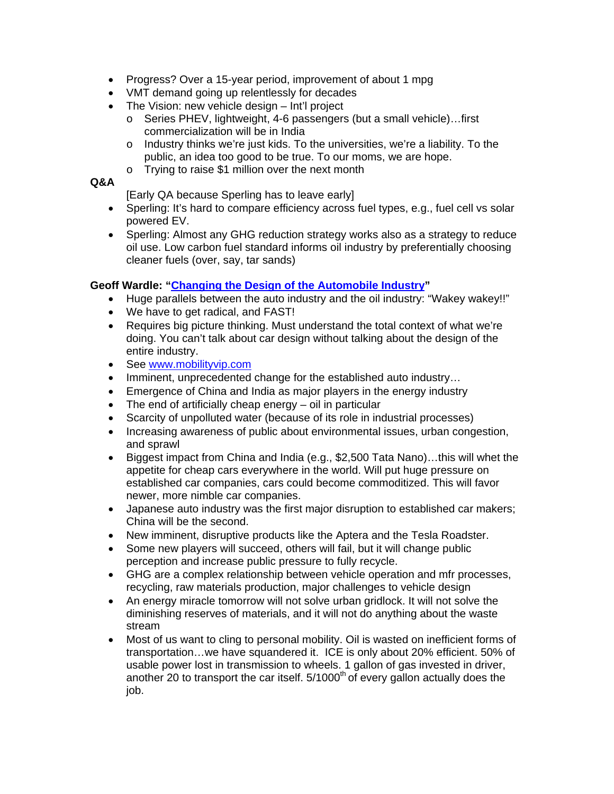- Progress? Over a 15-year period, improvement of about 1 mpg
- VMT demand going up relentlessly for decades
- The Vision: new vehicle design Int'l project
	- o Series PHEV, lightweight, 4-6 passengers (but a small vehicle)…first commercialization will be in India
	- o Industry thinks we're just kids. To the universities, we're a liability. To the public, an idea too good to be true. To our moms, we are hope.
	- o Trying to raise \$1 million over the next month

# **Q&A**

[Early QA because Sperling has to leave early]

- Sperling: It's hard to compare efficiency across fuel types, e.g., fuel cell vs solar powered EV.
- Sperling: Almost any GHG reduction strategy works also as a strategy to reduce oil use. Low carbon fuel standard informs oil industry by preferentially choosing cleaner fuels (over, say, tar sands)

# **Geoff Wardle: "Changing the Design of the Automobile Industry"**

- Huge parallels between the auto industry and the oil industry: "Wakey wakey!!"
- We have to get radical, and FAST!
- Requires big picture thinking. Must understand the total context of what we're doing. You can't talk about car design without talking about the design of the entire industry.
- See www.mobilityvip.com
- Imminent, unprecedented change for the established auto industry...
- Emergence of China and India as major players in the energy industry
- The end of artificially cheap energy oil in particular
- Scarcity of unpolluted water (because of its role in industrial processes)
- Increasing awareness of public about environmental issues, urban congestion, and sprawl
- Biggest impact from China and India (e.g., \$2,500 Tata Nano)…this will whet the appetite for cheap cars everywhere in the world. Will put huge pressure on established car companies, cars could become commoditized. This will favor newer, more nimble car companies.
- Japanese auto industry was the first major disruption to established car makers; China will be the second.
- New imminent, disruptive products like the Aptera and the Tesla Roadster.
- Some new players will succeed, others will fail, but it will change public perception and increase public pressure to fully recycle.
- GHG are a complex relationship between vehicle operation and mfr processes, recycling, raw materials production, major challenges to vehicle design
- An energy miracle tomorrow will not solve urban gridlock. It will not solve the diminishing reserves of materials, and it will not do anything about the waste stream
- Most of us want to cling to personal mobility. Oil is wasted on inefficient forms of transportation…we have squandered it. ICE is only about 20% efficient. 50% of usable power lost in transmission to wheels. 1 gallon of gas invested in driver, another 20 to transport the car itself.  $5/1000<sup>th</sup>$  of every gallon actually does the job.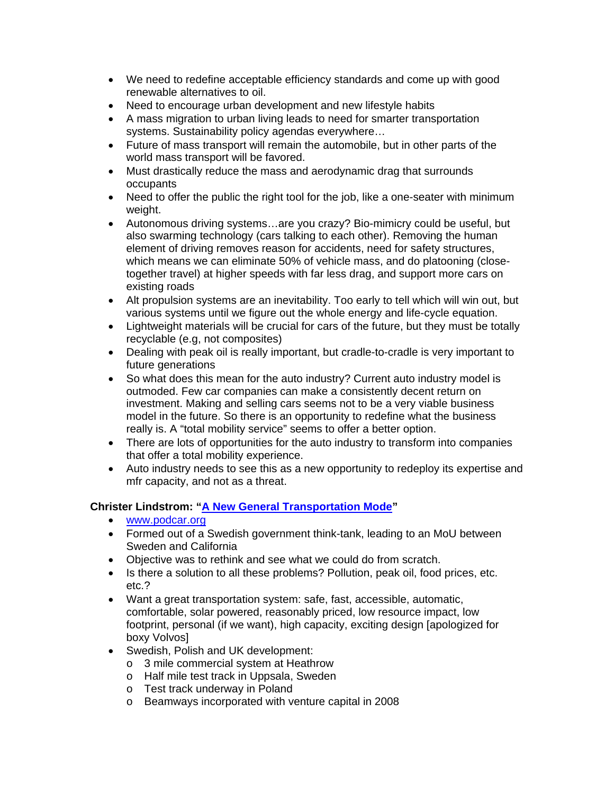- We need to redefine acceptable efficiency standards and come up with good renewable alternatives to oil.
- Need to encourage urban development and new lifestyle habits
- A mass migration to urban living leads to need for smarter transportation systems. Sustainability policy agendas everywhere...
- Future of mass transport will remain the automobile, but in other parts of the world mass transport will be favored.
- Must drastically reduce the mass and aerodynamic drag that surrounds occupants
- Need to offer the public the right tool for the job, like a one-seater with minimum weight.
- Autonomous driving systems…are you crazy? Bio-mimicry could be useful, but also swarming technology (cars talking to each other). Removing the human element of driving removes reason for accidents, need for safety structures, which means we can eliminate 50% of vehicle mass, and do platooning (closetogether travel) at higher speeds with far less drag, and support more cars on existing roads
- Alt propulsion systems are an inevitability. Too early to tell which will win out, but various systems until we figure out the whole energy and life-cycle equation.
- Lightweight materials will be crucial for cars of the future, but they must be totally recyclable (e.g, not composites)
- Dealing with peak oil is really important, but cradle-to-cradle is very important to future generations
- So what does this mean for the auto industry? Current auto industry model is outmoded. Few car companies can make a consistently decent return on investment. Making and selling cars seems not to be a very viable business model in the future. So there is an opportunity to redefine what the business really is. A "total mobility service" seems to offer a better option.
- There are lots of opportunities for the auto industry to transform into companies that offer a total mobility experience.
- Auto industry needs to see this as a new opportunity to redeploy its expertise and mfr capacity, and not as a threat.

# **Christer Lindstrom: "A New General Transportation Mode"**

- www.podcar.org
- Formed out of a Swedish government think-tank, leading to an MoU between Sweden and California
- Objective was to rethink and see what we could do from scratch.
- Is there a solution to all these problems? Pollution, peak oil, food prices, etc. etc.?
- Want a great transportation system: safe, fast, accessible, automatic, comfortable, solar powered, reasonably priced, low resource impact, low footprint, personal (if we want), high capacity, exciting design [apologized for boxy Volvos]
- Swedish, Polish and UK development:
	- o 3 mile commercial system at Heathrow
	- o Half mile test track in Uppsala, Sweden
	- o Test track underway in Poland
	- o Beamways incorporated with venture capital in 2008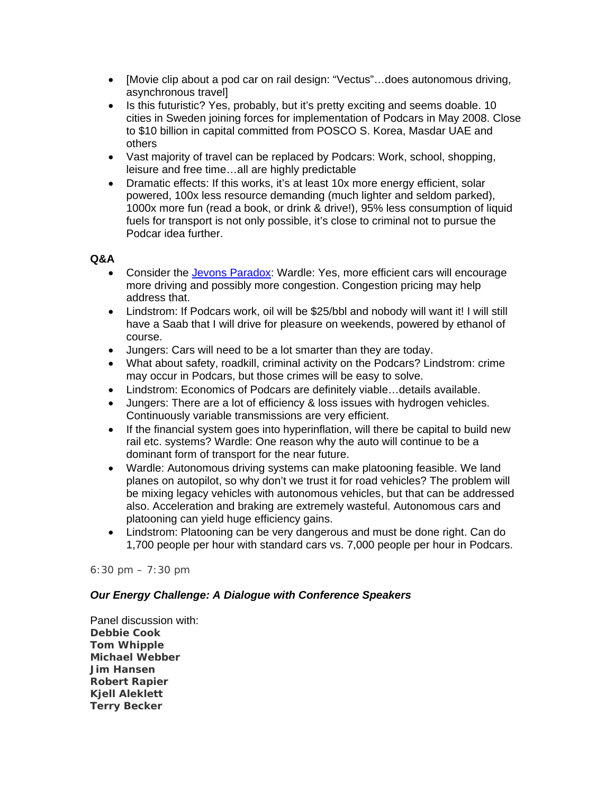- [Movie clip about a pod car on rail design: "Vectus"…does autonomous driving, asynchronous travel]
- Is this futuristic? Yes, probably, but it's pretty exciting and seems doable. 10 cities in Sweden joining forces for implementation of Podcars in May 2008. Close to \$10 billion in capital committed from POSCO S. Korea, Masdar UAE and others
- Vast majority of travel can be replaced by Podcars: Work, school, shopping, leisure and free time…all are highly predictable
- Dramatic effects: If this works, it's at least 10x more energy efficient, solar powered, 100x less resource demanding (much lighter and seldom parked), 1000x more fun (read a book, or drink & drive!), 95% less consumption of liquid fuels for transport is not only possible, it's close to criminal not to pursue the Podcar idea further.

#### **Q&A**

- Consider the Jevons Paradox: Wardle: Yes, more efficient cars will encourage more driving and possibly more congestion. Congestion pricing may help address that.
- Lindstrom: If Podcars work, oil will be \$25/bbl and nobody will want it! I will still have a Saab that I will drive for pleasure on weekends, powered by ethanol of course.
- Jungers: Cars will need to be a lot smarter than they are today.
- What about safety, roadkill, criminal activity on the Podcars? Lindstrom: crime may occur in Podcars, but those crimes will be easy to solve.
- Lindstrom: Economics of Podcars are definitely viable…details available.
- Jungers: There are a lot of efficiency & loss issues with hydrogen vehicles. Continuously variable transmissions are very efficient.
- If the financial system goes into hyperinflation, will there be capital to build new rail etc. systems? Wardle: One reason why the auto will continue to be a dominant form of transport for the near future.
- Wardle: Autonomous driving systems can make platooning feasible. We land planes on autopilot, so why don't we trust it for road vehicles? The problem will be mixing legacy vehicles with autonomous vehicles, but that can be addressed also. Acceleration and braking are extremely wasteful. Autonomous cars and platooning can yield huge efficiency gains.
- Lindstrom: Platooning can be very dangerous and must be done right. Can do 1,700 people per hour with standard cars vs. 7,000 people per hour in Podcars.

#### *6:30 pm – 7:30 pm*

# *Our Energy Challenge: A Dialogue with Conference Speakers*

Panel discussion with: **Debbie Cook Tom Whipple Michael Webber Jim Hansen Robert Rapier Kjell Aleklett Terry Becker**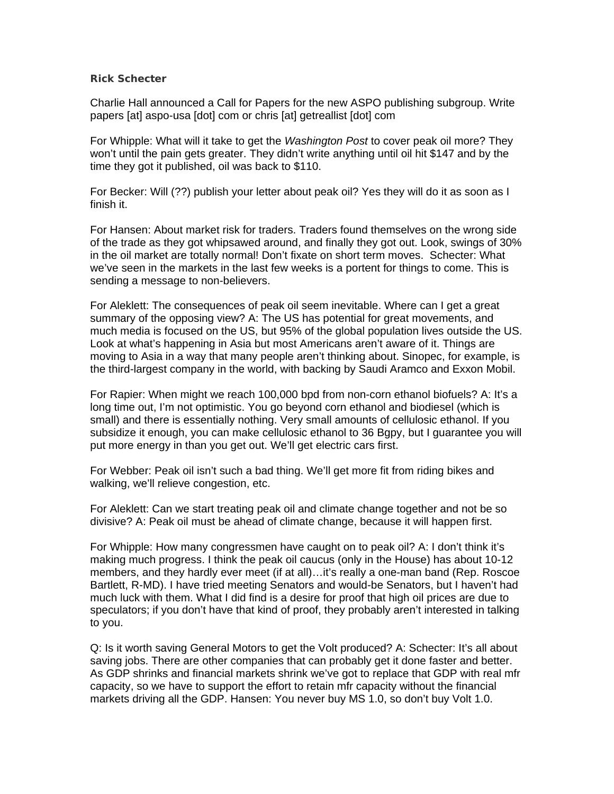#### **Rick Schecter**

Charlie Hall announced a Call for Papers for the new ASPO publishing subgroup. Write papers [at] aspo-usa [dot] com or chris [at] getreallist [dot] com

For Whipple: What will it take to get the *Washington Post* to cover peak oil more? They won't until the pain gets greater. They didn't write anything until oil hit \$147 and by the time they got it published, oil was back to \$110.

For Becker: Will (??) publish your letter about peak oil? Yes they will do it as soon as I finish it.

For Hansen: About market risk for traders. Traders found themselves on the wrong side of the trade as they got whipsawed around, and finally they got out. Look, swings of 30% in the oil market are totally normal! Don't fixate on short term moves. Schecter: What we've seen in the markets in the last few weeks is a portent for things to come. This is sending a message to non-believers.

For Aleklett: The consequences of peak oil seem inevitable. Where can I get a great summary of the opposing view? A: The US has potential for great movements, and much media is focused on the US, but 95% of the global population lives outside the US. Look at what's happening in Asia but most Americans aren't aware of it. Things are moving to Asia in a way that many people aren't thinking about. Sinopec, for example, is the third-largest company in the world, with backing by Saudi Aramco and Exxon Mobil.

For Rapier: When might we reach 100,000 bpd from non-corn ethanol biofuels? A: It's a long time out, I'm not optimistic. You go beyond corn ethanol and biodiesel (which is small) and there is essentially nothing. Very small amounts of cellulosic ethanol. If you subsidize it enough, you can make cellulosic ethanol to 36 Bgpy, but I guarantee you will put more energy in than you get out. We'll get electric cars first.

For Webber: Peak oil isn't such a bad thing. We'll get more fit from riding bikes and walking, we'll relieve congestion, etc.

For Aleklett: Can we start treating peak oil and climate change together and not be so divisive? A: Peak oil must be ahead of climate change, because it will happen first.

For Whipple: How many congressmen have caught on to peak oil? A: I don't think it's making much progress. I think the peak oil caucus (only in the House) has about 10-12 members, and they hardly ever meet (if at all)…it's really a one-man band (Rep. Roscoe Bartlett, R-MD). I have tried meeting Senators and would-be Senators, but I haven't had much luck with them. What I did find is a desire for proof that high oil prices are due to speculators; if you don't have that kind of proof, they probably aren't interested in talking to you.

Q: Is it worth saving General Motors to get the Volt produced? A: Schecter: It's all about saving jobs. There are other companies that can probably get it done faster and better. As GDP shrinks and financial markets shrink we've got to replace that GDP with real mfr capacity, so we have to support the effort to retain mfr capacity without the financial markets driving all the GDP. Hansen: You never buy MS 1.0, so don't buy Volt 1.0.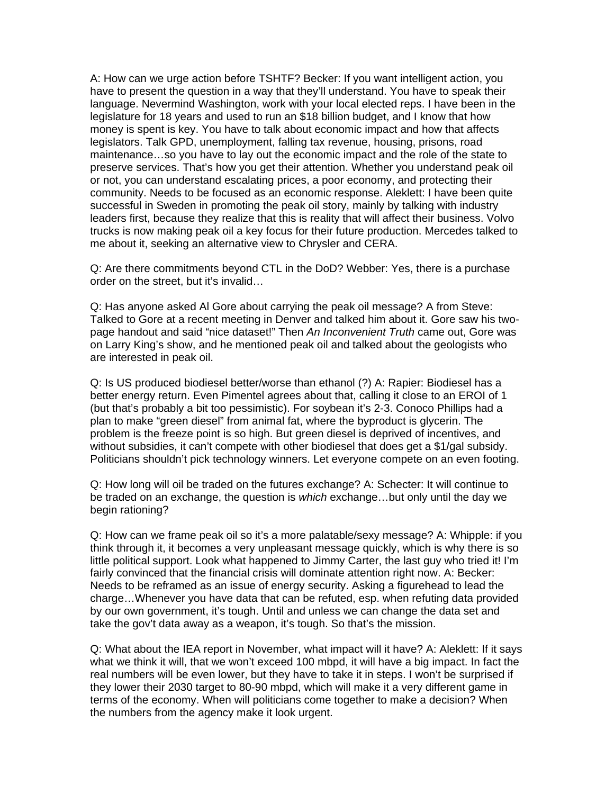A: How can we urge action before TSHTF? Becker: If you want intelligent action, you have to present the question in a way that they'll understand. You have to speak their language. Nevermind Washington, work with your local elected reps. I have been in the legislature for 18 years and used to run an \$18 billion budget, and I know that how money is spent is key. You have to talk about economic impact and how that affects legislators. Talk GPD, unemployment, falling tax revenue, housing, prisons, road maintenance…so you have to lay out the economic impact and the role of the state to preserve services. That's how you get their attention. Whether you understand peak oil or not, you can understand escalating prices, a poor economy, and protecting their community. Needs to be focused as an economic response. Aleklett: I have been quite successful in Sweden in promoting the peak oil story, mainly by talking with industry leaders first, because they realize that this is reality that will affect their business. Volvo trucks is now making peak oil a key focus for their future production. Mercedes talked to me about it, seeking an alternative view to Chrysler and CERA.

Q: Are there commitments beyond CTL in the DoD? Webber: Yes, there is a purchase order on the street, but it's invalid…

Q: Has anyone asked Al Gore about carrying the peak oil message? A from Steve: Talked to Gore at a recent meeting in Denver and talked him about it. Gore saw his twopage handout and said "nice dataset!" Then *An Inconvenient Truth* came out, Gore was on Larry King's show, and he mentioned peak oil and talked about the geologists who are interested in peak oil.

Q: Is US produced biodiesel better/worse than ethanol (?) A: Rapier: Biodiesel has a better energy return. Even Pimentel agrees about that, calling it close to an EROI of 1 (but that's probably a bit too pessimistic). For soybean it's 2-3. Conoco Phillips had a plan to make "green diesel" from animal fat, where the byproduct is glycerin. The problem is the freeze point is so high. But green diesel is deprived of incentives, and without subsidies, it can't compete with other biodiesel that does get a \$1/gal subsidy. Politicians shouldn't pick technology winners. Let everyone compete on an even footing.

Q: How long will oil be traded on the futures exchange? A: Schecter: It will continue to be traded on an exchange, the question is *which* exchange…but only until the day we begin rationing?

Q: How can we frame peak oil so it's a more palatable/sexy message? A: Whipple: if you think through it, it becomes a very unpleasant message quickly, which is why there is so little political support. Look what happened to Jimmy Carter, the last guy who tried it! I'm fairly convinced that the financial crisis will dominate attention right now. A: Becker: Needs to be reframed as an issue of energy security. Asking a figurehead to lead the charge…Whenever you have data that can be refuted, esp. when refuting data provided by our own government, it's tough. Until and unless we can change the data set and take the gov't data away as a weapon, it's tough. So that's the mission.

Q: What about the IEA report in November, what impact will it have? A: Aleklett: If it says what we think it will, that we won't exceed 100 mbpd, it will have a big impact. In fact the real numbers will be even lower, but they have to take it in steps. I won't be surprised if they lower their 2030 target to 80-90 mbpd, which will make it a very different game in terms of the economy. When will politicians come together to make a decision? When the numbers from the agency make it look urgent.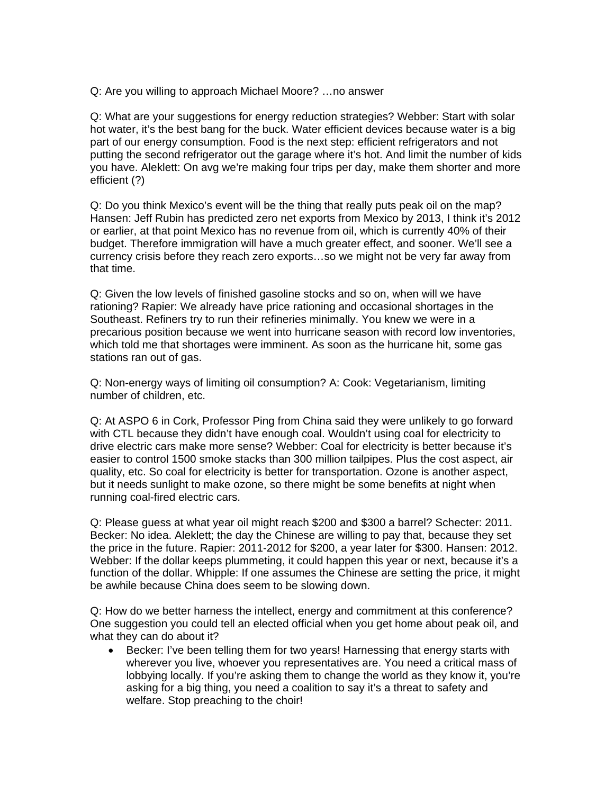Q: Are you willing to approach Michael Moore? …no answer

Q: What are your suggestions for energy reduction strategies? Webber: Start with solar hot water, it's the best bang for the buck. Water efficient devices because water is a big part of our energy consumption. Food is the next step: efficient refrigerators and not putting the second refrigerator out the garage where it's hot. And limit the number of kids you have. Aleklett: On avg we're making four trips per day, make them shorter and more efficient (?)

Q: Do you think Mexico's event will be the thing that really puts peak oil on the map? Hansen: Jeff Rubin has predicted zero net exports from Mexico by 2013, I think it's 2012 or earlier, at that point Mexico has no revenue from oil, which is currently 40% of their budget. Therefore immigration will have a much greater effect, and sooner. We'll see a currency crisis before they reach zero exports…so we might not be very far away from that time.

Q: Given the low levels of finished gasoline stocks and so on, when will we have rationing? Rapier: We already have price rationing and occasional shortages in the Southeast. Refiners try to run their refineries minimally. You knew we were in a precarious position because we went into hurricane season with record low inventories, which told me that shortages were imminent. As soon as the hurricane hit, some gas stations ran out of gas.

Q: Non-energy ways of limiting oil consumption? A: Cook: Vegetarianism, limiting number of children, etc.

Q: At ASPO 6 in Cork, Professor Ping from China said they were unlikely to go forward with CTL because they didn't have enough coal. Wouldn't using coal for electricity to drive electric cars make more sense? Webber: Coal for electricity is better because it's easier to control 1500 smoke stacks than 300 million tailpipes. Plus the cost aspect, air quality, etc. So coal for electricity is better for transportation. Ozone is another aspect, but it needs sunlight to make ozone, so there might be some benefits at night when running coal-fired electric cars.

Q: Please guess at what year oil might reach \$200 and \$300 a barrel? Schecter: 2011. Becker: No idea. Aleklett; the day the Chinese are willing to pay that, because they set the price in the future. Rapier: 2011-2012 for \$200, a year later for \$300. Hansen: 2012. Webber: If the dollar keeps plummeting, it could happen this year or next, because it's a function of the dollar. Whipple: If one assumes the Chinese are setting the price, it might be awhile because China does seem to be slowing down.

Q: How do we better harness the intellect, energy and commitment at this conference? One suggestion you could tell an elected official when you get home about peak oil, and what they can do about it?

• Becker: I've been telling them for two years! Harnessing that energy starts with wherever you live, whoever you representatives are. You need a critical mass of lobbying locally. If you're asking them to change the world as they know it, you're asking for a big thing, you need a coalition to say it's a threat to safety and welfare. Stop preaching to the choir!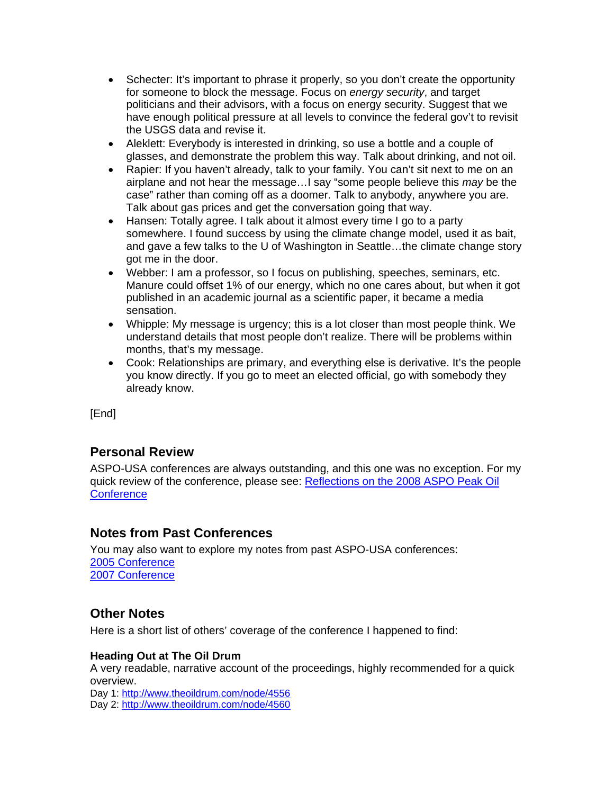- Schecter: It's important to phrase it properly, so you don't create the opportunity for someone to block the message. Focus on *energy security*, and target politicians and their advisors, with a focus on energy security. Suggest that we have enough political pressure at all levels to convince the federal gov't to revisit the USGS data and revise it.
- Aleklett: Everybody is interested in drinking, so use a bottle and a couple of glasses, and demonstrate the problem this way. Talk about drinking, and not oil.
- Rapier: If you haven't already, talk to your family. You can't sit next to me on an airplane and not hear the message…I say "some people believe this *may* be the case" rather than coming off as a doomer. Talk to anybody, anywhere you are. Talk about gas prices and get the conversation going that way.
- Hansen: Totally agree. I talk about it almost every time I go to a party somewhere. I found success by using the climate change model, used it as bait, and gave a few talks to the U of Washington in Seattle…the climate change story got me in the door.
- Webber: I am a professor, so I focus on publishing, speeches, seminars, etc. Manure could offset 1% of our energy, which no one cares about, but when it got published in an academic journal as a scientific paper, it became a media sensation.
- Whipple: My message is urgency; this is a lot closer than most people think. We understand details that most people don't realize. There will be problems within months, that's my message.
- Cook: Relationships are primary, and everything else is derivative. It's the people you know directly. If you go to meet an elected official, go with somebody they already know.

[End]

# **Personal Review**

ASPO-USA conferences are always outstanding, and this one was no exception. For my quick review of the conference, please see: Reflections on the 2008 ASPO Peak Oil **Conference** 

# **Notes from Past Conferences**

You may also want to explore my notes from past ASPO-USA conferences: 2005 Conference 2007 Conference

# **Other Notes**

Here is a short list of others' coverage of the conference I happened to find:

# **Heading Out at The Oil Drum**

A very readable, narrative account of the proceedings, highly recommended for a quick overview. Day 1: http://www.theoildrum.com/node/4556

Day 2: http://www.theoildrum.com/node/4560